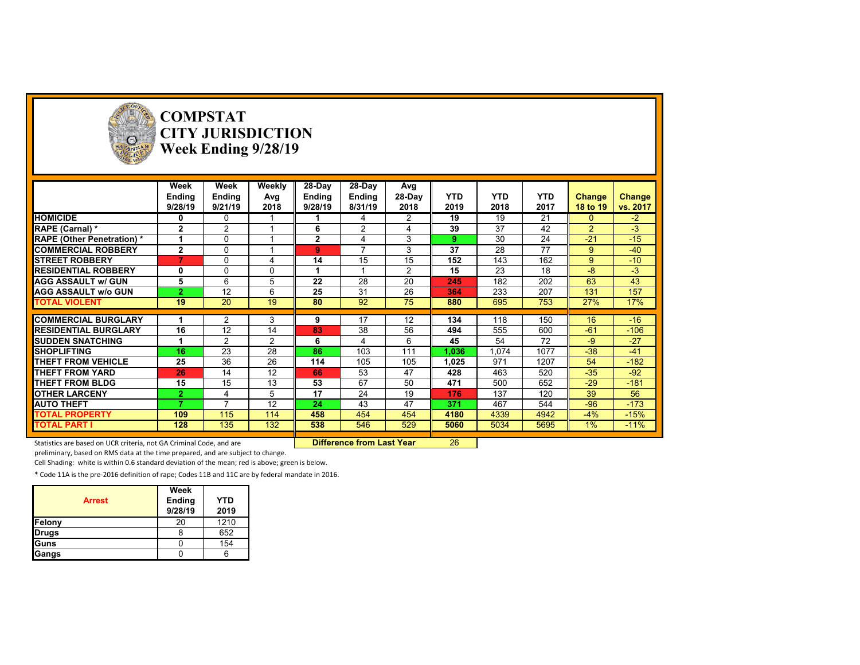

**COMPSTAT CITY JURISDICTION Week Ending 9/28/19**

| 28-Day<br>28-Day<br>Week<br>Week<br>Weekly<br>Avg<br><b>YTD</b><br>28-Day<br><b>YTD</b><br><b>YTD</b><br><b>Ending</b><br><b>Ending</b><br>Avg<br>Ending<br><b>Ending</b><br><b>Change</b><br><b>Change</b><br>2019<br>2018<br>9/21/19<br>2018<br>8/31/19<br>2018<br>2017<br>vs. 2017<br>9/28/19<br>9/28/19<br>18 to 19<br><b>HOMICIDE</b><br>21<br>$\overline{2}$<br>19<br>19<br>$-2$<br>$\mathbf{0}$<br>0<br>0<br>4<br>37<br>42<br>$-3$<br>$\overline{2}$<br>39<br>$\overline{2}$<br>RAPE (Carnal) *<br>$\mathbf{2}$<br>2<br>6<br>24<br>$-21$<br>$-15$<br>30<br><b>RAPE (Other Penetration)*</b><br>$\Omega$<br>$\mathbf{2}$<br>3<br>4<br>9<br>77<br>$\overline{ }$<br>37<br>$\overline{2}$<br>28<br>$-40$<br><b>COMMERCIAL ROBBERY</b><br>$\Omega$<br>3<br>9<br>9<br>14<br>15<br>15<br>152<br>143<br>162<br>$-10$<br><b>STREET ROBBERY</b><br>$\overline{7}$<br>9<br>0<br>4<br>15<br>23<br>$-3$<br><b>RESIDENTIAL ROBBERY</b><br>$\overline{2}$<br>18<br>-8<br>0<br>0<br>0<br>5<br>6<br>5<br>22<br>28<br>20<br>182<br>202<br>63<br>43<br><b>AGG ASSAULT w/ GUN</b><br>245<br>157<br><b>AGG ASSAULT w/o GUN</b><br>12<br>6<br>25<br>31<br>26<br>233<br>207<br>131<br>$\overline{2}$<br>364<br>19<br>92<br>75<br>19<br>20<br>80<br>695<br>753<br>27%<br>17%<br><b>TOTAL VIOLENT</b><br>880<br>17<br>118<br>150<br>16<br>$-16$<br><b>COMMERCIAL BURGLARY</b><br>2<br>3<br>12<br>134<br>9 |
|------------------------------------------------------------------------------------------------------------------------------------------------------------------------------------------------------------------------------------------------------------------------------------------------------------------------------------------------------------------------------------------------------------------------------------------------------------------------------------------------------------------------------------------------------------------------------------------------------------------------------------------------------------------------------------------------------------------------------------------------------------------------------------------------------------------------------------------------------------------------------------------------------------------------------------------------------------------------------------------------------------------------------------------------------------------------------------------------------------------------------------------------------------------------------------------------------------------------------------------------------------------------------------------------------------------------------------------------------------------------------------------|
|                                                                                                                                                                                                                                                                                                                                                                                                                                                                                                                                                                                                                                                                                                                                                                                                                                                                                                                                                                                                                                                                                                                                                                                                                                                                                                                                                                                          |
|                                                                                                                                                                                                                                                                                                                                                                                                                                                                                                                                                                                                                                                                                                                                                                                                                                                                                                                                                                                                                                                                                                                                                                                                                                                                                                                                                                                          |
|                                                                                                                                                                                                                                                                                                                                                                                                                                                                                                                                                                                                                                                                                                                                                                                                                                                                                                                                                                                                                                                                                                                                                                                                                                                                                                                                                                                          |
|                                                                                                                                                                                                                                                                                                                                                                                                                                                                                                                                                                                                                                                                                                                                                                                                                                                                                                                                                                                                                                                                                                                                                                                                                                                                                                                                                                                          |
|                                                                                                                                                                                                                                                                                                                                                                                                                                                                                                                                                                                                                                                                                                                                                                                                                                                                                                                                                                                                                                                                                                                                                                                                                                                                                                                                                                                          |
|                                                                                                                                                                                                                                                                                                                                                                                                                                                                                                                                                                                                                                                                                                                                                                                                                                                                                                                                                                                                                                                                                                                                                                                                                                                                                                                                                                                          |
|                                                                                                                                                                                                                                                                                                                                                                                                                                                                                                                                                                                                                                                                                                                                                                                                                                                                                                                                                                                                                                                                                                                                                                                                                                                                                                                                                                                          |
|                                                                                                                                                                                                                                                                                                                                                                                                                                                                                                                                                                                                                                                                                                                                                                                                                                                                                                                                                                                                                                                                                                                                                                                                                                                                                                                                                                                          |
|                                                                                                                                                                                                                                                                                                                                                                                                                                                                                                                                                                                                                                                                                                                                                                                                                                                                                                                                                                                                                                                                                                                                                                                                                                                                                                                                                                                          |
|                                                                                                                                                                                                                                                                                                                                                                                                                                                                                                                                                                                                                                                                                                                                                                                                                                                                                                                                                                                                                                                                                                                                                                                                                                                                                                                                                                                          |
|                                                                                                                                                                                                                                                                                                                                                                                                                                                                                                                                                                                                                                                                                                                                                                                                                                                                                                                                                                                                                                                                                                                                                                                                                                                                                                                                                                                          |
|                                                                                                                                                                                                                                                                                                                                                                                                                                                                                                                                                                                                                                                                                                                                                                                                                                                                                                                                                                                                                                                                                                                                                                                                                                                                                                                                                                                          |
|                                                                                                                                                                                                                                                                                                                                                                                                                                                                                                                                                                                                                                                                                                                                                                                                                                                                                                                                                                                                                                                                                                                                                                                                                                                                                                                                                                                          |
|                                                                                                                                                                                                                                                                                                                                                                                                                                                                                                                                                                                                                                                                                                                                                                                                                                                                                                                                                                                                                                                                                                                                                                                                                                                                                                                                                                                          |
| $-61$<br>16<br>12<br>14<br>83<br>38<br>56<br>494<br>555<br>$-106$<br><b>RESIDENTIAL BURGLARY</b><br>600                                                                                                                                                                                                                                                                                                                                                                                                                                                                                                                                                                                                                                                                                                                                                                                                                                                                                                                                                                                                                                                                                                                                                                                                                                                                                  |
| $-27$<br><b>SUDDEN SNATCHING</b><br>2<br>2<br>6<br>54<br>72<br>-9<br>6<br>45<br>4                                                                                                                                                                                                                                                                                                                                                                                                                                                                                                                                                                                                                                                                                                                                                                                                                                                                                                                                                                                                                                                                                                                                                                                                                                                                                                        |
| 23<br>$-38$<br>28<br>1077<br><b>SHOPLIFTING</b><br>16<br>86<br>103<br>111<br>1,074<br>$-41$<br>1.036                                                                                                                                                                                                                                                                                                                                                                                                                                                                                                                                                                                                                                                                                                                                                                                                                                                                                                                                                                                                                                                                                                                                                                                                                                                                                     |
| 36<br>26<br>25<br>114<br>105<br>1207<br>$-182$<br>THEFT FROM VEHICLE<br>105<br>1,025<br>971<br>54                                                                                                                                                                                                                                                                                                                                                                                                                                                                                                                                                                                                                                                                                                                                                                                                                                                                                                                                                                                                                                                                                                                                                                                                                                                                                        |
| $-35$<br>$-92$<br>THEFT FROM YARD<br>14<br>12<br>53<br>47<br>428<br>463<br>520<br>26<br>66                                                                                                                                                                                                                                                                                                                                                                                                                                                                                                                                                                                                                                                                                                                                                                                                                                                                                                                                                                                                                                                                                                                                                                                                                                                                                               |
| 67<br>15<br>15<br>13<br>53<br>471<br>$-29$<br>$-181$<br>50<br>500<br>652<br><b>THEFT FROM BLDG</b>                                                                                                                                                                                                                                                                                                                                                                                                                                                                                                                                                                                                                                                                                                                                                                                                                                                                                                                                                                                                                                                                                                                                                                                                                                                                                       |
| 56<br>17<br>24<br>137<br>39<br><b>OTHER LARCENY</b><br>5<br>19<br>120<br>$\overline{2}$<br>176<br>4                                                                                                                                                                                                                                                                                                                                                                                                                                                                                                                                                                                                                                                                                                                                                                                                                                                                                                                                                                                                                                                                                                                                                                                                                                                                                      |
| $-173$<br>12<br>43<br>467<br>544<br>$-96$<br><b>AUTO THEFT</b><br>۰,<br>24<br>47<br>371                                                                                                                                                                                                                                                                                                                                                                                                                                                                                                                                                                                                                                                                                                                                                                                                                                                                                                                                                                                                                                                                                                                                                                                                                                                                                                  |
| $-15%$<br>$-4%$<br><b>TOTAL PROPERTY</b><br>109<br>115<br>114<br>458<br>454<br>454<br>4180<br>4339<br>4942                                                                                                                                                                                                                                                                                                                                                                                                                                                                                                                                                                                                                                                                                                                                                                                                                                                                                                                                                                                                                                                                                                                                                                                                                                                                               |
| 132<br>$-11%$<br><b>TOTAL PART I</b><br>128<br>135<br>546<br>529<br>5034<br>5695<br>$1\%$<br>538<br>5060                                                                                                                                                                                                                                                                                                                                                                                                                                                                                                                                                                                                                                                                                                                                                                                                                                                                                                                                                                                                                                                                                                                                                                                                                                                                                 |

Statistics are based on UCR criteria, not GA Criminal Code, and are **Difference from Last Year** 26

preliminary, based on RMS data at the time prepared, and are subject to change.

Cell Shading: white is within 0.6 standard deviation of the mean; red is above; green is below.

| <b>Arrest</b> | Week<br><b>Ending</b><br>9/28/19 | <b>YTD</b><br>2019 |
|---------------|----------------------------------|--------------------|
| Felony        | 20                               | 1210               |
| Drugs         |                                  | 652                |
| lGuns         |                                  | 154                |
| Gangs         |                                  |                    |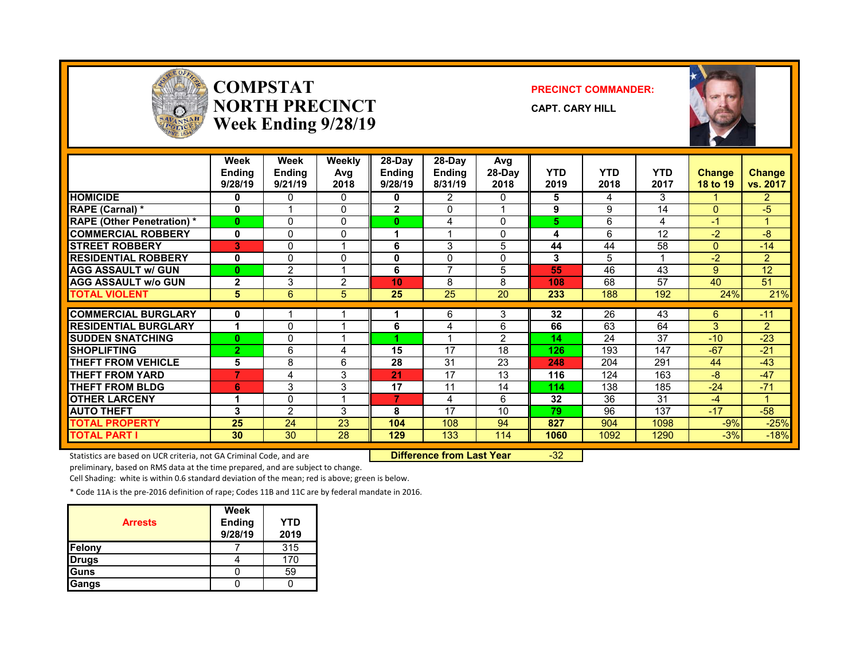

#### **COMPSTATNORTH PRECINCTWeek Ending 9/28/19**

#### **PRECINCT COMMANDER:**

**CAPT. CARY HILL**



|                                   | Week<br>Ending<br>9/28/19 | Week<br><b>Ending</b><br>9/21/19 | Weekly<br>Avg<br>2018 | 28-Day<br><b>Ending</b><br>9/28/19 | 28-Dav<br><b>Ending</b><br>8/31/19 | Avg<br>28-Day<br>2018 | <b>YTD</b><br>2019 | <b>YTD</b><br>2018 | <b>YTD</b><br>2017 | <b>Change</b><br>18 to 19 | <b>Change</b><br>vs. 2017 |
|-----------------------------------|---------------------------|----------------------------------|-----------------------|------------------------------------|------------------------------------|-----------------------|--------------------|--------------------|--------------------|---------------------------|---------------------------|
| <b>HOMICIDE</b>                   | 0                         | 0                                | $\Omega$              | 0                                  | 2                                  | 0                     | 5                  | 4                  | 3                  |                           | $\overline{2}$            |
| RAPE (Carnal) *                   | 0                         |                                  | $\Omega$              | $\mathbf{2}$                       | 0                                  |                       | 9                  | 9                  | 14                 | $\Omega$                  | $-5$                      |
| <b>RAPE (Other Penetration) *</b> | $\bf{0}$                  | 0                                | $\Omega$              | 0                                  | 4                                  | $\Omega$              | 5                  | 6                  | 4                  | $-1$                      |                           |
| <b>COMMERCIAL ROBBERY</b>         | $\mathbf{0}$              | 0                                | $\Omega$              |                                    |                                    | $\Omega$              | 4                  | 6                  | 12                 | $-2$                      | -8                        |
| <b>STREET ROBBERY</b>             | 3                         | 0                                |                       | 6                                  | 3                                  | 5                     | 44                 | 44                 | 58                 | $\Omega$                  | $-14$                     |
| <b>RESIDENTIAL ROBBERY</b>        | 0                         | 0                                | $\Omega$              | 0                                  | 0                                  | 0                     | 3                  | 5                  |                    | $-2$                      | $\overline{2}$            |
| <b>AGG ASSAULT w/ GUN</b>         | 0                         | 2                                |                       | 6                                  | $\overline{\phantom{a}}$           | 5                     | 55                 | 46                 | 43                 | 9                         | 12                        |
| <b>AGG ASSAULT w/o GUN</b>        | $\overline{2}$            | 3                                | $\overline{2}$        | 10                                 | 8                                  | 8                     | 108                | 68                 | 57                 | 40                        | 51                        |
| <b>TOTAL VIOLENT</b>              | 5                         | 6                                | 5                     | 25                                 | 25                                 | 20                    | 233                | 188                | 192                | 24%                       | 21%                       |
|                                   |                           |                                  |                       |                                    |                                    |                       |                    |                    |                    |                           |                           |
| <b>COMMERCIAL BURGLARY</b>        | 0                         |                                  |                       |                                    | 6                                  | 3                     | 32                 | $\overline{26}$    | 43                 | 6                         | $-11$                     |
| <b>RESIDENTIAL BURGLARY</b>       | 1                         | 0                                |                       | 6                                  | 4                                  | 6                     | 66                 | 63                 | 64                 | 3                         | $\overline{2}$            |
| <b>ISUDDEN SNATCHING</b>          | $\bf{0}$                  | 0                                |                       |                                    |                                    | 2                     | 14                 | 24                 | 37                 | $-10$                     | $-23$                     |
| <b>SHOPLIFTING</b>                | 2                         | 6                                | 4                     | 15                                 | 17                                 | 18                    | 126                | 193                | 147                | $-67$                     | $-21$                     |
| <b>THEFT FROM VEHICLE</b>         | 5                         | 8                                | 6                     | 28                                 | 31                                 | 23                    | 248                | 204                | 291                | 44                        | $-43$                     |
| <b>THEFT FROM YARD</b>            | 7                         | 4                                | 3                     | 21                                 | 17                                 | 13                    | 116                | 124                | 163                | -8                        | $-47$                     |
| <b>THEFT FROM BLDG</b>            | 6                         | 3                                | 3                     | 17                                 | 11                                 | 14                    | 114                | 138                | 185                | $-24$                     | $-71$                     |
| <b>OTHER LARCENY</b>              | 4                         | 0                                |                       | 7                                  | 4                                  | 6                     | 32                 | 36                 | 31                 | $-4$                      |                           |
| <b>AUTO THEFT</b>                 | 3                         | $\overline{2}$                   | 3                     | 8                                  | 17                                 | 10                    | 79                 | 96                 | 137                | $-17$                     | $-58$                     |
| <b>TOTAL PROPERTY</b>             | 25                        | 24                               | 23                    | 104                                | 108                                | 94                    | 827                | 904                | 1098               | $-9%$                     | $-25%$                    |
| <b>TOTAL PART I</b>               | 30                        | 30                               | 28                    | 129                                | 133                                | 114                   | 1060               | 1092               | 1290               | $-3%$                     | $-18%$                    |

Statistics are based on UCR criteria, not GA Criminal Code, and are **Difference from Last Year** -32

preliminary, based on RMS data at the time prepared, and are subject to change.

Cell Shading: white is within 0.6 standard deviation of the mean; red is above; green is below.

| <b>Arrests</b> | Week<br><b>Ending</b><br>9/28/19 | YTD<br>2019 |
|----------------|----------------------------------|-------------|
| Felony         |                                  | 315         |
| <b>Drugs</b>   |                                  | 170         |
| Guns           |                                  | 59          |
| Gangs          |                                  |             |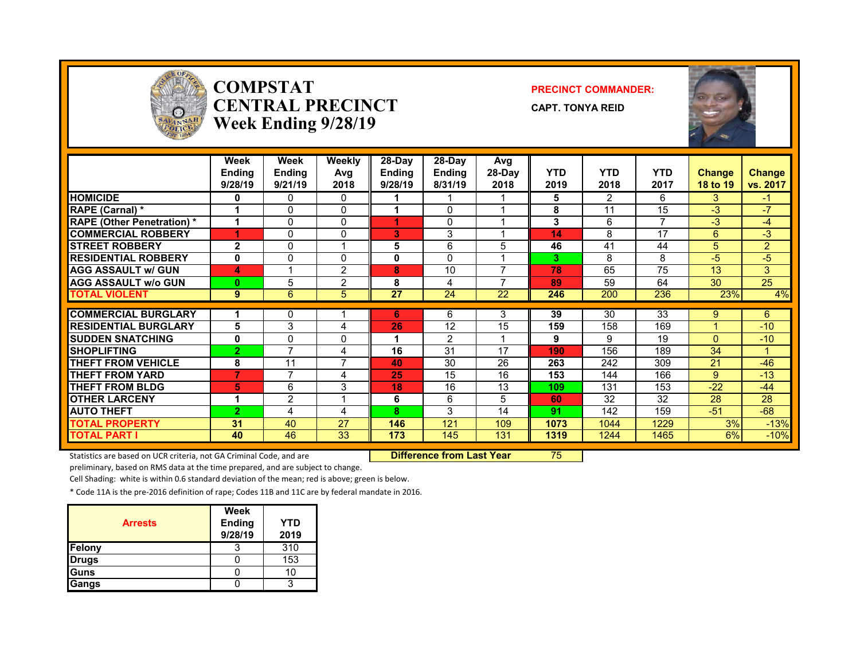

#### **COMPSTATCENTRAL PRECINCTWeek Ending 9/28/19**

#### **PRECINCT COMMANDER:**

**CAPT. TONYA REID**



|                                  | Week<br><b>Ending</b><br>9/28/19 | Week<br><b>Endina</b><br>9/21/19 | Weekly<br>Avg<br>2018 | $28-Day$<br>Endina<br>9/28/19 | $28-Dav$<br><b>Endina</b><br>8/31/19 | Avg<br>28-Day<br>2018 | <b>YTD</b><br>2019 | <b>YTD</b><br>2018 | <b>YTD</b><br>2017 | <b>Change</b><br>18 to 19 | <b>Change</b><br>vs. 2017 |
|----------------------------------|----------------------------------|----------------------------------|-----------------------|-------------------------------|--------------------------------------|-----------------------|--------------------|--------------------|--------------------|---------------------------|---------------------------|
| <b>HOMICIDE</b>                  | 0                                | 0                                | 0                     |                               |                                      |                       | 5                  | 2                  | 6                  | 3                         | $-1$                      |
| <b>RAPE (Carnal)</b> *           |                                  | 0                                | 0                     |                               | 0                                    |                       | 8                  | 11                 | 15                 | $-3$                      | -7                        |
| <b>RAPE (Other Penetration)*</b> |                                  | 0                                | 0                     |                               | 0                                    |                       | 3                  | 6                  | 7                  | -3                        | -4                        |
| <b>COMMERCIAL ROBBERY</b>        | 4                                | 0                                | 0                     | 3                             | 3                                    |                       | 14                 | 8                  | 17                 | 6                         | $-3$                      |
| <b>STREET ROBBERY</b>            | $\mathbf{2}$                     | 0                                | 1                     | 5                             | 6                                    | 5                     | 46                 | 41                 | 44                 | 5                         | $\overline{2}$            |
| <b>RESIDENTIAL ROBBERY</b>       | 0                                | 0                                | 0                     | 0                             | $\Omega$                             |                       | 3                  | 8                  | 8                  | -5                        | $-5$                      |
| <b>AGG ASSAULT w/ GUN</b>        | 4                                |                                  | $\overline{2}$        | 8                             | 10                                   |                       | 78                 | 65                 | 75                 | 13                        | 3                         |
| <b>AGG ASSAULT w/o GUN</b>       | $\bf{0}$                         | 5                                | $\overline{2}$        | 8                             | 4                                    |                       | 89                 | 59                 | 64                 | 30                        | 25                        |
| <b>TOTAL VIOLENT</b>             | 9                                | 6                                | 5                     | 27                            | 24                                   | 22                    | 246                | 200                | 236                | 23%                       | 4%                        |
|                                  |                                  |                                  |                       |                               |                                      |                       |                    |                    |                    |                           |                           |
| <b>COMMERCIAL BURGLARY</b>       |                                  | 0                                |                       | 6                             | 6                                    | 3                     | 39                 | 30                 | 33                 | 9                         | 6                         |
| <b>RESIDENTIAL BURGLARY</b>      | 5                                | 3                                | 4                     | 26                            | 12                                   | 15                    | 159                | 158                | 169                |                           | $-10$                     |
| <b>ISUDDEN SNATCHING</b>         | 0                                | 0                                | 0                     |                               | $\overline{2}$                       |                       | 9                  | 9                  | 19                 | $\Omega$                  | $-10$                     |
| <b>SHOPLIFTING</b>               | $\overline{2}$                   | 7                                | 4                     | 16                            | 31                                   | 17                    | 190                | 156                | 189                | 34                        |                           |
| <b>THEFT FROM VEHICLE</b>        | 8                                | 11                               | $\overline{7}$        | 40                            | 30                                   | 26                    | 263                | 242                | 309                | 21                        | $-46$                     |
| <b>THEFT FROM YARD</b>           | $\overline{7}$                   | 7                                | 4                     | 25                            | 15                                   | 16                    | 153                | 144                | 166                | 9                         | $-13$                     |
| <b>THEFT FROM BLDG</b>           | 5                                | 6                                | 3                     | 18                            | 16                                   | 13                    | 109                | 131                | 153                | -22                       | $-44$                     |
| <b>OTHER LARCENY</b>             | и                                | $\overline{2}$                   | 1                     | 6                             | 6                                    | 5                     | 60                 | 32                 | 32                 | 28                        | 28                        |
| <b>AUTO THEFT</b>                | $\overline{2}$                   | 4                                | 4                     | 8                             | 3                                    | 14                    | 91                 | 142                | 159                | $-51$                     | -68                       |
| <b>TOTAL PROPERTY</b>            | 31                               | 40                               | 27                    | 146                           | 121                                  | 109                   | 1073               | 1044               | 1229               | 3%                        | $-13%$                    |
| <b>TOTAL PART I</b>              | 40                               | 46                               | 33                    | 173                           | 145                                  | 131                   | 1319               | 1244               | 1465               | 6%                        | $-10%$                    |

Statistics are based on UCR criteria, not GA Criminal Code, and are **Difference from Last Year** 75

preliminary, based on RMS data at the time prepared, and are subject to change.

Cell Shading: white is within 0.6 standard deviation of the mean; red is above; green is below.

| <b>Arrests</b> | Week<br><b>Ending</b><br>9/28/19 | YTD<br>2019 |
|----------------|----------------------------------|-------------|
| Felony         |                                  | 310         |
| <b>Drugs</b>   |                                  | 153         |
| Guns           |                                  | 10          |
| Gangs          |                                  |             |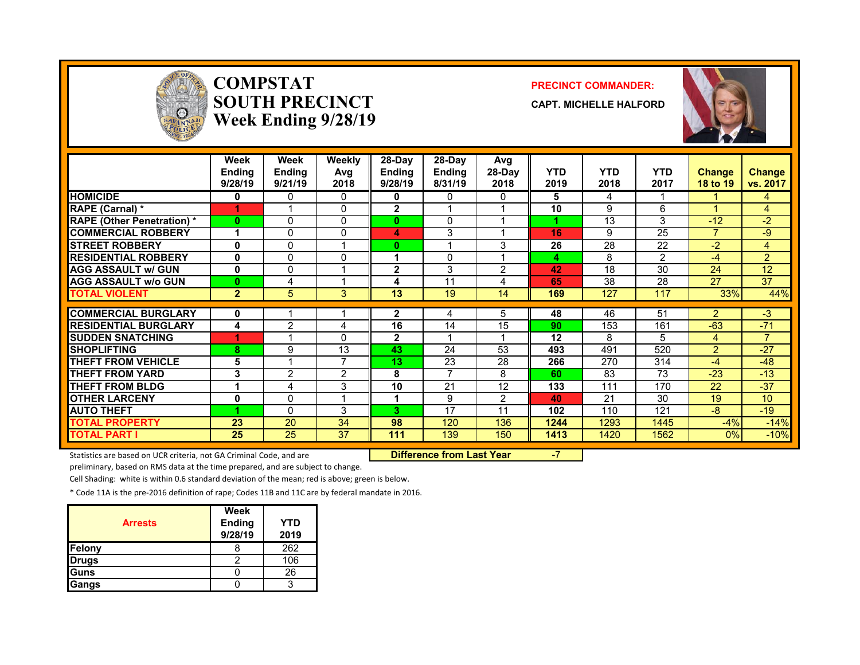

#### **COMPSTATSOUTH PRECINCTWeek Ending 9/28/19**

#### **PRECINCT COMMANDER:**

**CAPT. MICHELLE HALFORD**



|                                  | Week<br><b>Ending</b><br>9/28/19 | Week<br><b>Ending</b><br>9/21/19 | <b>Weekly</b><br>Avg<br>2018 | $28-Day$<br><b>Ending</b><br>9/28/19 | 28-Day<br><b>Ending</b><br>8/31/19 | Avg<br>28-Day<br>2018 | <b>YTD</b><br>2019 | <b>YTD</b><br>2018 | <b>YTD</b><br>2017 | <b>Change</b><br>18 to 19 | <b>Change</b><br>vs. 2017 |
|----------------------------------|----------------------------------|----------------------------------|------------------------------|--------------------------------------|------------------------------------|-----------------------|--------------------|--------------------|--------------------|---------------------------|---------------------------|
| <b>HOMICIDE</b>                  | 0                                | 0                                | 0                            | 0                                    | $\mathbf{0}$                       | 0                     | 5                  | 4                  |                    |                           | 4                         |
| <b>RAPE (Carnal)</b> *           |                                  |                                  | 0                            | 2                                    |                                    |                       | 10                 | 9                  | 6                  |                           | 4                         |
| <b>RAPE (Other Penetration)*</b> | $\bf{0}$                         | $\Omega$                         | $\mathbf{0}$                 | $\bf{0}$                             | 0                                  |                       |                    | 13                 | 3                  | $-12$                     | $-2$                      |
| <b>COMMERCIAL ROBBERY</b>        |                                  | 0                                | $\mathbf{0}$                 | 4                                    | 3                                  |                       | 16                 | 9                  | 25                 |                           | $-9$                      |
| <b>STREET ROBBERY</b>            | 0                                | 0                                | 1                            | $\bf{0}$                             |                                    | 3                     | 26                 | 28                 | 22                 | $-2$                      | 4                         |
| <b>RESIDENTIAL ROBBERY</b>       | 0                                | $\Omega$                         | $\Omega$                     |                                      | 0                                  |                       | 4                  | 8                  | $\mathcal{P}$      | $-4$                      | $\overline{2}$            |
| <b>AGG ASSAULT w/ GUN</b>        | 0                                | 0                                | 1                            | $\mathbf{2}$                         | 3                                  | $\mathcal{P}$         | 42                 | 18                 | 30                 | 24                        | 12                        |
| <b>AGG ASSAULT w/o GUN</b>       | $\bf{0}$                         | 4                                | 1                            | 4                                    | 11                                 | 4                     | 65                 | 38                 | 28                 | 27                        | 37                        |
| <b>TOTAL VIOLENT</b>             | $\overline{2}$                   | 5                                | 3                            | 13                                   | 19                                 | 14                    | 169                | 127                | 117                | 33%                       | 44%                       |
| <b>COMMERCIAL BURGLARY</b>       | 0                                |                                  |                              | 2                                    | 4                                  | 5                     | 48                 | 46                 | 51                 | $\overline{2}$            | $-3$                      |
| <b>RESIDENTIAL BURGLARY</b>      | 4                                | $\mathcal{P}$                    | 4                            | 16                                   | 14                                 | 15                    | 90                 | 153                | 161                | $-63$                     | $-71$                     |
| <b>ISUDDEN SNATCHING</b>         |                                  |                                  | $\Omega$                     | $\mathbf{2}$                         |                                    |                       | 12                 | 8                  | 5                  |                           | $\overline{7}$            |
|                                  |                                  |                                  |                              |                                      |                                    |                       |                    |                    |                    | 4                         |                           |
| <b>SHOPLIFTING</b>               | 8                                | 9                                | 13<br>$\overline{7}$         | 43                                   | 24                                 | 53                    | 493                | 491                | 520                | $\overline{2}$            | $-27$                     |
| <b>THEFT FROM VEHICLE</b>        | 5                                |                                  |                              | 13                                   | 23                                 | 28                    | 266                | 270                | 314                | $-4$                      | $-48$                     |
| <b>THEFT FROM YARD</b>           | 3                                | $\overline{2}$                   | $\overline{2}$               | 8                                    | $\overline{7}$                     | 8                     | 60                 | 83                 | 73                 | $-23$                     | $-13$                     |
| <b>THEFT FROM BLDG</b>           | 1                                | 4                                | 3                            | 10                                   | 21                                 | 12                    | 133                | 111                | 170                | 22                        | $-37$                     |
| <b>OTHER LARCENY</b>             | 0                                | 0                                | 1                            |                                      | 9                                  | 2                     | 40                 | 21                 | 30                 | 19                        | 10                        |
| <b>AUTO THEFT</b>                |                                  | $\Omega$                         | 3                            | 3                                    | 17                                 | 11                    | 102                | 110                | 121                | $-8$                      | $-19$                     |
| <b>TOTAL PROPERTY</b>            | 23                               | 20                               | 34                           | 98                                   | 120                                | 136                   | 1244               | 1293               | 1445               | $-4%$                     | $-14%$                    |
| <b>TOTAL PART I</b>              | 25                               | 25                               | 37                           | 111                                  | 139                                | 150                   | 1413               | 1420               | 1562               | 0%                        | $-10%$                    |

Statistics are based on UCR criteria, not GA Criminal Code, and are **Difference from Last Year** -7

preliminary, based on RMS data at the time prepared, and are subject to change.

Cell Shading: white is within 0.6 standard deviation of the mean; red is above; green is below.

| <b>Arrests</b> | Week<br><b>Ending</b><br>9/28/19 | YTD<br>2019 |
|----------------|----------------------------------|-------------|
| Felony         |                                  | 262         |
| <b>Drugs</b>   |                                  | 106         |
| Guns           |                                  | 26          |
| Gangs          |                                  | 2           |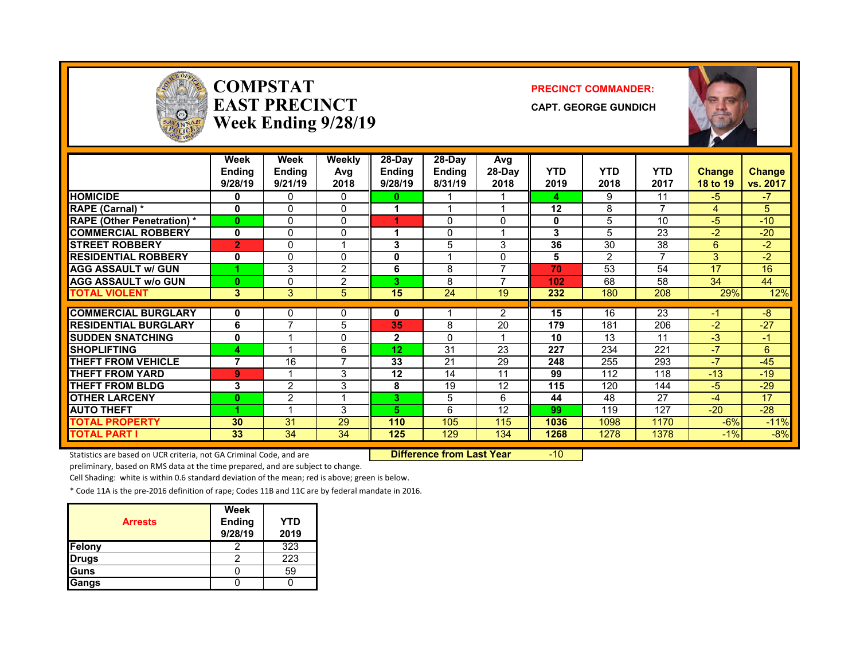

#### **COMPSTATEAST PRECINCTWeek Ending 9/28/19**

#### **PRECINCT COMMANDER:**

**CAPT. GEORGE GUNDICH**



|                                   | Week<br><b>Ending</b><br>9/28/19 | Week<br>Ending<br>9/21/19 | <b>Weekly</b><br>Avg<br>2018 | 28-Day<br><b>Ending</b><br>9/28/19 | 28-Dav<br>Ending<br>8/31/19 | Avg<br>28-Day<br>2018 | <b>YTD</b><br>2019 | <b>YTD</b><br>2018 | <b>YTD</b><br>2017 | <b>Change</b><br>18 to 19 | <b>Change</b><br>vs. 2017 |
|-----------------------------------|----------------------------------|---------------------------|------------------------------|------------------------------------|-----------------------------|-----------------------|--------------------|--------------------|--------------------|---------------------------|---------------------------|
| <b>HOMICIDE</b>                   | 0                                | 0                         | 0                            | 0                                  |                             |                       | 4                  | 9                  | 11                 | $-5$                      | $-7$                      |
| RAPE (Carnal) *                   | 0                                | $\Omega$                  | 0                            |                                    |                             |                       | 12                 | 8                  | 7                  | 4                         | 5                         |
| <b>RAPE (Other Penetration) *</b> | $\bf{0}$                         | 0                         | 0                            |                                    | $\Omega$                    | $\Omega$              | 0                  | 5                  | 10                 | $-5$                      | $-10$                     |
| <b>COMMERCIAL ROBBERY</b>         | $\bf{0}$                         | 0                         | 0                            |                                    | 0                           |                       | 3                  | 5.                 | 23                 | $-2$                      | $-20$                     |
| <b>STREET ROBBERY</b>             | $\overline{2}$                   | 0                         | 4                            | 3                                  | 5                           | 3                     | 36                 | 30                 | 38                 | 6                         | $-2$                      |
| <b>RESIDENTIAL ROBBERY</b>        | 0                                | 0                         | 0                            | 0                                  |                             | 0                     | 5                  | 2                  | 7                  | 3                         | $-2$                      |
| <b>AGG ASSAULT w/ GUN</b>         |                                  | 3                         | $\overline{2}$               | 6                                  | 8                           | 7                     | 70                 | 53                 | 54                 | 17                        | 16                        |
| <b>AGG ASSAULT w/o GUN</b>        | $\bf{0}$                         | 0                         | $\overline{2}$               | 3                                  | 8                           |                       | 102                | 68                 | 58                 | 34                        | 44                        |
| <b>TOTAL VIOLENT</b>              | 3                                | 3                         | 5                            | 15                                 | 24                          | 19                    | 232                | 180                | 208                | 29%                       | 12%                       |
|                                   |                                  |                           |                              |                                    |                             |                       |                    |                    |                    |                           |                           |
| <b>COMMERCIAL BURGLARY</b>        | 0                                | 0                         | 0                            | 0                                  |                             | 2                     | 15                 | 16                 | 23                 | -1                        | $-8$                      |
| <b>RESIDENTIAL BURGLARY</b>       | 6                                | 7                         | 5                            | 35                                 | 8                           | 20                    | 179                | 181                | 206                | $-2$                      | $-27$                     |
| <b>SUDDEN SNATCHING</b>           | 0                                |                           | 0                            | $\mathbf{2}$                       | $\Omega$                    |                       | 10                 | 13                 | 11                 | $-3$                      | $-1$                      |
| <b>SHOPLIFTING</b>                | 4                                | 4                         | 6                            | 12                                 | 31                          | 23                    | 227                | 234                | 221                | -7                        | 6                         |
| <b>THEFT FROM VEHICLE</b>         | 7                                | 16                        | $\overline{7}$               | 33                                 | 21                          | 29                    | 248                | 255                | 293                | -7                        | $-45$                     |
| <b>THEFT FROM YARD</b>            | 9                                |                           | 3                            | 12                                 | 14                          | 11                    | 99                 | 112                | 118                | $-13$                     | $-19$                     |
| <b>THEFT FROM BLDG</b>            | 3                                | $\overline{2}$            | 3                            | 8                                  | 19                          | 12                    | 115                | 120                | 144                | $-5$                      | $-29$                     |
| <b>OTHER LARCENY</b>              | 0                                | $\overline{2}$            | 4                            | 3.                                 | 5                           | 6                     | 44                 | 48                 | 27                 | $-4$                      | 17                        |
| <b>AUTO THEFT</b>                 |                                  | 1                         | 3                            | 5.                                 | 6                           | 12                    | 99                 | 119                | 127                | $-20$                     | $-28$                     |
| <b>TOTAL PROPERTY</b>             | 30                               | 31                        | 29                           | 110                                | 105                         | 115                   | 1036               | 1098               | 1170               | $-6%$                     | $-11%$                    |
| <b>TOTAL PART I</b>               | 33                               | 34                        | 34                           | 125                                | 129                         | 134                   | 1268               | 1278               | 1378               | $-1\%$                    | $-8%$                     |

Statistics are based on UCR criteria, not GA Criminal Code, and are **Difference from Last Year** -10

preliminary, based on RMS data at the time prepared, and are subject to change.

Cell Shading: white is within 0.6 standard deviation of the mean; red is above; green is below.

| <b>Arrests</b> | <b>Week</b><br><b>Ending</b><br>9/28/19 | YTD<br>2019 |
|----------------|-----------------------------------------|-------------|
| <b>Felony</b>  |                                         | 323         |
| <b>Drugs</b>   |                                         | 223         |
| <b>Guns</b>    |                                         | 59          |
| Gangs          |                                         |             |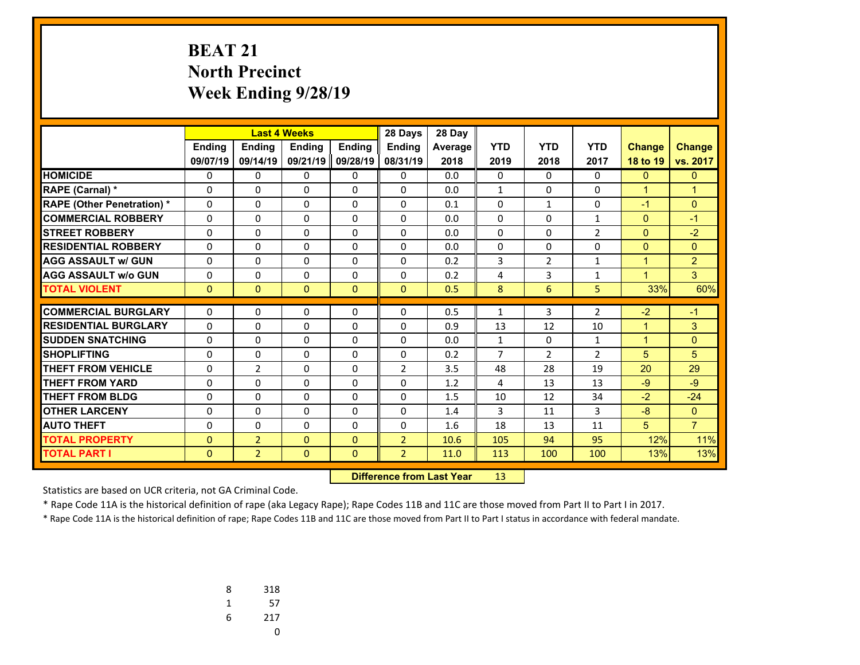# **BEAT 21 North Precinct Week Ending 9/28/19**

|                                   |              | <b>Last 4 Weeks</b> |              |               | 28 Days        | 28 Day         |                |                |                |                |                |
|-----------------------------------|--------------|---------------------|--------------|---------------|----------------|----------------|----------------|----------------|----------------|----------------|----------------|
|                                   | Ending       | Ending              | Ending       | <b>Ending</b> | <b>Ending</b>  | <b>Average</b> | <b>YTD</b>     | <b>YTD</b>     | <b>YTD</b>     | <b>Change</b>  | <b>Change</b>  |
|                                   | 09/07/19     | 09/14/19            | 09/21/19     | 09/28/19      | 08/31/19       | 2018           | 2019           | 2018           | 2017           | 18 to 19       | vs. 2017       |
| <b>HOMICIDE</b>                   | 0            | 0                   | 0            | 0             | $\Omega$       | 0.0            | 0              | $\Omega$       | $\Omega$       | $\mathbf{0}$   | $\mathbf{0}$   |
| <b>RAPE (Carnal) *</b>            | $\Omega$     | $\Omega$            | 0            | $\Omega$      | $\Omega$       | 0.0            | $\mathbf{1}$   | $\Omega$       | $\Omega$       | $\mathbf{1}$   | $\mathbf{1}$   |
| <b>RAPE (Other Penetration) *</b> | $\Omega$     | $\Omega$            | 0            | $\Omega$      | $\Omega$       | 0.1            | 0              | 1              | $\Omega$       | $-1$           | $\Omega$       |
| <b>COMMERCIAL ROBBERY</b>         | $\Omega$     | 0                   | 0            | $\Omega$      | $\Omega$       | 0.0            | $\Omega$       | $\Omega$       | $\mathbf{1}$   | $\mathbf{0}$   | $-1$           |
| <b>STREET ROBBERY</b>             | 0            | 0                   | 0            | 0             | $\Omega$       | 0.0            | 0              | $\Omega$       | $\overline{2}$ | $\overline{0}$ | $-2$           |
| <b>RESIDENTIAL ROBBERY</b>        | $\Omega$     | 0                   | $\Omega$     | $\Omega$      | $\Omega$       | 0.0            | $\Omega$       | $\Omega$       | $\Omega$       | $\mathbf{0}$   | $\Omega$       |
| <b>AGG ASSAULT w/ GUN</b>         | 0            | 0                   | $\Omega$     | 0             | $\Omega$       | 0.2            | 3              | $\overline{2}$ | 1              | $\mathbf{1}$   | $\overline{2}$ |
| <b>AGG ASSAULT w/o GUN</b>        | 0            | $\Omega$            | $\Omega$     | $\Omega$      | $\Omega$       | 0.2            | 4              | 3              | $\mathbf{1}$   | $\mathbf{1}$   | 3              |
| <b>TOTAL VIOLENT</b>              | $\mathbf{0}$ | $\Omega$            | $\Omega$     | $\Omega$      | $\mathbf{0}$   | 0.5            | 8              | 6              | 5              | 33%            | 60%            |
| <b>COMMERCIAL BURGLARY</b>        |              |                     |              |               |                |                |                |                |                |                | $-1$           |
|                                   | 0            | 0                   | $\Omega$     | 0             | 0              | 0.5            | 1              | 3              | $\overline{2}$ | $-2$           |                |
| <b>RESIDENTIAL BURGLARY</b>       | $\Omega$     | 0                   | 0            | 0             | $\Omega$       | 0.9            | 13             | 12             | 10             | $\mathbf{1}$   | 3              |
| <b>SUDDEN SNATCHING</b>           | $\Omega$     | 0                   | $\Omega$     | $\Omega$      | $\Omega$       | 0.0            | $\mathbf{1}$   | $\Omega$       | $\mathbf{1}$   | $\mathbf{1}$   | $\Omega$       |
| <b>SHOPLIFTING</b>                | $\Omega$     | $\Omega$            | $\Omega$     | $\Omega$      | $\Omega$       | 0.2            | $\overline{7}$ | $\overline{2}$ | $\overline{2}$ | 5 <sup>5</sup> | 5              |
| <b>THEFT FROM VEHICLE</b>         | $\Omega$     | $\overline{2}$      | $\Omega$     | $\Omega$      | $\overline{2}$ | 3.5            | 48             | 28             | 19             | 20             | 29             |
| <b>THEFT FROM YARD</b>            | 0            | 0                   | 0            | $\Omega$      | $\Omega$       | 1.2            | 4              | 13             | 13             | $-9$           | $-9$           |
| <b>THEFT FROM BLDG</b>            | $\Omega$     | 0                   | $\Omega$     | $\Omega$      | $\Omega$       | 1.5            | 10             | 12             | 34             | $-2$           | $-24$          |
| <b>OTHER LARCENY</b>              | 0            | 0                   | $\Omega$     | 0             | $\Omega$       | 1.4            | 3              | 11             | 3              | $-8$           | $\mathbf{0}$   |
| <b>AUTO THEFT</b>                 | 0            | $\Omega$            | $\Omega$     | $\Omega$      | $\Omega$       | 1.6            | 18             | 13             | 11             | 5              | $\overline{7}$ |
| <b>TOTAL PROPERTY</b>             | $\mathbf{0}$ | $\overline{2}$      | $\Omega$     | $\mathbf{0}$  | $\overline{2}$ | 10.6           | 105            | 94             | 95             | 12%            | 11%            |
| <b>TOTAL PART I</b>               | $\mathbf{0}$ | $\overline{2}$      | $\mathbf{0}$ | $\mathbf{0}$  | $\overline{2}$ | 11.0           | 113            | 100            | 100            | 13%            | 13%            |

 **Difference from Last Year**r 13

Statistics are based on UCR criteria, not GA Criminal Code.

\* Rape Code 11A is the historical definition of rape (aka Legacy Rape); Rape Codes 11B and 11C are those moved from Part II to Part I in 2017.

| 8 | 318 |
|---|-----|
| 1 | 57  |
| 6 | 217 |
|   | υ   |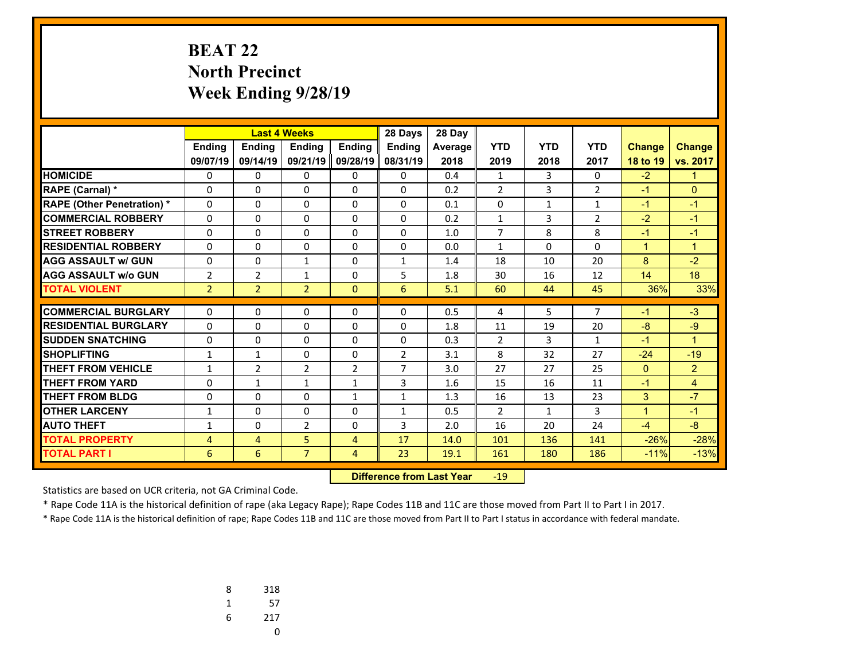# **BEAT 22 North Precinct Week Ending 9/28/19**

|                                   |                | <b>Last 4 Weeks</b> |                |                | 28 Days        | 28 Day  |                |                |                |               |                |
|-----------------------------------|----------------|---------------------|----------------|----------------|----------------|---------|----------------|----------------|----------------|---------------|----------------|
|                                   | Ending         | Ending              | <b>Endina</b>  | <b>Endina</b>  | <b>Endina</b>  | Average | <b>YTD</b>     | <b>YTD</b>     | <b>YTD</b>     | <b>Change</b> | <b>Change</b>  |
|                                   | 09/07/19       | 09/14/19            | 09/21/19       | 09/28/19       | 08/31/19       | 2018    | 2019           | 2018           | 2017           | 18 to 19      | vs. 2017       |
| <b>HOMICIDE</b>                   | 0              | 0                   | 0              | 0              | $\mathbf{0}$   | 0.4     | 1              | 3              | 0              | $-2$          | 1              |
| RAPE (Carnal) *                   | 0              | 0                   | 0              | $\Omega$       | 0              | 0.2     | $\overline{2}$ | $\overline{3}$ | $\overline{2}$ | $-1$          | $\Omega$       |
| <b>RAPE (Other Penetration) *</b> | $\Omega$       | $\Omega$            | $\Omega$       | $\mathbf{0}$   | $\mathbf{0}$   | 0.1     | 0              | $\mathbf{1}$   | $\mathbf{1}$   | $-1$          | $-1$           |
| <b>COMMERCIAL ROBBERY</b>         | $\Omega$       | $\Omega$            | $\Omega$       | $\Omega$       | $\Omega$       | 0.2     | 1              | 3              | $\overline{2}$ | $-2$          | $-1$           |
| <b>ISTREET ROBBERY</b>            | $\Omega$       | $\Omega$            | $\Omega$       | $\mathbf{0}$   | $\Omega$       | 1.0     | $\overline{7}$ | 8              | 8              | $-1$          | $-1$           |
| <b>RESIDENTIAL ROBBERY</b>        | 0              | 0                   | 0              | $\mathbf{0}$   | $\Omega$       | 0.0     | 1              | $\Omega$       | $\Omega$       | $\mathbf{1}$  | $\mathbf{1}$   |
| <b>AGG ASSAULT w/ GUN</b>         | $\Omega$       | $\Omega$            | $\mathbf{1}$   | $\mathbf{0}$   | $\mathbf{1}$   | 1.4     | 18             | 10             | 20             | 8             | $-2$           |
| <b>AGG ASSAULT w/o GUN</b>        | 2              | $\overline{2}$      | $\mathbf{1}$   | $\mathbf{0}$   | 5              | 1.8     | 30             | 16             | 12             | 14            | 18             |
| <b>TOTAL VIOLENT</b>              | $\overline{2}$ | $\overline{2}$      | $\overline{2}$ | $\mathbf{0}$   | 6              | 5.1     | 60             | 44             | 45             | 36%           | 33%            |
|                                   |                |                     |                |                |                |         |                |                |                |               |                |
| <b>COMMERCIAL BURGLARY</b>        | 0              | 0                   | 0              | $\mathbf{0}$   | 0              | 0.5     | 4              | 5              | 7              | $-1$          | $-3$           |
| <b>RESIDENTIAL BURGLARY</b>       | $\Omega$       | $\Omega$            | $\Omega$       | $\Omega$       | $\Omega$       | 1.8     | 11             | 19             | 20             | $-8$          | $-9$           |
| <b>SUDDEN SNATCHING</b>           | $\Omega$       | $\Omega$            | $\Omega$       | $\mathbf{0}$   | $\mathbf{0}$   | 0.3     | $\overline{2}$ | 3              | $\mathbf{1}$   | $-1$          | $\mathbf{1}$   |
| <b>SHOPLIFTING</b>                | $\mathbf{1}$   | $\mathbf{1}$        | 0              | 0              | $\overline{2}$ | 3.1     | 8              | 32             | 27             | $-24$         | $-19$          |
| <b>THEFT FROM VEHICLE</b>         | $\mathbf{1}$   | $\overline{2}$      | $\overline{2}$ | $\overline{2}$ | $\overline{7}$ | 3.0     | 27             | 27             | 25             | $\mathbf{0}$  | $\overline{2}$ |
| <b>THEFT FROM YARD</b>            | $\Omega$       | $\mathbf{1}$        | $\mathbf{1}$   | $\mathbf{1}$   | 3              | 1.6     | 15             | 16             | 11             | $-1$          | 4              |
| <b>THEFT FROM BLDG</b>            | 0              | $\Omega$            | 0              | $\mathbf{1}$   | $\mathbf{1}$   | 1.3     | 16             | 13             | 23             | 3             | $-7$           |
| <b>OTHER LARCENY</b>              | $\mathbf{1}$   | 0                   | $\Omega$       | $\mathbf{0}$   | $\mathbf{1}$   | 0.5     | $\overline{2}$ | $\mathbf{1}$   | 3              | $\mathbf{1}$  | $-1$           |
| <b>AUTO THEFT</b>                 | $\mathbf{1}$   | 0                   | $\overline{2}$ | $\Omega$       | 3.             | 2.0     | 16             | 20             | 24             | $-4$          | $-8$           |
| <b>TOTAL PROPERTY</b>             | $\overline{4}$ | 4                   | 5              | 4              | 17             | 14.0    | 101            | 136            | 141            | $-26%$        | $-28%$         |
| <b>TOTAL PART I</b>               | 6              | 6                   | $\overline{7}$ | 4              | 23             | 19.1    | 161            | 180            | 186            | $-11%$        | $-13%$         |

 **Difference from Last Year**‐19

Statistics are based on UCR criteria, not GA Criminal Code.

\* Rape Code 11A is the historical definition of rape (aka Legacy Rape); Rape Codes 11B and 11C are those moved from Part II to Part I in 2017.

| 8 | 318 |
|---|-----|
| 1 | 57  |
| 6 | 217 |
|   | U   |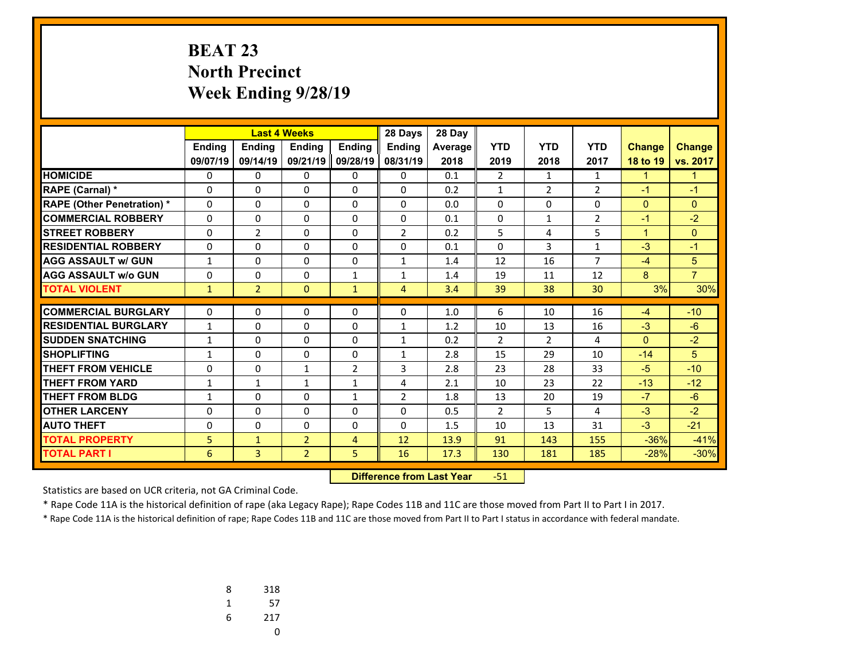# **BEAT 23 North Precinct Week Ending 9/28/19**

|                                   |                              |                | <b>Last 4 Weeks</b> |                                | 28 Days        | 28 Day  |                |                |                |                |                |
|-----------------------------------|------------------------------|----------------|---------------------|--------------------------------|----------------|---------|----------------|----------------|----------------|----------------|----------------|
|                                   | Ending                       | <b>Ending</b>  | <b>Endina</b>       | <b>Endina</b>                  | <b>Endina</b>  | Average | <b>YTD</b>     | <b>YTD</b>     | <b>YTD</b>     | <b>Change</b>  | <b>Change</b>  |
|                                   | 09/07/19                     | 09/14/19       | 09/21/19            | 09/28/19                       | 08/31/19       | 2018    | 2019           | 2018           | 2017           | 18 to 19       | vs. 2017       |
| <b>HOMICIDE</b>                   | 0                            | 0              | 0                   | 0                              | 0              | 0.1     | $\overline{2}$ | $\mathbf{1}$   | $\mathbf{1}$   | $\mathbf{1}$   | $\mathbf{1}$   |
| RAPE (Carnal) *                   | 0                            | $\Omega$       | $\Omega$            | 0                              | $\Omega$       | 0.2     | $\mathbf{1}$   | $\overline{2}$ | $\overline{2}$ | $-1$           | $-1$           |
| <b>RAPE (Other Penetration) *</b> | 0                            | 0              | $\Omega$            | $\Omega$                       | $\Omega$       | 0.0     | 0              | $\Omega$       | $\Omega$       | $\overline{0}$ | $\mathbf{0}$   |
| <b>COMMERCIAL ROBBERY</b>         | $\Omega$                     | 0              | $\Omega$            | $\Omega$                       | $\Omega$       | 0.1     | $\Omega$       | $\mathbf{1}$   | $\overline{2}$ | $-1$           | $-2$           |
| <b>STREET ROBBERY</b>             | $\Omega$                     | $\overline{2}$ | $\Omega$            | $\Omega$                       | $\overline{2}$ | 0.2     | 5              | 4              | 5              | $\mathbf{1}$   | $\Omega$       |
| <b>RESIDENTIAL ROBBERY</b>        | 0                            | 0              | $\Omega$            | $\Omega$                       | $\Omega$       | 0.1     | $\Omega$       | 3              | 1              | $-3$           | $-1$           |
| <b>AGG ASSAULT w/ GUN</b>         | $\mathbf{1}$                 | $\Omega$       | $\Omega$            | $\Omega$                       | $\mathbf{1}$   | 1.4     | 12             | 16             | $\overline{7}$ | $-4$           | 5              |
| <b>AGG ASSAULT w/o GUN</b>        | 0                            | 0              | $\Omega$            | $\mathbf{1}$                   | $\mathbf{1}$   | 1.4     | 19             | 11             | 12             | 8              | $\overline{7}$ |
| <b>TOTAL VIOLENT</b>              | $\mathbf{1}$                 | $\overline{2}$ | $\Omega$            | $\mathbf{1}$                   | 4              | 3.4     | 39             | 38             | 30             | 3%             | 30%            |
| <b>COMMERCIAL BURGLARY</b>        | 0                            | 0              | 0                   | 0                              | 0              | 1.0     | 6              | 10             | 16             | $-4$           | $-10$          |
| <b>RESIDENTIAL BURGLARY</b>       |                              | 0              | 0                   | $\Omega$                       | $\mathbf{1}$   | 1.2     | 10             | 13             | 16             | $-3$           | $-6$           |
| <b>SUDDEN SNATCHING</b>           | $\mathbf{1}$<br>$\mathbf{1}$ | $\Omega$       | $\Omega$            | 0                              | $\mathbf{1}$   | 0.2     | $\overline{2}$ | $\overline{2}$ | 4              | $\Omega$       | $-2$           |
| <b>SHOPLIFTING</b>                | $\mathbf{1}$                 | 0              | $\Omega$            | $\Omega$                       | $\overline{1}$ | 2.8     | 15             | 29             | 10             | $-14$          | 5              |
| <b>THEFT FROM VEHICLE</b>         | $\Omega$                     | 0              | 1                   |                                | 3              | 2.8     | 23             | 28             | 33             | $-5$           | $-10$          |
| <b>THEFT FROM YARD</b>            | $\mathbf{1}$                 | $\mathbf{1}$   | $\mathbf{1}$        | $\overline{2}$<br>$\mathbf{1}$ | 4              | 2.1     | 10             | 23             | 22             | $-13$          | $-12$          |
| <b>THEFT FROM BLDG</b>            | $\mathbf{1}$                 | $\Omega$       | $\Omega$            | $\mathbf{1}$                   | $\overline{2}$ | 1.8     | 13             | 20             | 19             | $-7$           | $-6$           |
| <b>OTHER LARCENY</b>              |                              |                |                     |                                |                |         |                | 5              | 4              | $-3$           | $-2$           |
|                                   | $\Omega$                     | 0              | $\Omega$            | $\Omega$                       | $\Omega$       | 0.5     | $\overline{2}$ |                |                |                |                |
| <b>AUTO THEFT</b>                 | 0                            | $\Omega$       | 0                   | 0                              | $\Omega$       | 1.5     | 10             | 13             | 31             | $-3$           | $-21$          |
| <b>TOTAL PROPERTY</b>             | 5                            | $\mathbf{1}$   | $\overline{2}$      | 4                              | 12             | 13.9    | 91             | 143            | 155            | $-36%$         | $-41%$         |
| <b>TOTAL PART I</b>               | 6                            | 3              | $\overline{2}$      | 5                              | 16             | 17.3    | 130            | 181            | 185            | $-28%$         | $-30%$         |

 **Difference from Last Year**r -51

Statistics are based on UCR criteria, not GA Criminal Code.

\* Rape Code 11A is the historical definition of rape (aka Legacy Rape); Rape Codes 11B and 11C are those moved from Part II to Part I in 2017.

| 8 | 318 |
|---|-----|
| 1 | 57  |
| 6 | 217 |
|   | U   |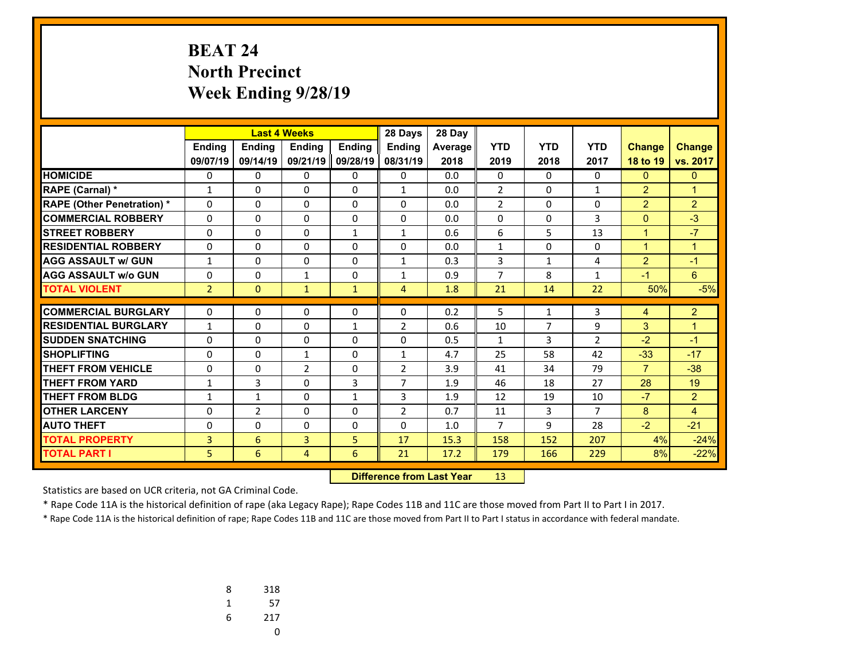# **BEAT 24 North Precinct Week Ending 9/28/19**

|                                   |                |                | <b>Last 4 Weeks</b> |               | 28 Days        | 28 Day  |                |                     |                |                |                |
|-----------------------------------|----------------|----------------|---------------------|---------------|----------------|---------|----------------|---------------------|----------------|----------------|----------------|
|                                   | Ending         | <b>Ending</b>  | <b>Endina</b>       | <b>Endina</b> | <b>Endina</b>  | Average | <b>YTD</b>     | <b>YTD</b>          | <b>YTD</b>     | <b>Change</b>  | <b>Change</b>  |
|                                   | 09/07/19       | 09/14/19       | 09/21/19            | 09/28/19      | 08/31/19       | 2018    | 2019           | 2018                | 2017           | 18 to 19       | vs. 2017       |
| <b>HOMICIDE</b>                   | 0              | 0              | 0                   | 0             | 0              | 0.0     | 0              | $\Omega$            | 0              | $\mathbf{0}$   | $\mathbf{0}$   |
| RAPE (Carnal) *                   | $\mathbf{1}$   | $\Omega$       | $\Omega$            | 0             | $\mathbf{1}$   | 0.0     | $\overline{2}$ | $\Omega$            | 1              | $\overline{2}$ | $\mathbf{1}$   |
| <b>RAPE (Other Penetration) *</b> | 0              | 0              | $\Omega$            | $\Omega$      | $\Omega$       | 0.0     | $\overline{2}$ | $\Omega$            | $\Omega$       | $\overline{2}$ | $\overline{2}$ |
| <b>COMMERCIAL ROBBERY</b>         | $\Omega$       | 0              | $\Omega$            | $\Omega$      | $\Omega$       | 0.0     | $\Omega$       | $\Omega$            | 3              | $\mathbf{0}$   | $-3$           |
| <b>STREET ROBBERY</b>             | $\Omega$       | 0              | $\Omega$            | $\mathbf{1}$  | $\mathbf{1}$   | 0.6     | 6              | 5                   | 13             | $\mathbf{1}$   | $-7$           |
| <b>RESIDENTIAL ROBBERY</b>        | 0              | 0              | $\Omega$            | $\Omega$      | $\Omega$       | 0.0     | $\mathbf{1}$   | $\Omega$            | $\Omega$       | $\mathbf{1}$   | $\mathbf{1}$   |
| <b>AGG ASSAULT w/ GUN</b>         | $\mathbf{1}$   | $\Omega$       | 0                   | $\Omega$      | $\mathbf{1}$   | 0.3     | 3              | $\mathbf{1}$        | 4              | $\overline{2}$ | $-1$           |
| <b>AGG ASSAULT w/o GUN</b>        | 0              | 0              | $\mathbf{1}$        | $\Omega$      | $\mathbf{1}$   | 0.9     | $\overline{7}$ | 8                   | $\mathbf{1}$   | $-1$           | 6              |
| <b>TOTAL VIOLENT</b>              | $\overline{2}$ | $\Omega$       | $\mathbf{1}$        | $\mathbf{1}$  | 4              | 1.8     | 21             | 14                  | 22             | 50%            | $-5%$          |
| <b>COMMERCIAL BURGLARY</b>        | 0              | 0              |                     |               | 0              | 0.2     | 5              |                     | 3              |                | $\overline{2}$ |
| <b>RESIDENTIAL BURGLARY</b>       |                |                | 0                   | 0             |                | 0.6     |                | 1<br>$\overline{7}$ |                | 4              |                |
|                                   | $\mathbf{1}$   | 0              | 0                   | $\mathbf{1}$  | $\overline{2}$ |         | 10             |                     | 9              | 3              | $\mathbf{1}$   |
| <b>SUDDEN SNATCHING</b>           | $\Omega$       | $\Omega$       | 0                   | 0             | $\Omega$       | 0.5     | $\mathbf{1}$   | 3                   | $\overline{2}$ | $-2$           | $-1$           |
| <b>SHOPLIFTING</b>                | $\Omega$       | 0              | $\mathbf{1}$        | $\Omega$      | $\mathbf{1}$   | 4.7     | 25             | 58                  | 42             | $-33$          | $-17$          |
| <b>THEFT FROM VEHICLE</b>         | $\Omega$       | 0              | $\overline{2}$      | $\Omega$      | $\overline{2}$ | 3.9     | 41             | 34                  | 79             | $\overline{7}$ | $-38$          |
| <b>THEFT FROM YARD</b>            | $\mathbf{1}$   | 3              | 0                   | 3             | 7              | 1.9     | 46             | 18                  | 27             | 28             | 19             |
| <b>THEFT FROM BLDG</b>            | $\mathbf{1}$   | $\mathbf{1}$   | 0                   | $\mathbf{1}$  | 3              | 1.9     | 12             | 19                  | 10             | $-7$           | $\overline{2}$ |
| <b>OTHER LARCENY</b>              | $\Omega$       | $\overline{2}$ | 0                   | $\Omega$      | $\overline{2}$ | 0.7     | 11             | $\overline{3}$      | $\overline{7}$ | 8              | 4              |
| <b>AUTO THEFT</b>                 | 0              | $\Omega$       | 0                   | 0             | $\Omega$       | 1.0     | $\overline{7}$ | 9                   | 28             | $-2$           | $-21$          |
| <b>TOTAL PROPERTY</b>             | 3              | 6              | 3                   | 5             | 17             | 15.3    | 158            | 152                 | 207            | 4%             | $-24%$         |
| <b>TOTAL PART I</b>               | 5              | 6              | 4                   | 6             | 21             | 17.2    | 179            | 166                 | 229            | 8%             | $-22%$         |

 **Difference from Last Year**r 13

Statistics are based on UCR criteria, not GA Criminal Code.

\* Rape Code 11A is the historical definition of rape (aka Legacy Rape); Rape Codes 11B and 11C are those moved from Part II to Part I in 2017.

| 8 | 318 |
|---|-----|
| 1 | 57  |
| 6 | 217 |
|   | U   |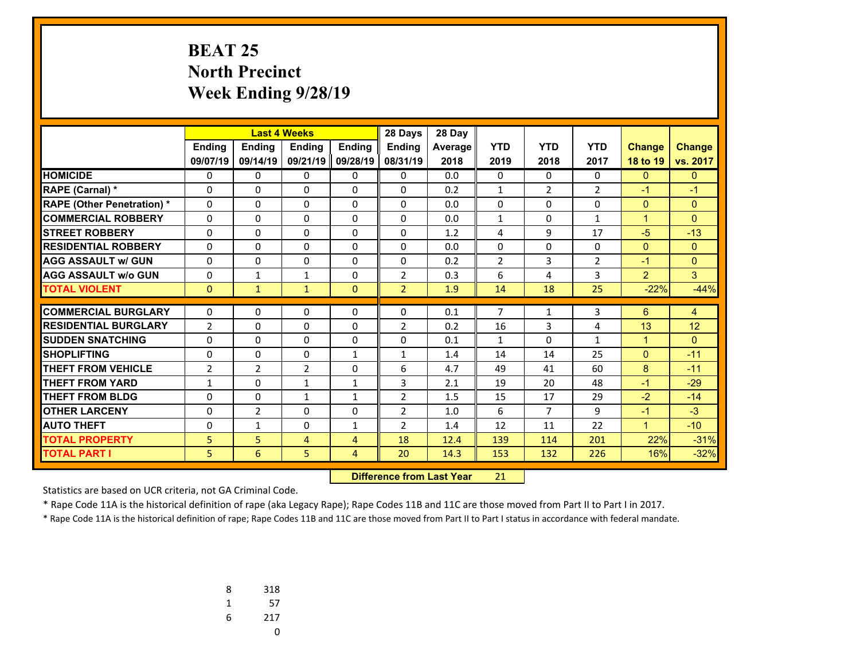# **BEAT 25 North Precinct Week Ending 9/28/19**

|                                   |                | <b>Last 4 Weeks</b> |                |                | 28 Days        | 28 Day  |                |                |                |                |               |
|-----------------------------------|----------------|---------------------|----------------|----------------|----------------|---------|----------------|----------------|----------------|----------------|---------------|
|                                   | <b>Ending</b>  | Ending              | <b>Endina</b>  | <b>Endina</b>  | <b>Endina</b>  | Average | <b>YTD</b>     | <b>YTD</b>     | <b>YTD</b>     | <b>Change</b>  | <b>Change</b> |
|                                   | 09/07/19       | 09/14/19            | 09/21/19       | 09/28/19       | 08/31/19       | 2018    | 2019           | 2018           | 2017           | 18 to 19       | vs. 2017      |
| <b>HOMICIDE</b>                   | 0              | 0                   | 0              | 0              | $\mathbf{0}$   | 0.0     | 0              | $\Omega$       | 0              | $\mathbf{0}$   | $\mathbf{0}$  |
| <b>RAPE (Carnal) *</b>            | 0              | $\Omega$            | $\Omega$       | $\Omega$       | $\Omega$       | 0.2     | 1              | $\overline{2}$ | $\overline{2}$ | $-1$           | $-1$          |
| <b>RAPE (Other Penetration) *</b> | $\Omega$       | $\Omega$            | $\Omega$       | $\mathbf{0}$   | $\mathbf{0}$   | 0.0     | 0              | 0              | $\Omega$       | $\overline{0}$ | $\mathbf{0}$  |
| <b>COMMERCIAL ROBBERY</b>         | $\Omega$       | $\Omega$            | $\Omega$       | $\Omega$       | $\mathbf{0}$   | 0.0     | $\mathbf{1}$   | 0              | $\mathbf{1}$   | $\mathbf{1}$   | $\Omega$      |
| <b>STREET ROBBERY</b>             | $\Omega$       | $\Omega$            | $\Omega$       | $\mathbf{0}$   | $\Omega$       | 1.2     | 4              | 9              | 17             | $-5$           | $-13$         |
| <b>RESIDENTIAL ROBBERY</b>        | 0              | $\Omega$            | $\Omega$       | $\Omega$       | $\Omega$       | 0.0     | $\Omega$       | 0              | $\Omega$       | $\mathbf{0}$   | $\Omega$      |
| <b>AGG ASSAULT w/ GUN</b>         | 0              | 0                   | 0              | $\mathbf{0}$   | $\Omega$       | 0.2     | $\overline{2}$ | 3              | $\overline{2}$ | $-1$           | $\Omega$      |
| <b>AGG ASSAULT w/o GUN</b>        | 0              | $\mathbf{1}$        | $\mathbf{1}$   | $\mathbf{0}$   | $\overline{2}$ | 0.3     | 6              | 4              | 3              | $\overline{2}$ | 3             |
| <b>TOTAL VIOLENT</b>              | $\Omega$       | $\mathbf{1}$        | $\mathbf{1}$   | $\mathbf{0}$   | $\overline{2}$ | 1.9     | 14             | 18             | 25             | $-22%$         | $-44%$        |
| <b>COMMERCIAL BURGLARY</b>        |                |                     |                |                |                |         | 7              |                |                |                |               |
|                                   | 0              | 0                   | 0              | $\mathbf{0}$   | 0              | 0.1     |                | $\mathbf{1}$   | 3              | 6              | 4             |
| <b>RESIDENTIAL BURGLARY</b>       | $\overline{2}$ | $\Omega$            | $\Omega$       | $\mathbf{0}$   | $\overline{2}$ | 0.2     | 16             | 3              | 4              | 13             | 12            |
| <b>SUDDEN SNATCHING</b>           | 0              | $\Omega$            | $\Omega$       | $\mathbf{0}$   | $\Omega$       | 0.1     | $\mathbf{1}$   | $\Omega$       | $\mathbf{1}$   | $\mathbf{1}$   | $\Omega$      |
| <b>SHOPLIFTING</b>                | $\Omega$       | $\Omega$            | $\Omega$       | $\mathbf{1}$   | $\mathbf{1}$   | 1.4     | 14             | 14             | 25             | $\mathbf{0}$   | $-11$         |
| <b>THEFT FROM VEHICLE</b>         | $\overline{2}$ | $\overline{2}$      | $\overline{2}$ | $\Omega$       | 6              | 4.7     | 49             | 41             | 60             | 8              | $-11$         |
| <b>THEFT FROM YARD</b>            | $\mathbf{1}$   | $\Omega$            | $\mathbf{1}$   | $\mathbf{1}$   | 3              | 2.1     | 19             | 20             | 48             | $-1$           | $-29$         |
| <b>THEFT FROM BLDG</b>            | 0              | $\Omega$            | $\mathbf{1}$   | $\mathbf{1}$   | $\overline{2}$ | 1.5     | 15             | 17             | 29             | $-2$           | $-14$         |
| <b>OTHER LARCENY</b>              | 0              | 2                   | $\Omega$       | $\Omega$       | $\overline{2}$ | 1.0     | 6              | $\overline{7}$ | 9              | $-1$           | $-3$          |
| <b>AUTO THEFT</b>                 | 0              | $\mathbf{1}$        | 0              | $\mathbf{1}$   | $\overline{2}$ | 1.4     | 12             | 11             | 22             | $\mathbf{1}$   | $-10$         |
| <b>TOTAL PROPERTY</b>             | $\overline{5}$ | 5                   | 4              | $\overline{4}$ | 18             | 12.4    | 139            | 114            | 201            | 22%            | $-31%$        |
| <b>TOTAL PART I</b>               | 5              | 6                   | 5              | 4              | 20             | 14.3    | 153            | 132            | 226            | 16%            | $-32%$        |

 **Difference from Last Year**r 21

Statistics are based on UCR criteria, not GA Criminal Code.

\* Rape Code 11A is the historical definition of rape (aka Legacy Rape); Rape Codes 11B and 11C are those moved from Part II to Part I in 2017.

| 8 | 318 |
|---|-----|
| 1 | 57  |
| 6 | 217 |
|   | U   |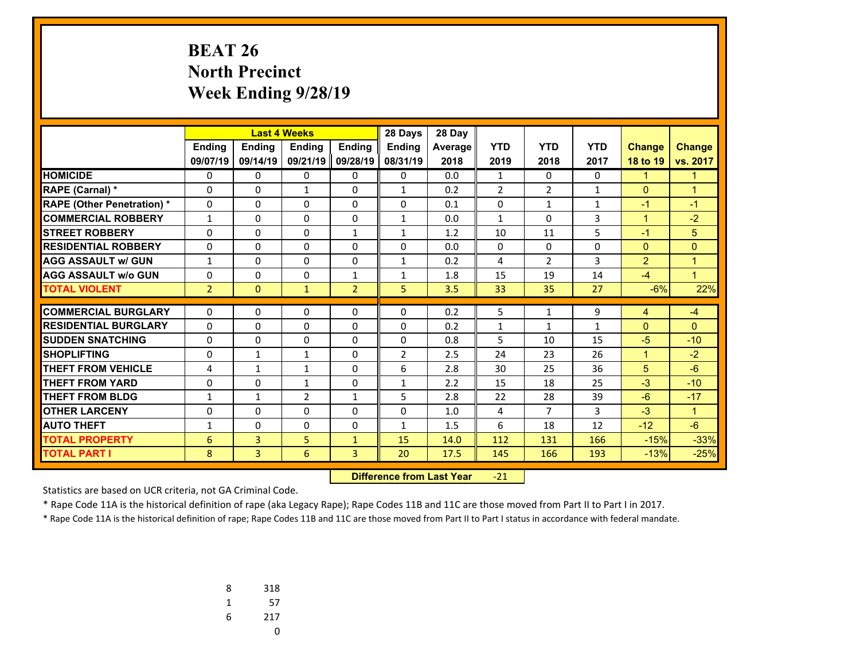# **BEAT 26 North Precinct Week Ending 9/28/19**

|                                   |                | <b>Last 4 Weeks</b>          |                              |                | 28 Days        | 28 Day         |                |                    |            |                   |               |
|-----------------------------------|----------------|------------------------------|------------------------------|----------------|----------------|----------------|----------------|--------------------|------------|-------------------|---------------|
|                                   | Ending         | Ending                       | Ending                       | <b>Ending</b>  | <b>Ending</b>  | <b>Average</b> | <b>YTD</b>     | <b>YTD</b>         | <b>YTD</b> | <b>Change</b>     | <b>Change</b> |
|                                   | 09/07/19       | 09/14/19                     | 09/21/19                     | 09/28/19       | 08/31/19       | 2018           | 2019           | 2018               | 2017       | 18 to 19          | vs. 2017      |
| <b>HOMICIDE</b>                   | 0              | 0                            | 0                            | 0              | $\Omega$       | 0.0            | $\mathbf{1}$   | 0                  | $\Omega$   | $\mathbf{1}$      | $\mathbf{1}$  |
| <b>RAPE (Carnal) *</b>            | $\Omega$       | $\Omega$                     | 1                            | $\Omega$       | $\mathbf{1}$   | 0.2            | $\overline{2}$ | $\overline{2}$     | 1          | $\mathbf{0}$      | $\mathbf{1}$  |
| <b>RAPE (Other Penetration) *</b> | $\Omega$       | $\Omega$                     | $\Omega$                     | $\Omega$       | $\Omega$       | 0.1            | 0              | 1                  | 1          | $-1$              | $-1$          |
| <b>COMMERCIAL ROBBERY</b>         | $\mathbf{1}$   | 0                            | $\Omega$                     | $\Omega$       | $\mathbf{1}$   | 0.0            | $\mathbf{1}$   | $\Omega$           | 3          | $\mathbf{1}$      | $-2$          |
| <b>STREET ROBBERY</b>             | 0              | 0                            | 0                            | $\mathbf{1}$   | $\mathbf{1}$   | 1.2            | 10             | 11                 | 5          | $-1$              | 5             |
| <b>RESIDENTIAL ROBBERY</b>        | $\Omega$       | 0                            | $\Omega$                     | $\Omega$       | $\Omega$       | 0.0            | $\Omega$       | $\Omega$           | $\Omega$   | $\mathbf{0}$      | $\Omega$      |
| <b>AGG ASSAULT w/ GUN</b>         | 1              | 0                            | $\Omega$                     | 0              | $\mathbf{1}$   | 0.2            | 4              | $\overline{2}$     | 3          | $\overline{2}$    | $\mathbf{1}$  |
| <b>AGG ASSAULT w/o GUN</b>        | 0              | $\Omega$                     | $\Omega$                     | $\mathbf{1}$   | $\mathbf{1}$   | 1.8            | 15             | 19                 | 14         | $-4$              | $\mathbf{1}$  |
| <b>TOTAL VIOLENT</b>              | $\overline{2}$ | $\Omega$                     | $\mathbf{1}$                 | $\overline{2}$ | 5              | 3.5            | 33             | 35                 | 27         | $-6%$             | 22%           |
| <b>COMMERCIAL BURGLARY</b>        | 0              | 0                            | $\Omega$                     | 0              | 0              | 0.2            | 5              | 1                  | 9          |                   | $-4$          |
| <b>RESIDENTIAL BURGLARY</b>       | $\Omega$       | 0                            |                              |                | $\Omega$       |                |                |                    |            | 4<br>$\mathbf{0}$ | $\Omega$      |
| <b>SUDDEN SNATCHING</b>           | $\Omega$       | 0                            | 0<br>$\Omega$                | 0<br>$\Omega$  | $\Omega$       | 0.2<br>0.8     | 1<br>5         | $\mathbf{1}$<br>10 | 1<br>15    | $-5$              | $-10$         |
| <b>SHOPLIFTING</b>                | $\Omega$       |                              |                              | $\Omega$       | $\overline{2}$ | 2.5            | 24             | 23                 | 26         | $\mathbf{1}$      | $-2$          |
| <b>THEFT FROM VEHICLE</b>         | 4              | $\mathbf{1}$<br>$\mathbf{1}$ | $\mathbf{1}$<br>$\mathbf{1}$ | $\Omega$       | 6              | 2.8            | 30             | 25                 | 36         | 5                 | $-6$          |
| <b>THEFT FROM YARD</b>            | 0              | 0                            |                              | 0              | $\mathbf{1}$   | 2.2            | 15             | 18                 | 25         | $-3$              | $-10$         |
| <b>THEFT FROM BLDG</b>            |                |                              | 1                            | $\mathbf{1}$   | 5              | 2.8            |                | 28                 | 39         | $-6$              | $-17$         |
| <b>OTHER LARCENY</b>              | $\mathbf{1}$   | $\mathbf{1}$                 | $\overline{2}$               |                | $\Omega$       |                | 22             | $\overline{7}$     | 3          | $-3$              |               |
|                                   | 0              | 0                            | $\Omega$                     | 0              |                | 1.0            | 4              |                    |            |                   | $\mathbf{1}$  |
| <b>AUTO THEFT</b>                 | $\mathbf{1}$   | $\Omega$                     | $\Omega$                     | $\Omega$       | $\mathbf{1}$   | 1.5            | 6              | 18                 | 12         | $-12$             | $-6$          |
| <b>TOTAL PROPERTY</b>             | 6              | 3                            | 5                            | $\mathbf{1}$   | 15             | 14.0           | 112            | 131                | 166        | $-15%$            | $-33%$        |
| <b>TOTAL PART I</b>               | 8              | $\overline{3}$               | 6                            | 3              | 20             | 17.5           | 145            | 166                | 193        | $-13%$            | $-25%$        |

 **Difference from Last Year**‐21

Statistics are based on UCR criteria, not GA Criminal Code.

\* Rape Code 11A is the historical definition of rape (aka Legacy Rape); Rape Codes 11B and 11C are those moved from Part II to Part I in 2017.

| 8 | 318 |
|---|-----|
| 1 | 57  |
| 6 | 217 |
|   | O   |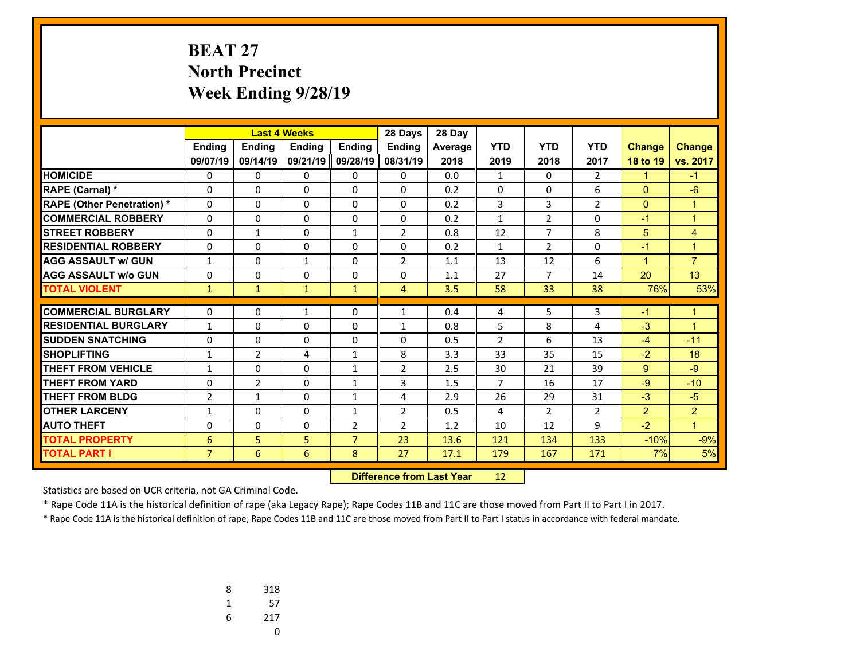# **BEAT 27 North Precinct Week Ending 9/28/19**

|                                   | <b>Last 4 Weeks</b> |                |              | 28 Days        | 28 Day         |         |                |                |                |                |                |
|-----------------------------------|---------------------|----------------|--------------|----------------|----------------|---------|----------------|----------------|----------------|----------------|----------------|
|                                   | <b>Ending</b>       | Ending         | Ending       | <b>Ending</b>  | <b>Ending</b>  | Average | <b>YTD</b>     | <b>YTD</b>     | <b>YTD</b>     | <b>Change</b>  | <b>Change</b>  |
|                                   | 09/07/19            | 09/14/19       | 09/21/19     | 09/28/19       | 08/31/19       | 2018    | 2019           | 2018           | 2017           | 18 to 19       | vs. 2017       |
| <b>HOMICIDE</b>                   | 0                   | 0              | 0            | $\Omega$       | $\mathbf{0}$   | 0.0     | 1              | $\mathbf{0}$   | $\overline{2}$ | $\mathbf{1}$   | $-1$           |
| <b>RAPE (Carnal)*</b>             | 0                   | $\Omega$       | $\Omega$     | $\mathbf{0}$   | $\Omega$       | 0.2     | $\Omega$       | 0              | 6              | $\mathbf{0}$   | $-6$           |
| <b>RAPE (Other Penetration) *</b> | $\Omega$            | $\Omega$       | $\Omega$     | $\mathbf{0}$   | $\mathbf{0}$   | 0.2     | 3              | 3              | $\overline{2}$ | $\mathbf{0}$   | $\mathbf{1}$   |
| <b>COMMERCIAL ROBBERY</b>         | $\Omega$            | 0              | 0            | 0              | $\mathbf{0}$   | 0.2     | 1              | $\overline{2}$ | $\Omega$       | $-1$           | $\mathbf{1}$   |
| <b>STREET ROBBERY</b>             | $\Omega$            | $\mathbf{1}$   | $\Omega$     | $\mathbf{1}$   | $\overline{2}$ | 0.8     | 12             | $\overline{7}$ | 8              | 5              | 4              |
| <b>RESIDENTIAL ROBBERY</b>        | $\Omega$            | $\Omega$       | $\Omega$     | $\Omega$       | $\Omega$       | 0.2     | $\mathbf{1}$   | $\overline{2}$ | $\Omega$       | $-1$           | $\mathbf{1}$   |
| <b>AGG ASSAULT w/ GUN</b>         | $\mathbf{1}$        | $\Omega$       | $\mathbf{1}$ | $\mathbf{0}$   | $\overline{2}$ | 1.1     | 13             | 12             | 6              | $\mathbf{1}$   | $\overline{7}$ |
| <b>AGG ASSAULT w/o GUN</b>        | 0                   | 0              | 0            | $\Omega$       | $\mathbf{0}$   | 1.1     | 27             | $\overline{7}$ | 14             | 20             | 13             |
| <b>TOTAL VIOLENT</b>              | $\mathbf{1}$        | $\mathbf{1}$   | $\mathbf{1}$ | $\mathbf{1}$   | 4              | 3.5     | 58             | 33             | 38             | 76%            | 53%            |
| <b>COMMERCIAL BURGLARY</b>        |                     |                |              |                |                |         |                |                |                |                |                |
|                                   | $\Omega$            | 0              | $\mathbf{1}$ | $\mathbf{0}$   | $\mathbf{1}$   | 0.4     | 4              | 5              | 3              | $-1$           | $\mathbf{1}$   |
| <b>RESIDENTIAL BURGLARY</b>       | 1                   | $\Omega$       | $\Omega$     | $\mathbf{0}$   | $\mathbf{1}$   | 0.8     | 5              | 8              | 4              | $-3$           | $\mathbf{1}$   |
| <b>SUDDEN SNATCHING</b>           | 0                   | $\Omega$       | $\Omega$     | $\mathbf{0}$   | $\mathbf{0}$   | 0.5     | $\overline{2}$ | 6              | 13             | $-4$           | $-11$          |
| <b>SHOPLIFTING</b>                | $\mathbf{1}$        | 2              | 4            | $\mathbf{1}$   | 8              | 3.3     | 33             | 35             | 15             | $-2$           | 18             |
| <b>THEFT FROM VEHICLE</b>         | $\mathbf{1}$        | 0              | 0            | $\mathbf{1}$   | $\overline{2}$ | 2.5     | 30             | 21             | 39             | 9              | $-9$           |
| <b>THEFT FROM YARD</b>            | $\Omega$            | $\overline{2}$ | $\Omega$     | $\mathbf{1}$   | 3              | 1.5     | $\overline{7}$ | 16             | 17             | $-9$           | $-10$          |
| <b>THEFT FROM BLDG</b>            | $\overline{2}$      | $\mathbf{1}$   | $\Omega$     | $\mathbf{1}$   | 4              | 2.9     | 26             | 29             | 31             | $-3$           | $-5$           |
| <b>OTHER LARCENY</b>              | $\mathbf{1}$        | $\Omega$       | 0            | $\mathbf{1}$   | $\overline{2}$ | 0.5     | 4              | $\overline{2}$ | $\overline{2}$ | $\overline{2}$ | $\overline{2}$ |
| <b>AUTO THEFT</b>                 | 0                   | $\Omega$       | $\Omega$     | $\overline{2}$ | $\overline{2}$ | 1.2     | 10             | 12             | 9              | $-2$           | $\mathbf{1}$   |
| <b>TOTAL PROPERTY</b>             | 6                   | 5              | 5            | $\overline{7}$ | 23             | 13.6    | 121            | 134            | 133            | $-10%$         | $-9%$          |
| <b>TOTAL PART I</b>               | $\overline{7}$      | 6              | 6            | 8              | 27             | 17.1    | 179            | 167            | 171            | 7%             | 5%             |

 **Difference from Last Year**r 12

Statistics are based on UCR criteria, not GA Criminal Code.

\* Rape Code 11A is the historical definition of rape (aka Legacy Rape); Rape Codes 11B and 11C are those moved from Part II to Part I in 2017.

| 8 | 318 |
|---|-----|
| 1 | 57  |
| 6 | 217 |
|   | U   |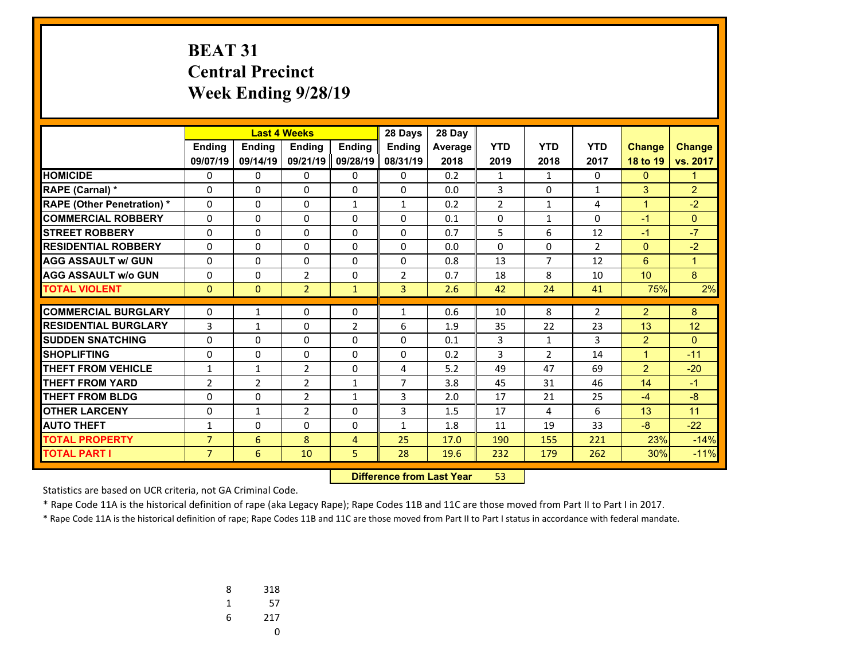# **BEAT 31 Central Precinct Week Ending 9/28/19**

|                                   |                |                | <b>Last 4 Weeks</b> |                | 28 Days        | 28 Day  |                |                |                |                |                |
|-----------------------------------|----------------|----------------|---------------------|----------------|----------------|---------|----------------|----------------|----------------|----------------|----------------|
|                                   | <b>Endina</b>  | <b>Ending</b>  | <b>Endina</b>       | <b>Endina</b>  | <b>Endina</b>  | Average | <b>YTD</b>     | <b>YTD</b>     | <b>YTD</b>     | <b>Change</b>  | <b>Change</b>  |
|                                   | 09/07/19       | 09/14/19       | 09/21/19            | 09/28/19       | 08/31/19       | 2018    | 2019           | 2018           | 2017           | 18 to 19       | vs. 2017       |
| <b>HOMICIDE</b>                   | 0              | 0              | 0                   | 0              | 0              | 0.2     | 1              | $\mathbf{1}$   | $\Omega$       | $\mathbf{0}$   | $\mathbf{1}$   |
| <b>RAPE (Carnal) *</b>            | 0              | 0              | 0                   | $\Omega$       | $\Omega$       | 0.0     | 3              | $\Omega$       | $\mathbf{1}$   | 3              | $\overline{2}$ |
| <b>RAPE (Other Penetration) *</b> | 0              | $\Omega$       | $\Omega$            | $\mathbf{1}$   | $\mathbf{1}$   | 0.2     | $\overline{2}$ | $\mathbf{1}$   | 4              | $\mathbf{1}$   | $-2$           |
| <b>COMMERCIAL ROBBERY</b>         | 0              | 0              | $\Omega$            | $\Omega$       | $\Omega$       | 0.1     | $\Omega$       | $\mathbf{1}$   | $\Omega$       | $-1$           | $\Omega$       |
| <b>STREET ROBBERY</b>             | 0              | $\Omega$       | $\Omega$            | 0              | $\Omega$       | 0.7     | 5              | 6              | 12             | $-1$           | $-7$           |
| <b>RESIDENTIAL ROBBERY</b>        | 0              | 0              | 0                   | $\Omega$       | $\Omega$       | 0.0     | $\Omega$       | $\Omega$       | $\overline{2}$ | $\mathbf{0}$   | $-2$           |
| <b>AGG ASSAULT w/ GUN</b>         | 0              | 0              | 0                   | 0              | $\Omega$       | 0.8     | 13             | $\overline{7}$ | 12             | 6              | $\mathbf{1}$   |
| <b>AGG ASSAULT w/o GUN</b>        | 0              | 0              | $\overline{2}$      | $\Omega$       | $\overline{2}$ | 0.7     | 18             | 8              | 10             | 10             | 8              |
| <b>TOTAL VIOLENT</b>              | $\mathbf{0}$   | $\mathbf{0}$   | $\overline{2}$      | $\mathbf{1}$   | $\overline{3}$ | 2.6     | 42             | 24             | 41             | 75%            | 2%             |
|                                   |                |                |                     |                |                |         |                |                |                |                |                |
| <b>COMMERCIAL BURGLARY</b>        | 0              | 1              | 0                   | 0              | 1              | 0.6     | 10             | 8              | $\overline{2}$ | $\overline{2}$ | 8              |
| <b>RESIDENTIAL BURGLARY</b>       | 3              | $\mathbf{1}$   | 0                   | $\overline{2}$ | 6              | 1.9     | 35             | 22             | 23             | 13             | 12             |
| <b>SUDDEN SNATCHING</b>           | $\Omega$       | 0              | 0                   | $\Omega$       | $\Omega$       | 0.1     | 3              | $\mathbf{1}$   | 3              | $\overline{2}$ | $\Omega$       |
| <b>SHOPLIFTING</b>                | 0              | 0              | 0                   | $\Omega$       | $\Omega$       | 0.2     | 3              | $\overline{2}$ | 14             | $\mathbf{1}$   | $-11$          |
| <b>THEFT FROM VEHICLE</b>         | 1              | $\mathbf{1}$   | $\overline{2}$      | 0              | 4              | 5.2     | 49             | 47             | 69             | $\overline{2}$ | $-20$          |
| <b>THEFT FROM YARD</b>            | $\overline{2}$ | $\overline{2}$ | $\overline{2}$      | $\mathbf 1$    | $\overline{7}$ | 3.8     | 45             | 31             | 46             | 14             | $-1$           |
| <b>THEFT FROM BLDG</b>            | 0              | 0              | $\overline{2}$      | $\mathbf{1}$   | 3              | 2.0     | 17             | 21             | 25             | $-4$           | $-8$           |
| <b>OTHER LARCENY</b>              | $\Omega$       | $\mathbf{1}$   | $\overline{2}$      | $\Omega$       | 3              | 1.5     | 17             | 4              | 6              | 13             | 11             |
| <b>AUTO THEFT</b>                 | $\mathbf{1}$   | $\Omega$       | 0                   | 0              | $\mathbf{1}$   | 1.8     | 11             | 19             | 33             | $-8$           | $-22$          |
| <b>TOTAL PROPERTY</b>             | $\overline{7}$ | 6              | 8                   | 4              | 25             | 17.0    | 190            | 155            | 221            | 23%            | $-14%$         |
| <b>TOTAL PART I</b>               | $\overline{7}$ | 6              | 10                  | 5              | 28             | 19.6    | 232            | 179            | 262            | 30%            | $-11%$         |

 **Difference from Last Year**r 53

Statistics are based on UCR criteria, not GA Criminal Code.

\* Rape Code 11A is the historical definition of rape (aka Legacy Rape); Rape Codes 11B and 11C are those moved from Part II to Part I in 2017.

| 8 | 318 |
|---|-----|
| 1 | 57  |
| 6 | 217 |
|   | U   |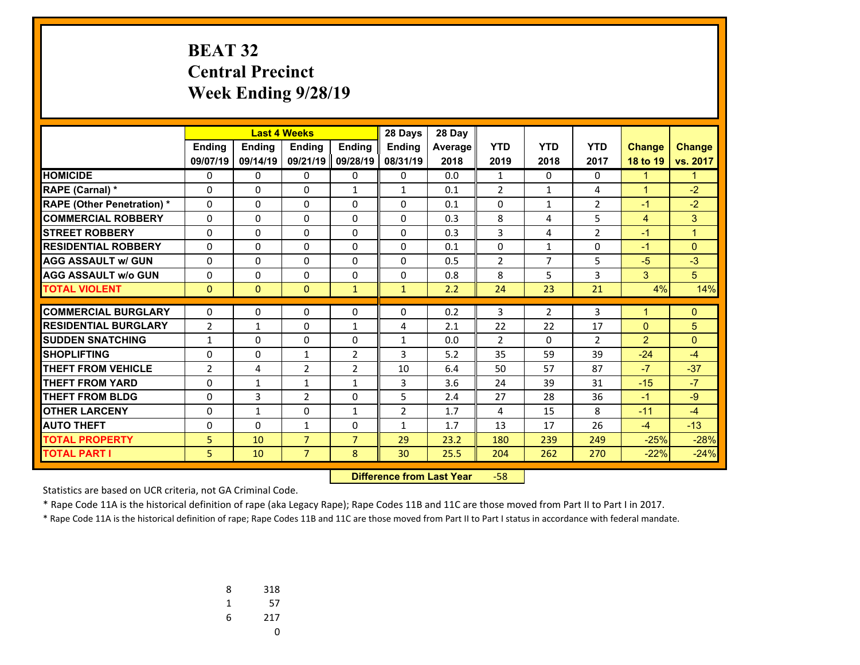# **BEAT 32 Central Precinct Week Ending 9/28/19**

|                                   |                |               | <b>Last 4 Weeks</b> |                | 28 Days        | 28 Day  |                |                |                |                |                |
|-----------------------------------|----------------|---------------|---------------------|----------------|----------------|---------|----------------|----------------|----------------|----------------|----------------|
|                                   | <b>Endina</b>  | <b>Endina</b> | <b>Endina</b>       | <b>Endina</b>  | <b>Endina</b>  | Average | <b>YTD</b>     | <b>YTD</b>     | <b>YTD</b>     | <b>Change</b>  | <b>Change</b>  |
|                                   | 09/07/19       | 09/14/19      | 09/21/19            | 09/28/19       | 08/31/19       | 2018    | 2019           | 2018           | 2017           | 18 to 19       | vs. 2017       |
| <b>HOMICIDE</b>                   | 0              | 0             | 0                   | 0              | 0              | 0.0     | $\mathbf{1}$   | 0              | 0              | 1              | 1              |
| <b>RAPE (Carnal) *</b>            | 0              | 0             | 0                   | $\mathbf{1}$   | $\mathbf{1}$   | 0.1     | $\overline{2}$ | $\mathbf{1}$   | 4              | $\mathbf{1}$   | $-2$           |
| <b>RAPE (Other Penetration) *</b> | $\Omega$       | $\Omega$      | $\Omega$            | 0              | $\Omega$       | 0.1     | 0              | $\mathbf{1}$   | $\overline{2}$ | $-1$           | $-2$           |
| <b>COMMERCIAL ROBBERY</b>         | $\Omega$       | $\Omega$      | $\Omega$            | $\Omega$       | $\Omega$       | 0.3     | 8              | 4              | 5              | $\overline{4}$ | 3              |
| <b>STREET ROBBERY</b>             | 0              | $\Omega$      | 0                   | 0              | $\Omega$       | 0.3     | 3              | 4              | $\overline{2}$ | $-1$           | $\overline{1}$ |
| <b>RESIDENTIAL ROBBERY</b>        | 0              | $\Omega$      | 0                   | $\Omega$       | $\Omega$       | 0.1     | 0              | $\mathbf{1}$   | $\Omega$       | $-1$           | $\mathbf{0}$   |
| <b>AGG ASSAULT w/ GUN</b>         | $\Omega$       | 0             | 0                   | 0              | $\Omega$       | 0.5     | $\overline{2}$ | $\overline{7}$ | 5              | $-5$           | $-3$           |
| <b>AGG ASSAULT w/o GUN</b>        | $\mathbf 0$    | $\Omega$      | $\Omega$            | 0              | $\Omega$       | 0.8     | 8              | 5              | 3              | 3              | 5              |
| <b>TOTAL VIOLENT</b>              | $\mathbf{0}$   | $\Omega$      | $\mathbf{0}$        | $\mathbf{1}$   | $\mathbf{1}$   | 2.2     | 24             | 23             | 21             | 4%             | 14%            |
|                                   |                |               |                     |                |                |         |                |                |                |                |                |
| <b>COMMERCIAL BURGLARY</b>        | 0              | 0             | 0                   | 0              | $\mathbf{0}$   | 0.2     | 3              | $\overline{2}$ | 3              | 1              | $\mathbf{0}$   |
| <b>RESIDENTIAL BURGLARY</b>       | $\overline{2}$ | 1             | 0                   | $\mathbf{1}$   | 4              | 2.1     | 22             | 22             | 17             | $\mathbf{0}$   | 5              |
| <b>SUDDEN SNATCHING</b>           | $\mathbf{1}$   | $\Omega$      | $\Omega$            | $\Omega$       | $\mathbf{1}$   | 0.0     | $\overline{2}$ | $\Omega$       | $\overline{2}$ | $\overline{2}$ | $\mathbf{0}$   |
| <b>SHOPLIFTING</b>                | $\mathbf 0$    | $\Omega$      | $\mathbf{1}$        | $\overline{2}$ | 3              | 5.2     | 35             | 59             | 39             | $-24$          | $-4$           |
| <b>THEFT FROM VEHICLE</b>         | $\overline{2}$ | 4             | $\overline{2}$      | $\overline{2}$ | 10             | 6.4     | 50             | 57             | 87             | $-7$           | $-37$          |
| <b>THEFT FROM YARD</b>            | 0              | $\mathbf{1}$  | $\mathbf{1}$        | $\mathbf{1}$   | 3              | 3.6     | 24             | 39             | 31             | $-15$          | $-7$           |
| <b>THEFT FROM BLDG</b>            | 0              | 3             | $\overline{2}$      | 0              | 5              | 2.4     | 27             | 28             | 36             | $-1$           | $-9$           |
| <b>OTHER LARCENY</b>              | $\Omega$       | $\mathbf{1}$  | $\Omega$            | $\mathbf{1}$   | $\overline{2}$ | 1.7     | 4              | 15             | 8              | $-11$          | $-4$           |
| <b>AUTO THEFT</b>                 | 0              | 0             | $\mathbf{1}$        | 0              | $\mathbf{1}$   | 1.7     | 13             | 17             | 26             | $-4$           | $-13$          |
| <b>TOTAL PROPERTY</b>             | 5              | 10            | $\overline{7}$      | $\overline{7}$ | 29             | 23.2    | 180            | 239            | 249            | $-25%$         | $-28%$         |
| <b>TOTAL PART I</b>               | 5              | 10            | $\overline{7}$      | 8              | 30             | 25.5    | 204            | 262            | 270            | $-22%$         | $-24%$         |

 **Difference from Last Year**‐58

Statistics are based on UCR criteria, not GA Criminal Code.

\* Rape Code 11A is the historical definition of rape (aka Legacy Rape); Rape Codes 11B and 11C are those moved from Part II to Part I in 2017.

| 8 | 318 |
|---|-----|
| 1 | 57  |
| 6 | 217 |
|   | U   |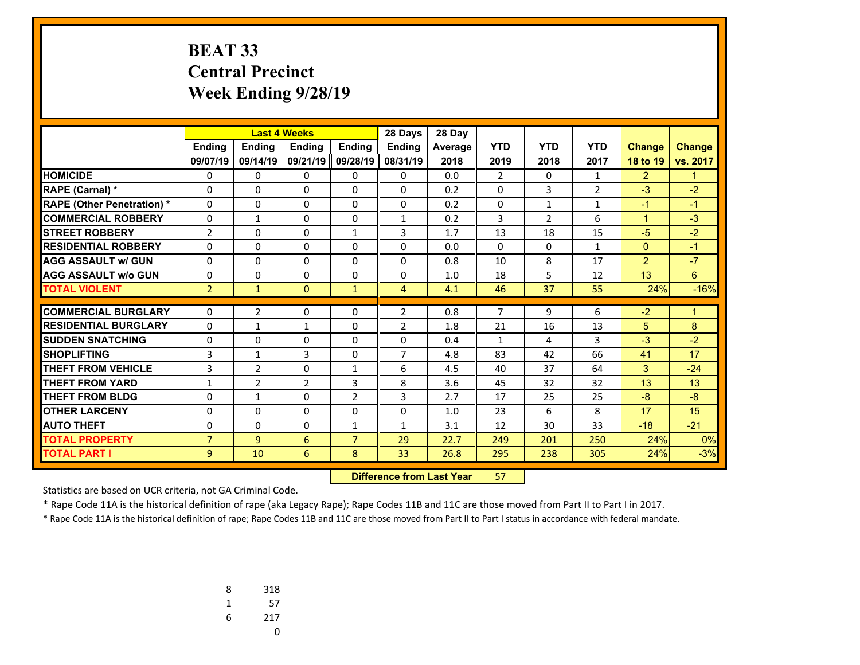# **BEAT 33 Central Precinct Week Ending 9/28/19**

|                                   |                |                | <b>Last 4 Weeks</b><br>28 Days |                |                | 28 Day  |                |                |                |                |               |
|-----------------------------------|----------------|----------------|--------------------------------|----------------|----------------|---------|----------------|----------------|----------------|----------------|---------------|
|                                   | <b>Endina</b>  | <b>Ending</b>  | <b>Endina</b>                  | <b>Endina</b>  | Ending         | Average | <b>YTD</b>     | <b>YTD</b>     | <b>YTD</b>     | <b>Change</b>  | <b>Change</b> |
|                                   | 09/07/19       | 09/14/19       | 09/21/19                       | 09/28/19       | 08/31/19       | 2018    | 2019           | 2018           | 2017           | 18 to 19       | vs. 2017      |
| <b>HOMICIDE</b>                   | 0              | 0              | 0                              | 0              | $\Omega$       | 0.0     | $\overline{2}$ | $\Omega$       | $\mathbf{1}$   | $\overline{2}$ | $\mathbf 1$   |
| <b>RAPE (Carnal) *</b>            | 0              | $\Omega$       | 0                              | 0              | $\Omega$       | 0.2     | 0              | 3              | $\overline{2}$ | $-3$           | $-2$          |
| <b>RAPE (Other Penetration) *</b> | $\Omega$       | 0              | $\Omega$                       | $\Omega$       | $\Omega$       | 0.2     | $\Omega$       | $\mathbf{1}$   | $\mathbf{1}$   | $-1$           | $-1$          |
| <b>COMMERCIAL ROBBERY</b>         | 0              | $\mathbf{1}$   | 0                              | 0              | $\mathbf{1}$   | 0.2     | 3              | $\overline{2}$ | 6              | $\mathbf{1}$   | $-3$          |
| <b>STREET ROBBERY</b>             | 2              | $\Omega$       | $\Omega$                       | $\mathbf{1}$   | 3              | 1.7     | 13             | 18             | 15             | $-5$           | $-2$          |
| <b>RESIDENTIAL ROBBERY</b>        | $\Omega$       | 0              | 0                              | $\Omega$       | $\Omega$       | 0.0     | 0              | $\Omega$       | $\mathbf{1}$   | $\mathbf{0}$   | $-1$          |
| <b>AGG ASSAULT w/ GUN</b>         | 0              | $\Omega$       | $\Omega$                       | 0              | $\Omega$       | 0.8     | 10             | 8              | 17             | $\overline{2}$ | $-7$          |
| <b>AGG ASSAULT w/o GUN</b>        | 0              | 0              | 0                              | 0              | $\Omega$       | 1.0     | 18             | 5              | 12             | 13             | 6             |
| <b>TOTAL VIOLENT</b>              | $\overline{2}$ | $\mathbf{1}$   | $\mathbf{0}$                   | $\mathbf{1}$   | $\overline{4}$ | 4.1     | 46             | 37             | 55             | 24%            | $-16%$        |
| <b>COMMERCIAL BURGLARY</b>        |                |                |                                |                |                |         | $\overline{7}$ |                |                |                |               |
|                                   | 0              | $\overline{2}$ | 0                              | 0              | $\overline{2}$ | 0.8     |                | 9              | 6              | $-2$           | $\mathbf 1$   |
| <b>RESIDENTIAL BURGLARY</b>       | 0              | $\mathbf{1}$   | $\mathbf{1}$                   | 0              | 2              | 1.8     | 21             | 16             | 13             | 5              | 8             |
| <b>SUDDEN SNATCHING</b>           | 0              | 0              | 0                              | $\Omega$       | 0              | 0.4     | $\mathbf{1}$   | 4              | 3              | $-3$           | $-2$          |
| <b>SHOPLIFTING</b>                | 3              | $\mathbf{1}$   | 3                              | $\Omega$       | $\overline{7}$ | 4.8     | 83             | 42             | 66             | 41             | 17            |
| <b>THEFT FROM VEHICLE</b>         | 3              | $\overline{2}$ | $\Omega$                       | $\mathbf{1}$   | 6              | 4.5     | 40             | 37             | 64             | 3              | $-24$         |
| <b>THEFT FROM YARD</b>            | $\mathbf{1}$   | $\overline{2}$ | $\overline{2}$                 | 3              | 8              | 3.6     | 45             | 32             | 32             | 13             | 13            |
| <b>THEFT FROM BLDG</b>            | 0              | $\mathbf{1}$   | 0                              | $\overline{2}$ | 3              | 2.7     | 17             | 25             | 25             | $-8$           | $-8$          |
| <b>OTHER LARCENY</b>              | 0              | 0              | $\Omega$                       | 0              | $\Omega$       | 1.0     | 23             | 6              | 8              | 17             | 15            |
| <b>AUTO THEFT</b>                 | 0              | 0              | 0                              | $\mathbf{1}$   | 1              | 3.1     | 12             | 30             | 33             | $-18$          | $-21$         |
| <b>TOTAL PROPERTY</b>             | $\overline{7}$ | 9              | 6                              | $\overline{7}$ | 29             | 22.7    | 249            | 201            | 250            | 24%            | 0%            |
| <b>TOTAL PART I</b>               | 9              | 10             | 6                              | 8              | 33             | 26.8    | 295            | 238            | 305            | 24%            | $-3%$         |

 **Difference from Last Year**57

Statistics are based on UCR criteria, not GA Criminal Code.

\* Rape Code 11A is the historical definition of rape (aka Legacy Rape); Rape Codes 11B and 11C are those moved from Part II to Part I in 2017.

| 8 | 318 |
|---|-----|
| 1 | 57  |
| 6 | 217 |
|   | U   |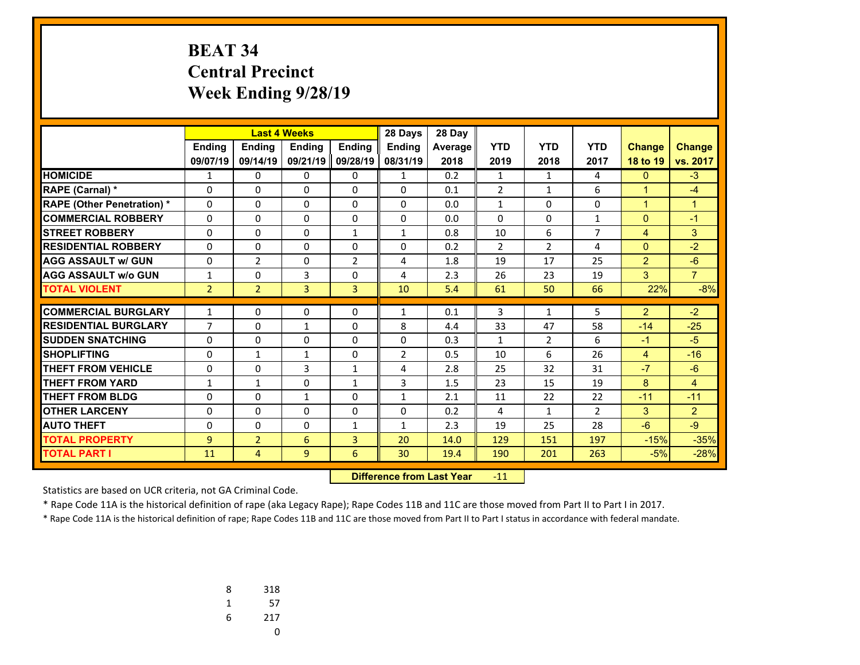# **BEAT 34 Central Precinct Week Ending 9/28/19**

|                                   |                |                | <b>Last 4 Weeks</b><br>28 Days |                |                | 28 Day  |                |                |                |                |                |
|-----------------------------------|----------------|----------------|--------------------------------|----------------|----------------|---------|----------------|----------------|----------------|----------------|----------------|
|                                   | <b>Ending</b>  | <b>Ending</b>  | <b>Endina</b>                  | <b>Endina</b>  | Ending         | Average | <b>YTD</b>     | <b>YTD</b>     | <b>YTD</b>     | <b>Change</b>  | <b>Change</b>  |
|                                   | 09/07/19       | 09/14/19       | 09/21/19                       | 09/28/19       | 08/31/19       | 2018    | 2019           | 2018           | 2017           | 18 to 19       | vs. 2017       |
| <b>HOMICIDE</b>                   | $\mathbf{1}$   | 0              | 0                              | 0              | $\mathbf{1}$   | 0.2     | $\mathbf{1}$   | $\mathbf{1}$   | 4              | $\mathbf{0}$   | $-3$           |
| <b>RAPE (Carnal) *</b>            | 0              | 0              | 0                              | 0              | $\Omega$       | 0.1     | $\overline{2}$ | $\mathbf{1}$   | 6              | $\mathbf{1}$   | $-4$           |
| <b>RAPE (Other Penetration) *</b> | 0              | $\Omega$       | $\Omega$                       | $\Omega$       | $\Omega$       | 0.0     | $\mathbf{1}$   | $\Omega$       | $\Omega$       | $\mathbf{1}$   | $\mathbf{1}$   |
| <b>COMMERCIAL ROBBERY</b>         | 0              | $\Omega$       | $\Omega$                       | $\Omega$       | $\Omega$       | 0.0     | $\Omega$       | $\Omega$       | $\mathbf{1}$   | $\mathbf{0}$   | $-1$           |
| <b>STREET ROBBERY</b>             | 0              | 0              | 0                              | $\mathbf{1}$   | $\mathbf{1}$   | 0.8     | 10             | 6              | $\overline{7}$ | $\overline{4}$ | 3              |
| <b>RESIDENTIAL ROBBERY</b>        | 0              | 0              | $\Omega$                       | 0              | $\Omega$       | 0.2     | $\overline{2}$ | $\overline{2}$ | 4              | $\mathbf{0}$   | $-2$           |
| <b>AGG ASSAULT w/ GUN</b>         | 0              | $\overline{2}$ | 0                              | $\overline{2}$ | 4              | 1.8     | 19             | 17             | 25             | $\overline{2}$ | $-6$           |
| <b>AGG ASSAULT w/o GUN</b>        | $\mathbf{1}$   | 0              | 3                              | 0              | 4              | 2.3     | 26             | 23             | 19             | 3              | $\overline{7}$ |
| <b>TOTAL VIOLENT</b>              | $\overline{2}$ | $\overline{2}$ | $\overline{3}$                 | $\overline{3}$ | 10             | 5.4     | 61             | 50             | 66             | 22%            | $-8%$          |
|                                   |                |                |                                |                |                |         |                |                |                |                |                |
| <b>COMMERCIAL BURGLARY</b>        | $\mathbf{1}$   | 0              | 0                              | 0              | 1              | 0.1     | 3              | $\mathbf{1}$   | 5              | $\overline{2}$ | $-2$           |
| <b>RESIDENTIAL BURGLARY</b>       | $\overline{7}$ | $\Omega$       | 1                              | 0              | 8              | 4.4     | 33             | 47             | 58             | $-14$          | $-25$          |
| <b>SUDDEN SNATCHING</b>           | 0              | 0              | 0                              | 0              | $\Omega$       | 0.3     | $\mathbf{1}$   | 2              | 6              | $-1$           | $-5$           |
| <b>SHOPLIFTING</b>                | 0              | $\mathbf{1}$   | $\mathbf{1}$                   | $\Omega$       | $\overline{2}$ | 0.5     | 10             | 6              | 26             | $\overline{4}$ | $-16$          |
| <b>THEFT FROM VEHICLE</b>         | 0              | 0              | 3                              | $\mathbf{1}$   | 4              | 2.8     | 25             | 32             | 31             | $-7$           | $-6$           |
| <b>THEFT FROM YARD</b>            | 1              | $\mathbf{1}$   | 0                              | $\mathbf{1}$   | 3              | 1.5     | 23             | 15             | 19             | 8              | 4              |
| THEFT FROM BLDG                   | 0              | $\Omega$       | 1                              | $\Omega$       | 1              | 2.1     | 11             | 22             | 22             | $-11$          | $-11$          |
| <b>OTHER LARCENY</b>              | 0              | 0              | 0                              | 0              | $\Omega$       | 0.2     | 4              | 1              | $\overline{2}$ | 3              | 2              |
| <b>AUTO THEFT</b>                 | 0              | 0              | $\Omega$                       | $\mathbf{1}$   | $\mathbf{1}$   | 2.3     | 19             | 25             | 28             | $-6$           | $-9$           |
| <b>TOTAL PROPERTY</b>             | 9              | $\overline{2}$ | 6                              | 3              | 20             | 14.0    | 129            | 151            | 197            | $-15%$         | $-35%$         |
| <b>TOTAL PART I</b>               | 11             | 4              | 9                              | 6              | 30             | 19.4    | 190            | 201            | 263            | $-5%$          | $-28%$         |

 **Difference from Last Year**r -11

Statistics are based on UCR criteria, not GA Criminal Code.

\* Rape Code 11A is the historical definition of rape (aka Legacy Rape); Rape Codes 11B and 11C are those moved from Part II to Part I in 2017.

| 8 | 318 |
|---|-----|
| 1 | 57  |
| 6 | 217 |
|   | U   |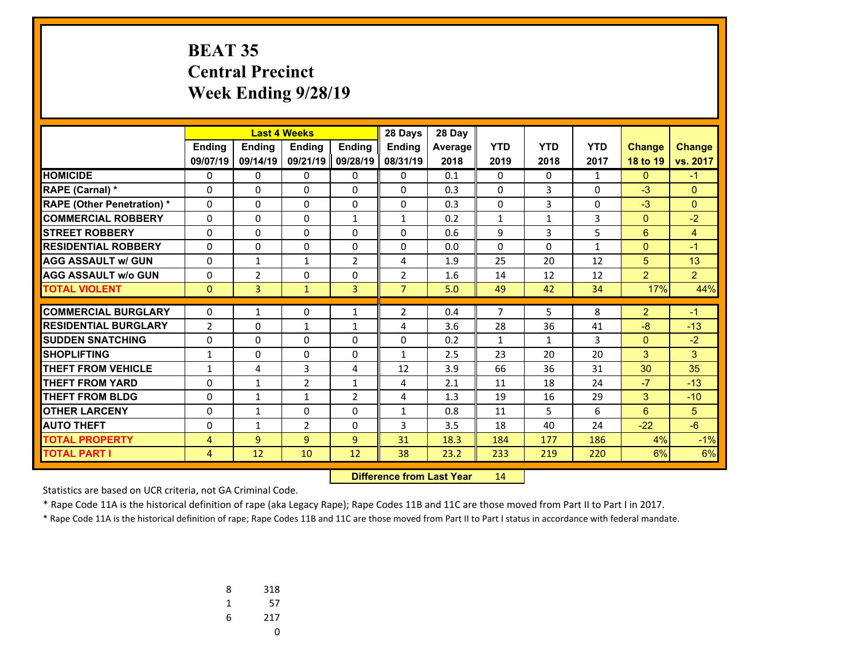# **BEAT 35 Central Precinct Week Ending 9/28/19**

|                                   |                |                |                | <b>Last 4 Weeks</b><br>28 Days |                |         |                |                |              |                |                |
|-----------------------------------|----------------|----------------|----------------|--------------------------------|----------------|---------|----------------|----------------|--------------|----------------|----------------|
|                                   | <b>Ending</b>  | <b>Ending</b>  | <b>Endina</b>  | <b>Endina</b>                  | Ending         | Average | <b>YTD</b>     | <b>YTD</b>     | <b>YTD</b>   | <b>Change</b>  | <b>Change</b>  |
|                                   | 09/07/19       | 09/14/19       | 09/21/19       | 09/28/19                       | 08/31/19       | 2018    | 2019           | 2018           | 2017         | 18 to 19       | vs. 2017       |
| <b>HOMICIDE</b>                   | 0              | 0              | 0              | 0                              | 0              | 0.1     | 0              | $\Omega$       | $\mathbf{1}$ | $\mathbf{0}$   | $-1$           |
| <b>RAPE (Carnal) *</b>            | 0              | 0              | 0              | 0                              | $\Omega$       | 0.3     | 0              | 3              | $\Omega$     | $-3$           | $\Omega$       |
| <b>RAPE (Other Penetration) *</b> | 0              | $\Omega$       | 0              | $\Omega$                       | $\Omega$       | 0.3     | $\Omega$       | $\overline{3}$ | $\Omega$     | $-3$           | $\Omega$       |
| <b>COMMERCIAL ROBBERY</b>         | 0              | $\Omega$       | 0              | $\mathbf{1}$                   | $\mathbf{1}$   | 0.2     | $\mathbf{1}$   | $\mathbf{1}$   | 3            | $\mathbf{0}$   | $-2$           |
| <b>STREET ROBBERY</b>             | 0              | 0              | 0              | 0                              | $\Omega$       | 0.6     | 9              | 3              | 5            | 6              | 4              |
| <b>RESIDENTIAL ROBBERY</b>        | 0              | 0              | 0              | 0                              | $\Omega$       | 0.0     | $\Omega$       | $\Omega$       | $\mathbf{1}$ | $\mathbf{0}$   | $-1$           |
| <b>AGG ASSAULT w/ GUN</b>         | 0              | $\mathbf{1}$   | 1              | $\overline{2}$                 | 4              | 1.9     | 25             | 20             | 12           | 5              | 13             |
| <b>AGG ASSAULT w/o GUN</b>        | 0              | $\overline{2}$ | 0              | 0                              | $\overline{2}$ | 1.6     | 14             | 12             | 12           | $\overline{2}$ | $\overline{2}$ |
| <b>TOTAL VIOLENT</b>              | $\Omega$       | $\overline{3}$ | $\mathbf{1}$   | $\overline{3}$                 | $\overline{7}$ | 5.0     | 49             | 42             | 34           | 17%            | 44%            |
|                                   |                |                |                |                                |                |         | $\overline{7}$ |                |              |                |                |
| <b>COMMERCIAL BURGLARY</b>        | 0              | $\mathbf{1}$   | 0              | $\mathbf{1}$                   | $\overline{2}$ | 0.4     |                | 5              | 8            | $\overline{2}$ | $-1$           |
| <b>RESIDENTIAL BURGLARY</b>       | $\overline{2}$ | $\Omega$       | 1              | $\mathbf{1}$                   | 4              | 3.6     | 28             | 36             | 41           | $-8$           | $-13$          |
| <b>SUDDEN SNATCHING</b>           | 0              | 0              | 0              | 0                              | $\Omega$       | 0.2     | $\mathbf{1}$   | $\mathbf{1}$   | 3            | $\mathbf{0}$   | $-2$           |
| <b>SHOPLIFTING</b>                | $\mathbf{1}$   | $\Omega$       | $\Omega$       | 0                              | $\mathbf{1}$   | 2.5     | 23             | 20             | 20           | 3              | 3              |
| <b>THEFT FROM VEHICLE</b>         | 1              | 4              | 3              | 4                              | 12             | 3.9     | 66             | 36             | 31           | 30             | 35             |
| <b>THEFT FROM YARD</b>            | 0              | $\mathbf{1}$   | $\overline{2}$ | $\mathbf{1}$                   | 4              | 2.1     | 11             | 18             | 24           | $-7$           | $-13$          |
| THEFT FROM BLDG                   | 0              | $\mathbf{1}$   | 1              | $\overline{2}$                 | 4              | 1.3     | 19             | 16             | 29           | 3              | $-10$          |
| <b>OTHER LARCENY</b>              | 0              | $\mathbf{1}$   | 0              | 0                              | 1              | 0.8     | 11             | 5              | 6            | 6              | 5              |
| <b>AUTO THEFT</b>                 | 0              | $\mathbf{1}$   | $\overline{2}$ | 0                              | 3              | 3.5     | 18             | 40             | 24           | $-22$          | $-6$           |
| <b>TOTAL PROPERTY</b>             | 4              | 9              | 9              | 9                              | 31             | 18.3    | 184            | 177            | 186          | 4%             | $-1%$          |
| <b>TOTAL PART I</b>               | 4              | 12             | 10             | 12                             | 38             | 23.2    | 233            | 219            | 220          | 6%             | 6%             |

 **Difference from Last Year**r 14

Statistics are based on UCR criteria, not GA Criminal Code.

\* Rape Code 11A is the historical definition of rape (aka Legacy Rape); Rape Codes 11B and 11C are those moved from Part II to Part I in 2017.

| 8 | 318 |
|---|-----|
| 1 | 57  |
| 6 | 217 |
|   | U   |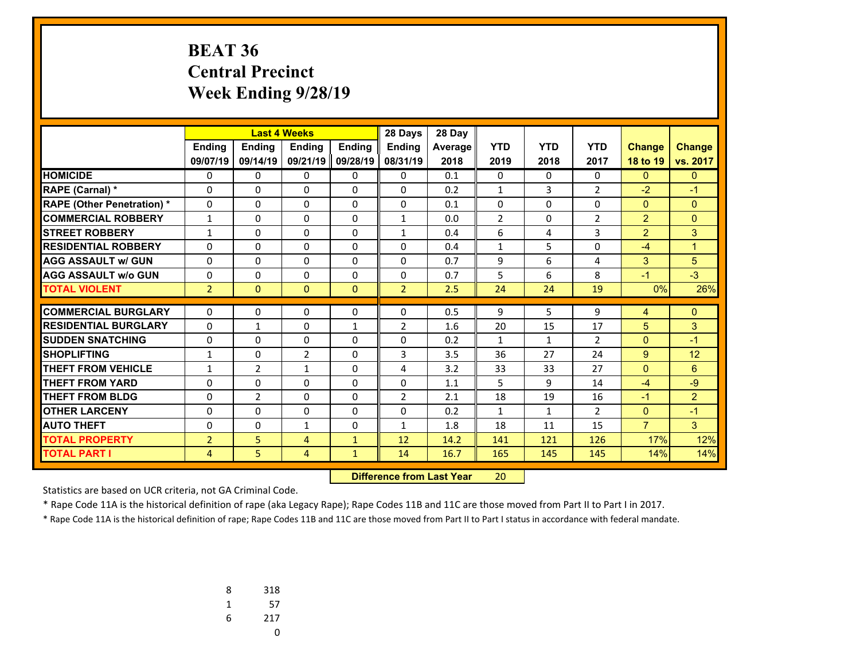# **BEAT 36 Central Precinct Week Ending 9/28/19**

|                                   |                |                |                | <b>Last 4 Weeks</b><br>28 Days |                |         |                |              |                |                |                |
|-----------------------------------|----------------|----------------|----------------|--------------------------------|----------------|---------|----------------|--------------|----------------|----------------|----------------|
|                                   | <b>Endina</b>  | <b>Ending</b>  | <b>Endina</b>  | <b>Endina</b>                  | <b>Endina</b>  | Average | <b>YTD</b>     | <b>YTD</b>   | <b>YTD</b>     | <b>Change</b>  | <b>Change</b>  |
|                                   | 09/07/19       | 09/14/19       | 09/21/19       | 09/28/19                       | 08/31/19       | 2018    | 2019           | 2018         | 2017           | 18 to 19       | vs. 2017       |
| <b>HOMICIDE</b>                   | 0              | 0              | 0              | 0                              | 0              | 0.1     | 0              | $\Omega$     | $\Omega$       | $\mathbf{0}$   | $\mathbf{0}$   |
| <b>RAPE (Carnal) *</b>            | 0              | 0              | 0              | $\Omega$                       | $\Omega$       | 0.2     | $\mathbf{1}$   | 3            | $\overline{2}$ | $-2$           | $-1$           |
| <b>RAPE (Other Penetration) *</b> | 0              | $\Omega$       | $\Omega$       | 0                              | $\Omega$       | 0.1     | 0              | $\Omega$     | $\Omega$       | $\mathbf{0}$   | $\Omega$       |
| <b>COMMERCIAL ROBBERY</b>         | $\mathbf{1}$   | 0              | $\Omega$       | $\Omega$                       | $\mathbf{1}$   | 0.0     | $\overline{2}$ | $\Omega$     | 2              | $\overline{2}$ | $\Omega$       |
| <b>STREET ROBBERY</b>             | $\mathbf{1}$   | $\Omega$       | $\Omega$       | 0                              | $\mathbf{1}$   | 0.4     | 6              | 4            | 3              | $\overline{2}$ | 3              |
| <b>RESIDENTIAL ROBBERY</b>        | 0              | 0              | $\Omega$       | $\Omega$                       | $\Omega$       | 0.4     | $\mathbf{1}$   | 5            | $\Omega$       | $-4$           | $\overline{1}$ |
| <b>AGG ASSAULT w/ GUN</b>         | 0              | 0              | 0              | 0                              | $\Omega$       | 0.7     | 9              | 6            | 4              | 3              | 5              |
| <b>AGG ASSAULT w/o GUN</b>        | 0              | 0              | $\Omega$       | $\Omega$                       | $\Omega$       | 0.7     | 5              | 6            | 8              | $-1$           | $-3$           |
| <b>TOTAL VIOLENT</b>              | $\overline{2}$ | $\mathbf{0}$   | $\Omega$       | $\Omega$                       | $\overline{2}$ | 2.5     | 24             | 24           | 19             | 0%             | 26%            |
|                                   |                |                |                |                                |                |         |                |              |                |                |                |
| <b>COMMERCIAL BURGLARY</b>        | 0              | 0              | 0              | 0                              | 0              | 0.5     | 9              | 5            | 9              | 4              | $\mathbf{0}$   |
| <b>RESIDENTIAL BURGLARY</b>       | 0              | $\mathbf{1}$   | 0              | $\mathbf{1}$                   | 2              | 1.6     | 20             | 15           | 17             | 5              | 3              |
| <b>SUDDEN SNATCHING</b>           | $\Omega$       | 0              | $\Omega$       | $\Omega$                       | $\Omega$       | 0.2     | $\mathbf{1}$   | $\mathbf{1}$ | 2              | $\mathbf{0}$   | $-1$           |
| <b>SHOPLIFTING</b>                | 1              | 0              | $\overline{2}$ | $\Omega$                       | 3              | 3.5     | 36             | 27           | 24             | 9              | 12             |
| <b>THEFT FROM VEHICLE</b>         | 1              | $\overline{2}$ | 1              | 0                              | 4              | 3.2     | 33             | 33           | 27             | $\mathbf{0}$   | 6              |
| <b>THEFT FROM YARD</b>            | $\Omega$       | 0              | $\Omega$       | $\Omega$                       | $\Omega$       | 1.1     | 5              | 9            | 14             | $-4$           | $-9$           |
| <b>THEFT FROM BLDG</b>            | 0              | $\overline{2}$ | $\Omega$       | 0                              | 2              | 2.1     | 18             | 19           | 16             | $-1$           | $\overline{2}$ |
| <b>OTHER LARCENY</b>              | $\Omega$       | 0              | $\Omega$       | $\Omega$                       | $\Omega$       | 0.2     | $\mathbf{1}$   | $\mathbf{1}$ | $\overline{2}$ | $\mathbf{0}$   | $-1$           |
| <b>AUTO THEFT</b>                 | 0              | 0              | $\mathbf{1}$   | 0                              | $\mathbf{1}$   | 1.8     | 18             | 11           | 15             | $\overline{7}$ | $\overline{3}$ |
| <b>TOTAL PROPERTY</b>             | $\overline{2}$ | 5              | $\overline{4}$ | $\mathbf{1}$                   | 12             | 14.2    | 141            | 121          | 126            | 17%            | 12%            |
| <b>TOTAL PART I</b>               | 4              | 5.             | 4              | $\mathbf{1}$                   | 14             | 16.7    | 165            | 145          | 145            | 14%            | 14%            |

 **Difference from Last Year**r 20

Statistics are based on UCR criteria, not GA Criminal Code.

\* Rape Code 11A is the historical definition of rape (aka Legacy Rape); Rape Codes 11B and 11C are those moved from Part II to Part I in 2017.

| 8 | 318 |
|---|-----|
| 1 | 57  |
| 6 | 217 |
|   | U   |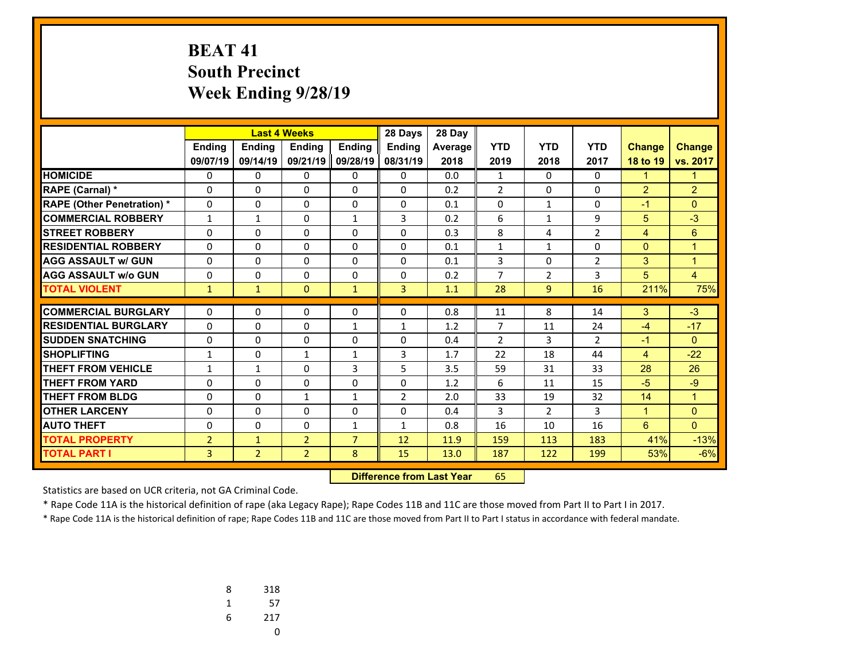# **BEAT 41 South Precinct Week Ending 9/28/19**

|                                   |                |                | 28 Days<br><b>Last 4 Weeks</b> |                |                | 28 Day         |                |                |                |                |                |
|-----------------------------------|----------------|----------------|--------------------------------|----------------|----------------|----------------|----------------|----------------|----------------|----------------|----------------|
|                                   | <b>Ending</b>  | <b>Endina</b>  | <b>Endina</b>                  | <b>Endina</b>  | <b>Endina</b>  | <b>Average</b> | <b>YTD</b>     | <b>YTD</b>     | <b>YTD</b>     | <b>Change</b>  | <b>Change</b>  |
|                                   | 09/07/19       | 09/14/19       | 09/21/19                       | 09/28/19       | 08/31/19       | 2018           | 2019           | 2018           | 2017           | 18 to 19       | vs. 2017       |
| <b>HOMICIDE</b>                   | $\mathbf{0}$   | $\mathbf{0}$   | 0                              | 0              | $\mathbf{0}$   | 0.0            | $\mathbf{1}$   | $\Omega$       | 0              | $\mathbf{1}$   | 1              |
| RAPE (Carnal) *                   | 0              | $\Omega$       | $\Omega$                       | 0              | $\Omega$       | 0.2            | $\overline{2}$ | $\Omega$       | 0              | $\overline{2}$ | $\overline{2}$ |
| <b>RAPE (Other Penetration) *</b> | 0              | $\Omega$       | $\Omega$                       | 0              | $\Omega$       | 0.1            | 0              | 1              | 0              | $-1$           | $\Omega$       |
| <b>COMMERCIAL ROBBERY</b>         | $\mathbf{1}$   | $\mathbf{1}$   | $\Omega$                       | $\mathbf{1}$   | 3              | 0.2            | 6              | $\mathbf{1}$   | 9              | 5              | $-3$           |
| <b>STREET ROBBERY</b>             | 0              | $\Omega$       | $\Omega$                       | 0              | $\Omega$       | 0.3            | 8              | 4              | $\overline{2}$ | $\overline{4}$ | 6              |
| <b>RESIDENTIAL ROBBERY</b>        | $\Omega$       | $\Omega$       | $\Omega$                       | $\Omega$       | $\Omega$       | 0.1            | $\mathbf{1}$   | $\mathbf{1}$   | 0              | $\Omega$       | 1              |
| <b>AGG ASSAULT w/ GUN</b>         | $\Omega$       | $\Omega$       | 0                              | 0              | $\Omega$       | 0.1            | 3              | $\Omega$       | $\overline{2}$ | 3              | $\overline{1}$ |
| <b>AGG ASSAULT w/o GUN</b>        | $\Omega$       | $\mathbf{0}$   | 0                              | $\Omega$       | $\Omega$       | 0.2            | 7              | $\overline{2}$ | 3              | 5              | $\overline{4}$ |
| <b>TOTAL VIOLENT</b>              | $\mathbf{1}$   | $\mathbf{1}$   | $\Omega$                       | $\mathbf{1}$   | 3              | 1.1            | 28             | $\overline{9}$ | 16             | 211%           | 75%            |
| <b>COMMERCIAL BURGLARY</b>        |                | 0              |                                |                |                |                |                | 8              |                |                |                |
| <b>RESIDENTIAL BURGLARY</b>       | $\Omega$       |                | 0                              | 0              | 0              | 0.8            | 11             |                | 14             | 3              | $-3$           |
|                                   | 0              | $\Omega$       | $\Omega$                       | $\mathbf{1}$   | $\mathbf{1}$   | 1.2            | $\overline{7}$ | 11             | 24             | $-4$           | $-17$          |
| <b>SUDDEN SNATCHING</b>           | $\Omega$       | $\Omega$       | 0                              | 0              | $\Omega$       | 0.4            | $\overline{2}$ | 3              | $\overline{2}$ | $-1$           | $\Omega$       |
| <b>SHOPLIFTING</b>                | $\mathbf{1}$   | $\mathbf{0}$   | $\mathbf{1}$                   | $\mathbf{1}$   | 3              | 1.7            | 22             | 18             | 44             | $\overline{4}$ | $-22$          |
| <b>THEFT FROM VEHICLE</b>         | 1              | 1              | $\Omega$                       | 3              | 5              | 3.5            | 59             | 31             | 33             | 28             | 26             |
| <b>THEFT FROM YARD</b>            | 0              | $\Omega$       | $\Omega$                       | $\Omega$       | $\Omega$       | 1.2            | 6              | 11             | 15             | $-5$           | $-9$           |
| <b>THEFT FROM BLDG</b>            | $\mathbf 0$    | $\Omega$       | $\mathbf{1}$                   | $\mathbf{1}$   | $\overline{2}$ | 2.0            | 33             | 19             | 32             | 14             | $\overline{1}$ |
| <b>OTHER LARCENY</b>              | $\Omega$       | $\Omega$       | $\Omega$                       | $\Omega$       | $\Omega$       | 0.4            | 3              | $\overline{2}$ | 3              | $\mathbf{1}$   | $\mathbf{0}$   |
| <b>AUTO THEFT</b>                 | $\Omega$       | $\Omega$       | 0                              | $\mathbf{1}$   | $\mathbf{1}$   | 0.8            | 16             | 10             | 16             | 6              | $\Omega$       |
| <b>TOTAL PROPERTY</b>             | $\overline{2}$ | $\mathbf{1}$   | $\overline{2}$                 | $\overline{7}$ | 12             | 11.9           | 159            | 113            | 183            | 41%            | $-13%$         |
| <b>TOTAL PART I</b>               | 3              | $\overline{2}$ | $\overline{2}$                 | 8              | 15             | 13.0           | 187            | 122            | 199            | 53%            | $-6%$          |

 **Difference from Last Year**r 65

Statistics are based on UCR criteria, not GA Criminal Code.

\* Rape Code 11A is the historical definition of rape (aka Legacy Rape); Rape Codes 11B and 11C are those moved from Part II to Part I in 2017.

| 8 | 318 |
|---|-----|
| 1 | 57  |
| 6 | 217 |
|   | U   |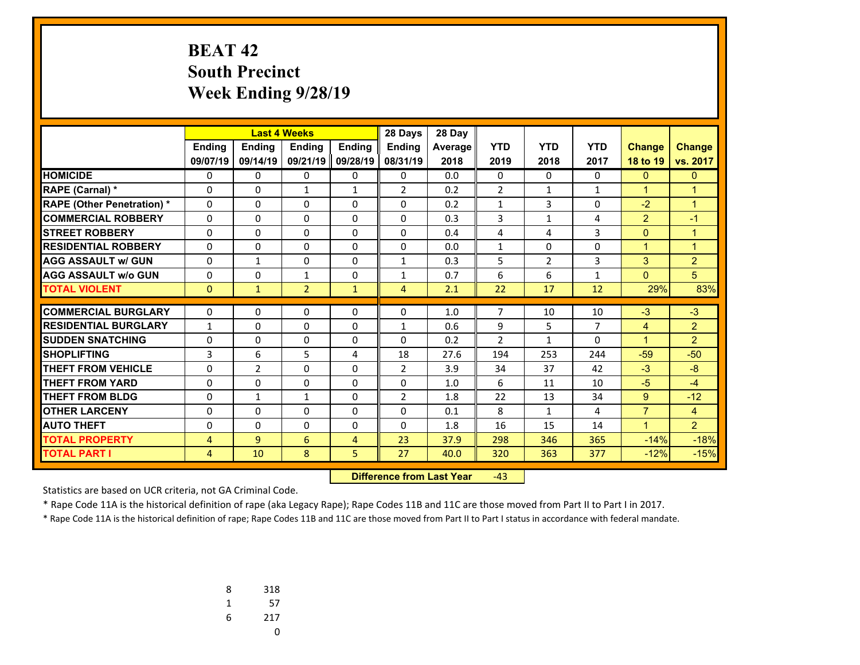# **BEAT 42 South Precinct Week Ending 9/28/19**

|                                   |                |                |                | <b>Last 4 Weeks</b><br>28 Days |                |         |                |                |                |                |                |
|-----------------------------------|----------------|----------------|----------------|--------------------------------|----------------|---------|----------------|----------------|----------------|----------------|----------------|
|                                   | <b>Ending</b>  | <b>Ending</b>  | <b>Endina</b>  | <b>Endina</b>                  | <b>Endina</b>  | Average | <b>YTD</b>     | <b>YTD</b>     | <b>YTD</b>     | <b>Change</b>  | <b>Change</b>  |
|                                   | 09/07/19       | 09/14/19       | 09/21/19       | 09/28/19                       | 08/31/19       | 2018    | 2019           | 2018           | 2017           | 18 to 19       | vs. 2017       |
| <b>HOMICIDE</b>                   | 0              | 0              | 0              | 0                              | $\Omega$       | 0.0     | 0              | $\Omega$       | $\Omega$       | $\mathbf{0}$   | $\mathbf{0}$   |
| <b>RAPE (Carnal) *</b>            | 0              | $\Omega$       | $\mathbf{1}$   | $\mathbf{1}$                   | $\overline{2}$ | 0.2     | $\overline{2}$ | $\mathbf{1}$   | $\mathbf{1}$   | $\mathbf{1}$   | $\overline{1}$ |
| <b>RAPE (Other Penetration) *</b> | $\Omega$       | 0              | $\Omega$       | 0                              | 0              | 0.2     | $\mathbf{1}$   | $\overline{3}$ | $\Omega$       | $-2$           | $\mathbf{1}$   |
| <b>COMMERCIAL ROBBERY</b>         | 0              | 0              | 0              | 0                              | $\Omega$       | 0.3     | 3              | $\mathbf{1}$   | 4              | $\overline{2}$ | $-1$           |
| <b>STREET ROBBERY</b>             | $\Omega$       | $\Omega$       | $\Omega$       | $\Omega$                       | $\Omega$       | 0.4     | 4              | 4              | 3              | $\mathbf{0}$   | $\mathbf{1}$   |
| <b>RESIDENTIAL ROBBERY</b>        | 0              | 0              | 0              | $\Omega$                       | $\Omega$       | 0.0     | $\mathbf{1}$   | $\Omega$       | $\Omega$       | $\mathbf{1}$   | $\overline{1}$ |
| <b>AGG ASSAULT w/ GUN</b>         | 0              | $\mathbf{1}$   | 0              | 0                              | $\mathbf{1}$   | 0.3     | 5              | $\overline{2}$ | 3              | 3              | $\overline{2}$ |
| <b>AGG ASSAULT w/o GUN</b>        | 0              | 0              | $\mathbf{1}$   | 0                              | 1              | 0.7     | 6              | 6              | $\mathbf{1}$   | $\overline{0}$ | 5              |
| <b>TOTAL VIOLENT</b>              | $\mathbf{0}$   | $\mathbf{1}$   | $\overline{2}$ | $\mathbf{1}$                   | $\overline{4}$ | 2.1     | 22             | 17             | 12             | 29%            | 83%            |
| <b>COMMERCIAL BURGLARY</b>        |                | 0              | $\Omega$       |                                |                | 1.0     | $\overline{7}$ |                |                |                | $-3$           |
|                                   | 0              |                |                | 0                              | 0              |         |                | 10             | 10             | $-3$           |                |
| <b>RESIDENTIAL BURGLARY</b>       | $\mathbf{1}$   | 0              | $\Omega$       | 0                              | $\mathbf{1}$   | 0.6     | 9              | 5              | $\overline{7}$ | $\overline{4}$ | $\overline{2}$ |
| <b>SUDDEN SNATCHING</b>           | 0              | 0              | 0              | $\Omega$                       | 0              | 0.2     | $\overline{2}$ | $\mathbf{1}$   | $\Omega$       | $\mathbf{1}$   | $\overline{2}$ |
| <b>SHOPLIFTING</b>                | 3              | 6              | 5              | 4                              | 18             | 27.6    | 194            | 253            | 244            | $-59$          | $-50$          |
| <b>THEFT FROM VEHICLE</b>         | 0              | $\overline{2}$ | $\Omega$       | 0                              | $\overline{2}$ | 3.9     | 34             | 37             | 42             | $-3$           | $-8$           |
| <b>THEFT FROM YARD</b>            | 0              | $\Omega$       | $\Omega$       | 0                              | $\Omega$       | 1.0     | 6              | 11             | 10             | $-5$           | $-4$           |
| <b>THEFT FROM BLDG</b>            | 0              | $\mathbf{1}$   | $\mathbf{1}$   | 0                              | $\overline{2}$ | 1.8     | 22             | 13             | 34             | $9^{\circ}$    | $-12$          |
| <b>OTHER LARCENY</b>              | 0              | 0              | 0              | 0                              | $\Omega$       | 0.1     | 8              | $\mathbf{1}$   | 4              | $\overline{7}$ | $\overline{4}$ |
| <b>AUTO THEFT</b>                 | 0              | 0              | 0              | 0                              | $\Omega$       | 1.8     | 16             | 15             | 14             | $\mathbf{1}$   | $\mathcal{P}$  |
| <b>TOTAL PROPERTY</b>             | $\overline{4}$ | 9              | 6              | 4                              | 23             | 37.9    | 298            | 346            | 365            | $-14%$         | $-18%$         |
| <b>TOTAL PART I</b>               | 4              | 10             | 8              | 5                              | 27             | 40.0    | 320            | 363            | 377            | $-12%$         | $-15%$         |

 **Difference from Last Year**‐43

Statistics are based on UCR criteria, not GA Criminal Code.

\* Rape Code 11A is the historical definition of rape (aka Legacy Rape); Rape Codes 11B and 11C are those moved from Part II to Part I in 2017.

| 8 | 318 |
|---|-----|
| 1 | 57  |
| 6 | 217 |
|   | U   |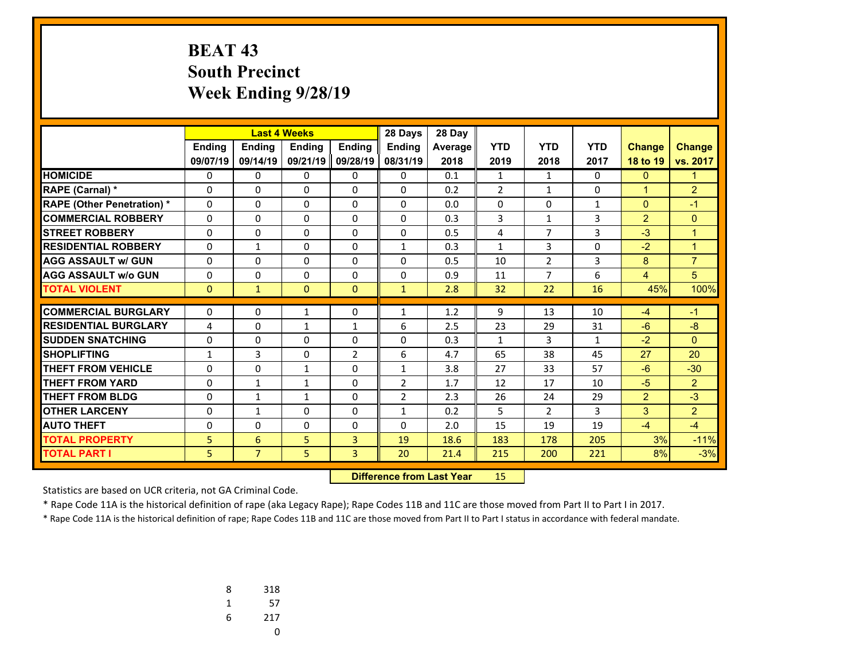# **BEAT 43 South Precinct Week Ending 9/28/19**

|                                   |                |                | <b>Last 4 Weeks</b> |                | 28 Days        | 28 Day  |                |                |              |                |                |
|-----------------------------------|----------------|----------------|---------------------|----------------|----------------|---------|----------------|----------------|--------------|----------------|----------------|
|                                   | <b>Endina</b>  | <b>Ending</b>  | <b>Endina</b>       | <b>Endina</b>  | <b>Endina</b>  | Average | <b>YTD</b>     | <b>YTD</b>     | <b>YTD</b>   | <b>Change</b>  | <b>Change</b>  |
|                                   | 09/07/19       | 09/14/19       | 09/21/19            | 09/28/19       | 08/31/19       | 2018    | 2019           | 2018           | 2017         | 18 to 19       | vs. 2017       |
| <b>HOMICIDE</b>                   | 0              | 0              | 0                   | 0              | 0              | 0.1     | $\mathbf{1}$   | $\mathbf{1}$   | $\Omega$     | $\mathbf{0}$   | $\mathbf{1}$   |
| <b>RAPE (Carnal) *</b>            | 0              | 0              | 0                   | $\Omega$       | $\Omega$       | 0.2     | $\overline{2}$ | $\mathbf{1}$   | $\Omega$     | $\mathbf{1}$   | $\overline{2}$ |
| <b>RAPE (Other Penetration) *</b> | 0              | $\Omega$       | $\Omega$            | 0              | $\Omega$       | 0.0     | 0              | $\Omega$       | $\mathbf{1}$ | $\mathbf{0}$   | $-1$           |
| <b>COMMERCIAL ROBBERY</b>         | 0              | 0              | $\Omega$            | $\Omega$       | $\Omega$       | 0.3     | 3              | $\mathbf{1}$   | 3            | $\overline{2}$ | $\Omega$       |
| <b>STREET ROBBERY</b>             | 0              | $\Omega$       | $\Omega$            | 0              | $\Omega$       | 0.5     | 4              | $\overline{7}$ | 3            | $-3$           | $\mathbf{1}$   |
| <b>RESIDENTIAL ROBBERY</b>        | 0              | $\mathbf{1}$   | $\Omega$            | $\Omega$       | $\mathbf{1}$   | 0.3     | $\mathbf{1}$   | 3              | $\Omega$     | $-2$           | $\mathbf{1}$   |
| <b>AGG ASSAULT w/ GUN</b>         | 0              | 0              | 0                   | 0              | $\Omega$       | 0.5     | 10             | $\overline{2}$ | 3            | 8              | $\overline{7}$ |
| <b>AGG ASSAULT w/o GUN</b>        | 0              | 0              | $\Omega$            | $\Omega$       | $\Omega$       | 0.9     | 11             | $\overline{7}$ | 6            | $\overline{4}$ | 5              |
| <b>TOTAL VIOLENT</b>              | $\mathbf{0}$   | $\mathbf{1}$   | $\Omega$            | $\Omega$       | $\mathbf{1}$   | 2.8     | 32             | 22             | 16           | 45%            | 100%           |
|                                   |                |                |                     |                |                |         |                |                |              |                |                |
| <b>COMMERCIAL BURGLARY</b>        | 0              | 0              | 1                   | 0              | 1              | 1.2     | 9              | 13             | 10           | $-4$           | $-1$           |
| <b>RESIDENTIAL BURGLARY</b>       | $\overline{4}$ | 0              | $\mathbf{1}$        | $\mathbf{1}$   | 6              | 2.5     | 23             | 29             | 31           | $-6$           | $-8$           |
| <b>SUDDEN SNATCHING</b>           | $\Omega$       | 0              | $\Omega$            | $\Omega$       | $\Omega$       | 0.3     | $\mathbf{1}$   | 3              | $\mathbf{1}$ | $-2$           | $\Omega$       |
| <b>SHOPLIFTING</b>                | 1              | 3              | 0                   | $\overline{2}$ | 6              | 4.7     | 65             | 38             | 45           | 27             | 20             |
| <b>THEFT FROM VEHICLE</b>         | 0              | 0              | 1                   | 0              | $\mathbf{1}$   | 3.8     | 27             | 33             | 57           | $-6$           | $-30$          |
| <b>THEFT FROM YARD</b>            | $\Omega$       | $\mathbf{1}$   | 1                   | $\Omega$       | $\overline{2}$ | 1.7     | 12             | 17             | 10           | $-5$           | $\overline{2}$ |
| <b>THEFT FROM BLDG</b>            | 0              | $\mathbf{1}$   | $\mathbf{1}$        | 0              | 2              | 2.3     | 26             | 24             | 29           | $\overline{2}$ | $-3$           |
| <b>OTHER LARCENY</b>              | $\Omega$       | $\mathbf{1}$   | $\Omega$            | $\Omega$       | $\mathbf{1}$   | 0.2     | 5              | $\overline{2}$ | 3            | 3              | $\overline{2}$ |
| <b>AUTO THEFT</b>                 | 0              | 0              | 0                   | 0              | $\Omega$       | 2.0     | 15             | 19             | 19           | $-4$           | $-4$           |
| <b>TOTAL PROPERTY</b>             | 5              | 6              | 5                   | 3              | 19             | 18.6    | 183            | 178            | 205          | 3%             | $-11%$         |
| <b>TOTAL PART I</b>               | 5              | $\overline{7}$ | 5                   | 3              | 20             | 21.4    | 215            | 200            | 221          | 8%             | $-3%$          |

 **Difference from Last Year**r 15

Statistics are based on UCR criteria, not GA Criminal Code.

\* Rape Code 11A is the historical definition of rape (aka Legacy Rape); Rape Codes 11B and 11C are those moved from Part II to Part I in 2017.

| 8 | 318 |
|---|-----|
| 1 | 57  |
| 6 | 217 |
|   | U   |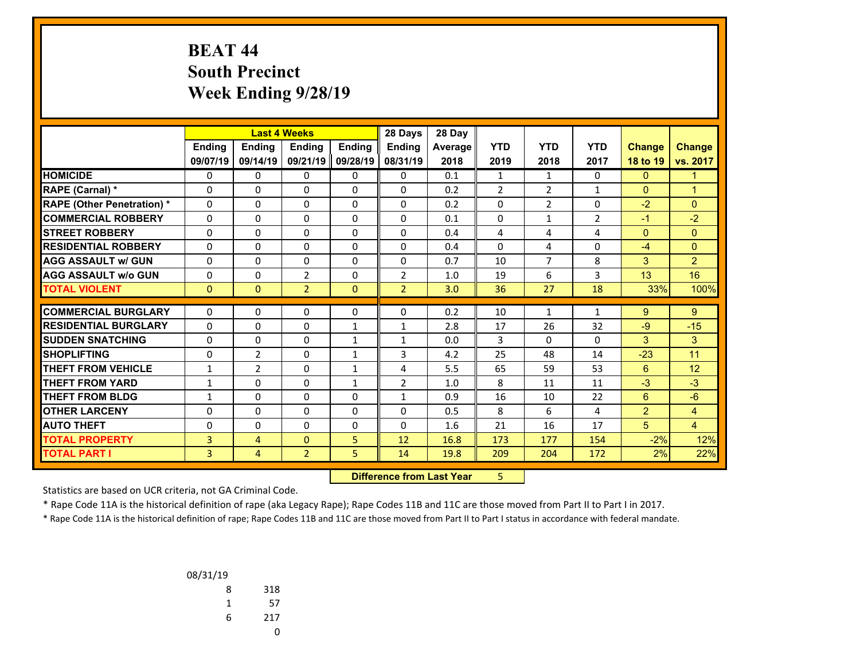## **BEAT 44 South Precinct Week Ending 9/28/19**

|                                   |              |                | <b>Last 4 Weeks</b> |               | 28 Days        | 28 Day  |                |                |                |                |                |
|-----------------------------------|--------------|----------------|---------------------|---------------|----------------|---------|----------------|----------------|----------------|----------------|----------------|
|                                   | Ending       | <b>Endina</b>  | <b>Endina</b>       | <b>Endina</b> | <b>Endina</b>  | Average | <b>YTD</b>     | <b>YTD</b>     | <b>YTD</b>     | <b>Change</b>  | <b>Change</b>  |
|                                   | 09/07/19     | 09/14/19       | 09/21/19            | 09/28/19      | 08/31/19       | 2018    | 2019           | 2018           | 2017           | 18 to 19       | vs. 2017       |
| <b>HOMICIDE</b>                   | 0            | 0              | 0                   | 0             | 0              | 0.1     | $\mathbf{1}$   | $\mathbf{1}$   | 0              | $\mathbf{0}$   | $\mathbf{1}$   |
| <b>RAPE (Carnal) *</b>            | 0            | $\Omega$       | $\Omega$            | 0             | $\Omega$       | 0.2     | $\overline{2}$ | $\overline{2}$ | $\mathbf{1}$   | $\Omega$       | $\overline{1}$ |
| <b>RAPE (Other Penetration) *</b> | 0            | $\Omega$       | $\Omega$            | 0             | $\Omega$       | 0.2     | 0              | $\overline{2}$ | $\Omega$       | $-2$           | $\mathbf{0}$   |
| <b>COMMERCIAL ROBBERY</b>         | $\Omega$     | $\Omega$       | $\Omega$            | $\Omega$      | $\Omega$       | 0.1     | $\Omega$       | $\mathbf{1}$   | $\overline{2}$ | $-1$           | $-2$           |
| <b>STREET ROBBERY</b>             | $\Omega$     | $\Omega$       | $\Omega$            | 0             | $\Omega$       | 0.4     | 4              | 4              | 4              | $\mathbf{0}$   | $\mathbf{0}$   |
| <b>RESIDENTIAL ROBBERY</b>        | 0            | $\Omega$       | $\Omega$            | $\Omega$      | $\Omega$       | 0.4     | 0              | 4              | $\Omega$       | $-4$           | $\mathbf{0}$   |
| <b>AGG ASSAULT w/ GUN</b>         | 0            | $\Omega$       | 0                   | 0             | $\Omega$       | 0.7     | 10             | $\overline{7}$ | 8              | 3              | $\overline{2}$ |
| <b>AGG ASSAULT w/o GUN</b>        | 0            | 0              | 2                   | $\Omega$      | $\overline{2}$ | 1.0     | 19             | 6              | 3              | 13             | 16             |
| <b>TOTAL VIOLENT</b>              | $\mathbf{0}$ | $\Omega$       | $\overline{2}$      | $\Omega$      | $\overline{2}$ | 3.0     | 36             | 27             | 18             | 33%            | 100%           |
|                                   |              |                |                     |               |                |         |                |                |                |                |                |
| <b>COMMERCIAL BURGLARY</b>        | 0            | 0              | 0                   | 0             | $\mathbf{0}$   | 0.2     | 10             | $\mathbf{1}$   | $\mathbf{1}$   | 9              | 9              |
| <b>RESIDENTIAL BURGLARY</b>       | $\Omega$     | $\Omega$       | 0                   | $\mathbf{1}$  | $\mathbf{1}$   | 2.8     | 17             | 26             | 32             | $-9$           | $-15$          |
| <b>SUDDEN SNATCHING</b>           | 0            | $\Omega$       | 0                   | $\mathbf{1}$  | $\mathbf{1}$   | 0.0     | 3              | $\Omega$       | 0              | 3              | 3              |
| <b>SHOPLIFTING</b>                | $\Omega$     | $\overline{2}$ | $\Omega$            | $\mathbf{1}$  | 3              | 4.2     | 25             | 48             | 14             | $-23$          | 11             |
| <b>THEFT FROM VEHICLE</b>         | 1            | $\overline{2}$ | $\Omega$            | $\mathbf{1}$  | 4              | 5.5     | 65             | 59             | 53             | 6              | 12             |
| <b>THEFT FROM YARD</b>            | 1            | $\Omega$       | $\Omega$            | $\mathbf{1}$  | $\overline{2}$ | 1.0     | 8              | 11             | 11             | $-3$           | $-3$           |
| <b>THEFT FROM BLDG</b>            | 1            | $\Omega$       | $\Omega$            | $\Omega$      | $\mathbf{1}$   | 0.9     | 16             | 10             | 22             | 6              | $-6$           |
| <b>OTHER LARCENY</b>              | $\Omega$     | $\Omega$       | $\Omega$            | $\Omega$      | $\Omega$       | 0.5     | 8              | 6              | 4              | $\overline{2}$ | 4              |
| <b>AUTO THEFT</b>                 | 0            | 0              | 0                   | 0             | $\Omega$       | 1.6     | 21             | 16             | 17             | 5              | $\overline{4}$ |
| <b>TOTAL PROPERTY</b>             | 3            | 4              | $\Omega$            | 5             | 12             | 16.8    | 173            | 177            | 154            | $-2%$          | 12%            |
| <b>TOTAL PART I</b>               | 3            | $\overline{4}$ | $\overline{2}$      | 5             | 14             | 19.8    | 209            | 204            | 172            | 2%             | 22%            |

 **Difference from Last Year**5

Statistics are based on UCR criteria, not GA Criminal Code.

\* Rape Code 11A is the historical definition of rape (aka Legacy Rape); Rape Codes 11B and 11C are those moved from Part II to Part I in 2017.

| 08/31/19 |     |
|----------|-----|
| 8        | 318 |
| 1        | 57  |
| 6        | 217 |
|          |     |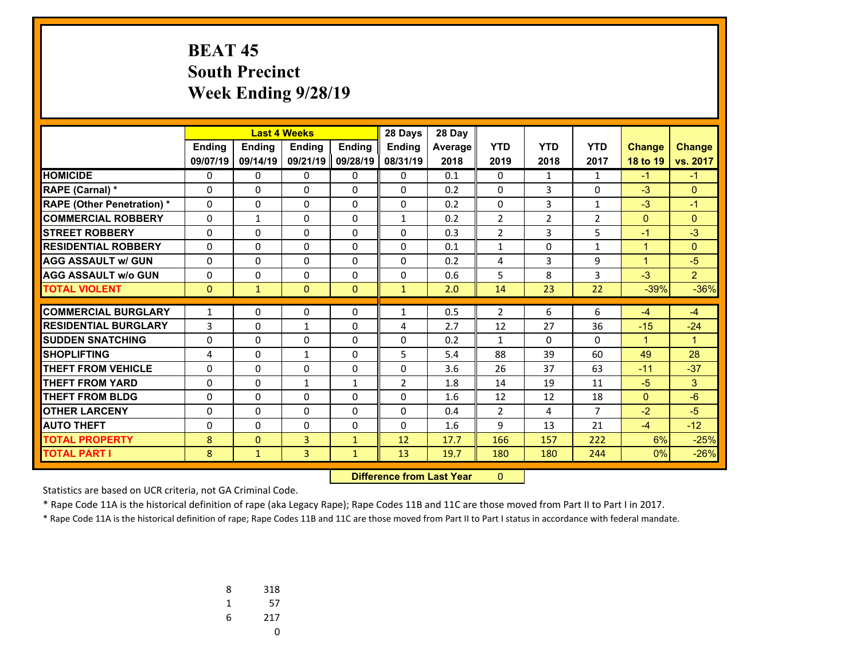# **BEAT 45 South Precinct Week Ending 9/28/19**

|                                  |               |                | <b>Last 4 Weeks</b> |               | 28 Days                          | 28 Day         |                |                |                |                |                |
|----------------------------------|---------------|----------------|---------------------|---------------|----------------------------------|----------------|----------------|----------------|----------------|----------------|----------------|
|                                  | <b>Ending</b> | Ending         | <b>Ending</b>       | <b>Endina</b> | <b>Ending</b>                    | <b>Average</b> | <b>YTD</b>     | <b>YTD</b>     | <b>YTD</b>     | <b>Change</b>  | <b>Change</b>  |
|                                  | 09/07/19      | 09/14/19       | 09/21/19            | 09/28/19      | 08/31/19                         | 2018           | 2019           | 2018           | 2017           | 18 to 19       | vs. 2017       |
| <b>HOMICIDE</b>                  | 0             | 0              | 0                   | 0             | $\mathbf{0}$                     | 0.1            | 0              | $\mathbf{1}$   | $\mathbf{1}$   | $-1$           | $-1$           |
| <b>RAPE (Carnal) *</b>           | 0             | $\Omega$       | $\Omega$            | $\Omega$      | $\Omega$                         | 0.2            | 0              | 3              | $\Omega$       | $-3$           | $\mathbf{0}$   |
| <b>RAPE (Other Penetration)*</b> | 0             | 0              | $\Omega$            | $\Omega$      | $\Omega$                         | 0.2            | $\Omega$       | 3              | $\mathbf{1}$   | $-3$           | $-1$           |
| <b>COMMERCIAL ROBBERY</b>        | 0             | $\mathbf{1}$   | 0                   | 0             | $\mathbf{1}$                     | 0.2            | $\overline{2}$ | $\overline{2}$ | $\overline{2}$ | $\overline{0}$ | $\overline{0}$ |
| <b>STREET ROBBERY</b>            | 0             | 0              | 0                   | 0             | 0                                | 0.3            | $\overline{2}$ | 3              | 5              | $-1$           | $-3$           |
| <b>RESIDENTIAL ROBBERY</b>       | $\Omega$      | 0              | 0                   | $\Omega$      | $\Omega$                         | 0.1            | $\mathbf{1}$   | 0              | $\mathbf{1}$   | $\mathbf{1}$   | $\overline{0}$ |
| <b>AGG ASSAULT w/ GUN</b>        | 0             | 0              | 0                   | 0             | $\Omega$                         | 0.2            | 4              | 3              | 9              | $\mathbf{1}$   | $-5$           |
| <b>AGG ASSAULT w/o GUN</b>       | 0             | 0              | 0                   | 0             | $\Omega$                         | 0.6            | 5              | 8              | 3              | $-3$           | 2 <sup>1</sup> |
| <b>TOTAL VIOLENT</b>             | $\mathbf{0}$  | $\mathbf{1}$   | $\mathbf{0}$        | $\mathbf{0}$  | $\mathbf{1}$                     | 2.0            | 14             | 23             | 22             | $-39%$         | $-36%$         |
| <b>COMMERCIAL BURGLARY</b>       | $\mathbf{1}$  | 0              | 0                   | 0             | 1                                | 0.5            | $\overline{2}$ | 6              | 6              | $-4$           | $-4$           |
| <b>RESIDENTIAL BURGLARY</b>      | 3             | 0              | $\mathbf{1}$        | $\Omega$      | 4                                | 2.7            | 12             | 27             | 36             | $-15$          | $-24$          |
| <b>SUDDEN SNATCHING</b>          | $\Omega$      | $\Omega$       | $\Omega$            | $\Omega$      | $\Omega$                         | 0.2            | $\mathbf{1}$   | $\Omega$       | $\Omega$       | $\mathbf{1}$   | $\mathbf{1}$   |
| <b>SHOPLIFTING</b>               | 4             | $\Omega$       | $\mathbf{1}$        | $\Omega$      | 5                                | 5.4            | 88             | 39             | 60             | 49             | 28             |
| <b>THEFT FROM VEHICLE</b>        | 0             | $\Omega$       | $\Omega$            | $\Omega$      | $\Omega$                         | 3.6            | 26             | 37             | 63             | $-11$          | $-37$          |
| <b>THEFT FROM YARD</b>           | 0             | $\Omega$       | $\mathbf{1}$        | $\mathbf{1}$  | $\overline{2}$                   | 1.8            | 14             | 19             | 11             | $-5$           | 3              |
| <b>THEFT FROM BLDG</b>           | 0             | 0              | $\Omega$            | 0             | 0                                | 1.6            | 12             | 12             | 18             | $\overline{0}$ | $-6$           |
| <b>OTHER LARCENY</b>             | 0             | 0              | 0                   | 0             | 0                                | 0.4            | $\overline{2}$ | 4              | $\overline{7}$ | $-2$           | $-5$           |
| <b>AUTO THEFT</b>                | 0             | 0              | $\Omega$            | $\Omega$      | $\Omega$                         | 1.6            | 9              | 13             | 21             | $-4$           | $-12$          |
| <b>TOTAL PROPERTY</b>            | 8             | $\overline{0}$ | 3                   | $\mathbf{1}$  | 12                               | 17.7           | 166            | 157            | 222            | 6%             | $-25%$         |
| <b>TOTAL PART I</b>              | 8             | $\mathbf{1}$   | 3                   | $\mathbf{1}$  | 13                               | 19.7           | 180            | 180            | 244            | 0%             | $-26%$         |
|                                  |               |                |                     |               | <b>Difference from Last Year</b> |                | $\mathbf{0}$   |                |                |                |                |

 **Difference from Last Year**

Statistics are based on UCR criteria, not GA Criminal Code.

\* Rape Code 11A is the historical definition of rape (aka Legacy Rape); Rape Codes 11B and 11C are those moved from Part II to Part I in 2017.

| 8 | 318 |
|---|-----|
| 1 | 57  |
| 6 | 217 |
|   | U   |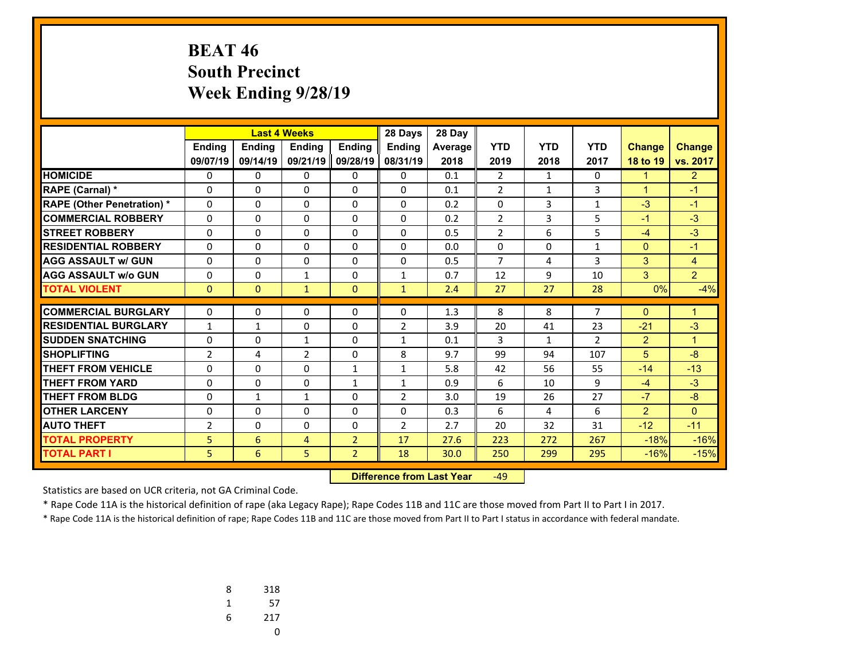### **BEAT 46 South Precinct Week Ending 9/28/19**

|                                   |                |               | <b>Last 4 Weeks</b> |                | 28 Days        | 28 Day  |                |                |                |                |                |
|-----------------------------------|----------------|---------------|---------------------|----------------|----------------|---------|----------------|----------------|----------------|----------------|----------------|
|                                   | <b>Ending</b>  | <b>Ending</b> | <b>Endina</b>       | <b>Endina</b>  | <b>Endina</b>  | Average | <b>YTD</b>     | <b>YTD</b>     | <b>YTD</b>     | <b>Change</b>  | <b>Change</b>  |
|                                   | 09/07/19       | 09/14/19      | 09/21/19            | 09/28/19       | 08/31/19       | 2018    | 2019           | 2018           | 2017           | 18 to 19       | vs. 2017       |
| <b>HOMICIDE</b>                   | 0              | 0             | 0                   | 0              | $\Omega$       | 0.1     | $\overline{2}$ | 1              | $\Omega$       | $\mathbf 1$    | $\overline{2}$ |
| <b>RAPE (Carnal) *</b>            | 0              | $\Omega$      | 0                   | 0              | $\Omega$       | 0.1     | $\overline{2}$ | $\mathbf{1}$   | 3              | $\mathbf{1}$   | $-1$           |
| <b>RAPE (Other Penetration) *</b> | $\Omega$       | 0             | $\Omega$            | $\Omega$       | $\Omega$       | 0.2     | $\Omega$       | $\overline{3}$ | $\mathbf{1}$   | $-3$           | $-1$           |
| <b>COMMERCIAL ROBBERY</b>         | 0              | $\Omega$      | 0                   | 0              | $\Omega$       | 0.2     | $\overline{2}$ | 3              | 5              | $-1$           | $-3$           |
| <b>STREET ROBBERY</b>             | $\Omega$       | $\Omega$      | $\Omega$            | $\Omega$       | $\Omega$       | 0.5     | $\overline{2}$ | 6              | 5              | $-4$           | $-3$           |
| <b>RESIDENTIAL ROBBERY</b>        | $\Omega$       | 0             | 0                   | $\Omega$       | $\Omega$       | 0.0     | 0              | $\Omega$       | $\mathbf{1}$   | $\mathbf{0}$   | $-1$           |
| <b>AGG ASSAULT w/ GUN</b>         | 0              | $\Omega$      | 0                   | 0              | $\Omega$       | 0.5     | $\overline{7}$ | 4              | 3              | 3              | $\overline{4}$ |
| <b>AGG ASSAULT w/o GUN</b>        | 0              | 0             | $\mathbf{1}$        | 0              | 1              | 0.7     | 12             | 9              | 10             | 3              | $\overline{2}$ |
| <b>TOTAL VIOLENT</b>              | $\mathbf{0}$   | $\mathbf{0}$  | $\mathbf{1}$        | $\mathbf{0}$   | $\mathbf{1}$   | 2.4     | 27             | 27             | 28             | 0%             | $-4%$          |
|                                   |                |               |                     |                |                |         |                |                |                |                |                |
| <b>COMMERCIAL BURGLARY</b>        | 0              | 0             | $\Omega$            | 0              | 0              | 1.3     | 8              | 8              | $\overline{7}$ | $\mathbf{0}$   | $\mathbf 1$    |
| <b>RESIDENTIAL BURGLARY</b>       | $\mathbf{1}$   | $\mathbf{1}$  | 0                   | 0              | $\overline{2}$ | 3.9     | 20             | 41             | 23             | $-21$          | $-3$           |
| <b>SUDDEN SNATCHING</b>           | 0              | 0             | 1                   | $\Omega$       | $\mathbf{1}$   | 0.1     | 3              | $\mathbf{1}$   | $\overline{2}$ | $\overline{2}$ | $\mathbf{1}$   |
| <b>SHOPLIFTING</b>                | $\overline{2}$ | 4             | $\overline{2}$      | $\Omega$       | 8              | 9.7     | 99             | 94             | 107            | 5              | $-8$           |
| <b>THEFT FROM VEHICLE</b>         | 0              | 0             | $\Omega$            | $\mathbf{1}$   | $\mathbf{1}$   | 5.8     | 42             | 56             | 55             | $-14$          | $-13$          |
| <b>THEFT FROM YARD</b>            | 0              | $\Omega$      | $\Omega$            | $\mathbf{1}$   | $\mathbf{1}$   | 0.9     | 6              | 10             | 9              | $-4$           | $-3$           |
| <b>THEFT FROM BLDG</b>            | 0              | $\mathbf{1}$  | $\mathbf{1}$        | 0              | $\overline{2}$ | 3.0     | 19             | 26             | 27             | $-7$           | $-8$           |
| <b>OTHER LARCENY</b>              | 0              | 0             | 0                   | 0              | $\Omega$       | 0.3     | 6              | 4              | 6              | $\overline{2}$ | $\Omega$       |
| <b>AUTO THEFT</b>                 | $\overline{2}$ | 0             | 0                   | 0              | $\overline{2}$ | 2.7     | 20             | 32             | 31             | $-12$          | $-11$          |
| <b>TOTAL PROPERTY</b>             | 5              | 6             | 4                   | $\overline{2}$ | 17             | 27.6    | 223            | 272            | 267            | $-18%$         | $-16%$         |
| <b>TOTAL PART I</b>               | 5              | 6             | 5                   | $\overline{2}$ | 18             | 30.0    | 250            | 299            | 295            | $-16%$         | $-15%$         |

 **Difference from Last Year**‐49

Statistics are based on UCR criteria, not GA Criminal Code.

\* Rape Code 11A is the historical definition of rape (aka Legacy Rape); Rape Codes 11B and 11C are those moved from Part II to Part I in 2017.

| 8 | 318 |
|---|-----|
| 1 | 57  |
| 6 | 217 |
|   | U   |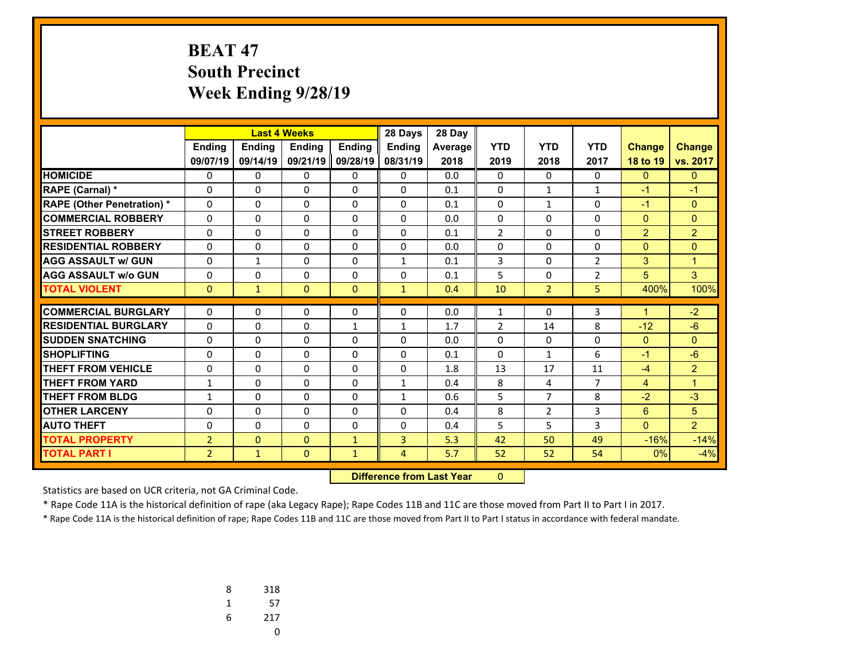# **BEAT 47 South Precinct Week Ending 9/28/19**

|                                  |                |                | <b>Last 4 Weeks</b> |               | 28 Days                          | 28 Day  |                |                |                |                |                |
|----------------------------------|----------------|----------------|---------------------|---------------|----------------------------------|---------|----------------|----------------|----------------|----------------|----------------|
|                                  | <b>Ending</b>  | Ending         | <b>Ending</b>       | <b>Endina</b> | <b>Ending</b>                    | Average | <b>YTD</b>     | <b>YTD</b>     | <b>YTD</b>     | <b>Change</b>  | <b>Change</b>  |
|                                  | 09/07/19       | 09/14/19       | 09/21/19            | 09/28/19      | 08/31/19                         | 2018    | 2019           | 2018           | 2017           | 18 to 19       | vs. 2017       |
| <b>HOMICIDE</b>                  | 0              | 0              | 0                   | 0             | $\mathbf{0}$                     | 0.0     | 0              | $\Omega$       | $\Omega$       | $\mathbf{0}$   | $\mathbf{0}$   |
| <b>RAPE (Carnal) *</b>           | 0              | $\Omega$       | $\Omega$            | $\Omega$      | $\Omega$                         | 0.1     | 0              | $\mathbf{1}$   | $\mathbf{1}$   | $-1$           | $-1$           |
| <b>RAPE (Other Penetration)*</b> | 0              | 0              | $\Omega$            | $\Omega$      | $\Omega$                         | 0.1     | $\Omega$       | $\mathbf{1}$   | $\Omega$       | $-1$           | $\Omega$       |
| <b>COMMERCIAL ROBBERY</b>        | 0              | 0              | 0                   | 0             | 0                                | 0.0     | 0              | 0              | 0              | $\overline{0}$ | $\overline{0}$ |
| <b>STREET ROBBERY</b>            | 0              | 0              | 0                   | 0             | $\Omega$                         | 0.1     | $\overline{2}$ | $\Omega$       | $\Omega$       | $\overline{2}$ | $\overline{2}$ |
| <b>RESIDENTIAL ROBBERY</b>       | $\Omega$       | 0              | 0                   | $\Omega$      | $\Omega$                         | 0.0     | 0              | $\Omega$       | 0              | $\overline{0}$ | $\overline{0}$ |
| <b>AGG ASSAULT w/ GUN</b>        | 0              | $\mathbf{1}$   | 0                   | 0             | 1                                | 0.1     | 3              | 0              | $\overline{2}$ | 3              | $\mathbf{1}$   |
| <b>AGG ASSAULT w/o GUN</b>       | 0              | 0              | 0                   | 0             | $\Omega$                         | 0.1     | 5              | $\Omega$       | $\overline{2}$ | 5 <sup>5</sup> | 3              |
| <b>TOTAL VIOLENT</b>             | $\mathbf{0}$   | $\mathbf{1}$   | $\mathbf{0}$        | $\Omega$      | $\mathbf{1}$                     | 0.4     | 10             | $\overline{2}$ | 5.             | 400%           | 100%           |
| <b>COMMERCIAL BURGLARY</b>       | $\Omega$       | 0              | 0                   | 0             | $\Omega$                         | 0.0     | 1              | $\Omega$       | 3              | $\mathbf{1}$   | $-2$           |
| <b>RESIDENTIAL BURGLARY</b>      | $\Omega$       | 0              | 0                   | $\mathbf{1}$  | $\mathbf{1}$                     | 1.7     | $\overline{2}$ | 14             | 8              | $-12$          | $-6$           |
| <b>SUDDEN SNATCHING</b>          | $\Omega$       | $\Omega$       | $\Omega$            | $\Omega$      | $\Omega$                         | 0.0     | $\Omega$       | $\Omega$       | $\Omega$       | $\mathbf{0}$   | $\Omega$       |
| <b>SHOPLIFTING</b>               | 0              | $\Omega$       | $\Omega$            | $\Omega$      | $\Omega$                         | 0.1     | $\Omega$       | $\mathbf{1}$   | 6              | $-1$           | $-6$           |
| <b>THEFT FROM VEHICLE</b>        | 0              | $\Omega$       | $\Omega$            | $\Omega$      | $\Omega$                         | 1.8     | 13             | 17             | 11             | $-4$           | $\overline{2}$ |
| <b>THEFT FROM YARD</b>           | $\mathbf{1}$   | $\Omega$       | $\Omega$            | $\Omega$      | $\mathbf{1}$                     | 0.4     | 8              | 4              | $\overline{7}$ | $\overline{4}$ | $\mathbf{1}$   |
| <b>THEFT FROM BLDG</b>           | 1              | 0              | $\Omega$            | 0             | $\mathbf{1}$                     | 0.6     | 5              | $\overline{7}$ | 8              | $-2$           | $-3$           |
| <b>OTHER LARCENY</b>             | 0              | 0              | 0                   | 0             | 0                                | 0.4     | 8              | 2              | 3              | $6^{\circ}$    | 5              |
| <b>AUTO THEFT</b>                | 0              | 0              | $\Omega$            | $\Omega$      | $\Omega$                         | 0.4     | 5              | 5              | 3              | $\mathbf{0}$   | $\overline{2}$ |
| <b>TOTAL PROPERTY</b>            | $\overline{2}$ | $\overline{0}$ | $\mathbf{0}$        | $\mathbf{1}$  | 3                                | 5.3     | 42             | 50             | 49             | $-16%$         | $-14%$         |
| <b>TOTAL PART I</b>              | $\overline{2}$ | $\mathbf{1}$   | $\mathbf{0}$        | $\mathbf{1}$  | $\overline{4}$                   | 5.7     | 52             | 52             | 54             | 0%             | $-4%$          |
|                                  |                |                |                     |               | <b>Difference from Last Year</b> |         | $\mathbf{0}$   |                |                |                |                |

 **Difference from Last Year**

Statistics are based on UCR criteria, not GA Criminal Code.

\* Rape Code 11A is the historical definition of rape (aka Legacy Rape); Rape Codes 11B and 11C are those moved from Part II to Part I in 2017.

| 8 | 318 |
|---|-----|
| 1 | 57  |
| 6 | 217 |
|   | U   |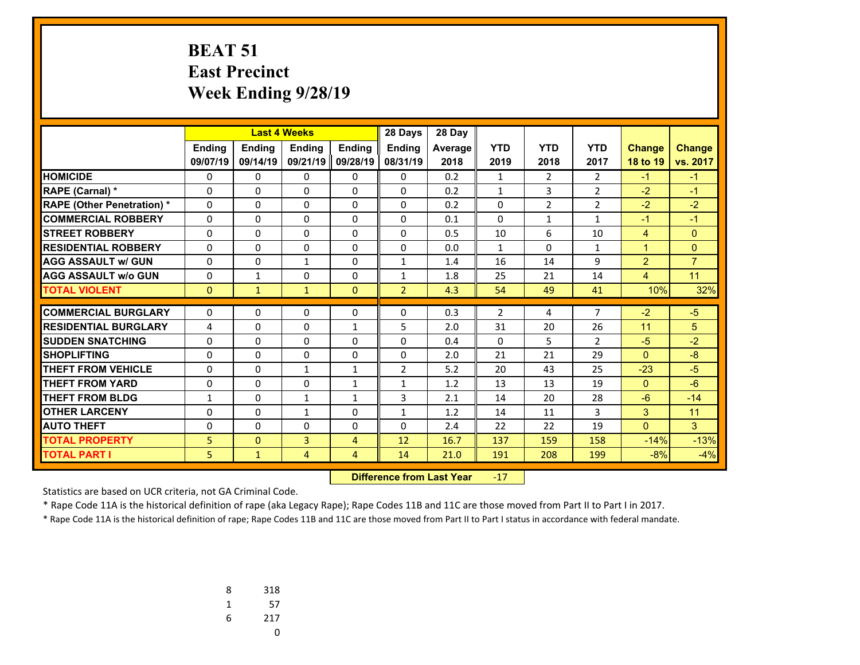### **BEAT 51 East Precinct Week Ending 9/28/19**

|                                   | <b>Last 4 Weeks</b> |               |                | 28 Days        | 28 Day         |         |                |                |                |                |                |
|-----------------------------------|---------------------|---------------|----------------|----------------|----------------|---------|----------------|----------------|----------------|----------------|----------------|
|                                   | <b>Endina</b>       | <b>Endina</b> | <b>Endina</b>  | <b>Endina</b>  | <b>Endina</b>  | Average | <b>YTD</b>     | <b>YTD</b>     | <b>YTD</b>     | <b>Change</b>  | <b>Change</b>  |
|                                   | 09/07/19            | 09/14/19      | 09/21/19       | 09/28/19       | 08/31/19       | 2018    | 2019           | 2018           | 2017           | 18 to 19       | vs. 2017       |
| <b>HOMICIDE</b>                   | 0                   | 0             | 0              | 0              | 0              | 0.2     | 1              | 2              | 2              | $-1$           | $-1$           |
| <b>RAPE (Carnal) *</b>            | 0                   | $\Omega$      | 0              | 0              | $\Omega$       | 0.2     | $\mathbf{1}$   | 3              | $\overline{2}$ | $-2$           | $-1$           |
| <b>RAPE (Other Penetration) *</b> | 0                   | $\Omega$      | $\Omega$       | 0              | $\Omega$       | 0.2     | 0              | $\overline{2}$ | $\overline{2}$ | $-2$           | $-2$           |
| <b>COMMERCIAL ROBBERY</b>         | 0                   | 0             | 0              | 0              | $\mathbf{0}$   | 0.1     | 0              | $\mathbf{1}$   | $\mathbf{1}$   | $-1$           | $-1$           |
| <b>STREET ROBBERY</b>             | $\Omega$            | 0             | $\Omega$       | $\Omega$       | $\Omega$       | 0.5     | 10             | 6              | 10             | $\overline{4}$ | $\mathbf{0}$   |
| <b>RESIDENTIAL ROBBERY</b>        | $\Omega$            | 0             | 0              | 0              | $\Omega$       | 0.0     | 1              | 0              | 1              | $\mathbf{1}$   | $\mathbf{0}$   |
| <b>AGG ASSAULT w/ GUN</b>         | 0                   | 0             | $\mathbf{1}$   | 0              | 1              | 1.4     | 16             | 14             | 9              | $\overline{2}$ | $\overline{7}$ |
| <b>AGG ASSAULT w/o GUN</b>        | $\Omega$            | $\mathbf{1}$  | $\Omega$       | $\Omega$       | $\mathbf{1}$   | 1.8     | 25             | 21             | 14             | $\overline{4}$ | 11             |
| <b>TOTAL VIOLENT</b>              | $\mathbf{0}$        | $\mathbf{1}$  | $\mathbf{1}$   | $\mathbf{0}$   | $\overline{2}$ | 4.3     | 54             | 49             | 41             | 10%            | 32%            |
|                                   |                     |               |                |                |                |         |                |                |                |                |                |
| <b>COMMERCIAL BURGLARY</b>        | 0                   | 0             | 0              | 0              | $\mathbf{0}$   | 0.3     | $\overline{2}$ | 4              | $\overline{7}$ | $-2$           | $-5$           |
| <b>RESIDENTIAL BURGLARY</b>       | 4                   | 0             | 0              | $\mathbf{1}$   | 5              | 2.0     | 31             | 20             | 26             | 11             | 5              |
| <b>SUDDEN SNATCHING</b>           | 0                   | 0             | 0              | 0              | $\Omega$       | 0.4     | $\Omega$       | 5              | $\overline{2}$ | $-5$           | $-2$           |
| <b>SHOPLIFTING</b>                | 0                   | 0             | 0              | 0              | $\Omega$       | 2.0     | 21             | 21             | 29             | $\mathbf{0}$   | $-8$           |
| <b>THEFT FROM VEHICLE</b>         | $\Omega$            | 0             | $\mathbf{1}$   | $\mathbf{1}$   | $\overline{2}$ | 5.2     | 20             | 43             | 25             | $-23$          | $-5$           |
| <b>THEFT FROM YARD</b>            | $\mathbf 0$         | 0             | 0              | $\mathbf{1}$   | 1              | 1.2     | 13             | 13             | 19             | $\mathbf{0}$   | $-6$           |
| <b>THEFT FROM BLDG</b>            | 1                   | 0             | $\mathbf{1}$   | $\mathbf{1}$   | 3              | 2.1     | 14             | 20             | 28             | $-6$           | $-14$          |
| <b>OTHER LARCENY</b>              | $\mathbf 0$         | 0             | $\mathbf{1}$   | $\Omega$       | $\mathbf{1}$   | 1.2     | 14             | 11             | 3              | 3              | 11             |
| <b>AUTO THEFT</b>                 | 0                   | 0             | $\Omega$       | $\Omega$       | $\Omega$       | 2.4     | 22             | 22             | 19             | $\Omega$       | 3              |
| <b>TOTAL PROPERTY</b>             | 5                   | $\Omega$      | 3              | $\overline{4}$ | 12             | 16.7    | 137            | 159            | 158            | $-14%$         | $-13%$         |
| <b>TOTAL PART I</b>               | 5                   | $\mathbf{1}$  | $\overline{4}$ | $\overline{4}$ | 14             | 21.0    | 191            | 208            | 199            | $-8%$          | $-4%$          |

 **Difference from Last Year**r -17

Statistics are based on UCR criteria, not GA Criminal Code.

\* Rape Code 11A is the historical definition of rape (aka Legacy Rape); Rape Codes 11B and 11C are those moved from Part II to Part I in 2017.

| 8 | 318 |
|---|-----|
| 1 | 57  |
| 6 | 217 |
|   | U   |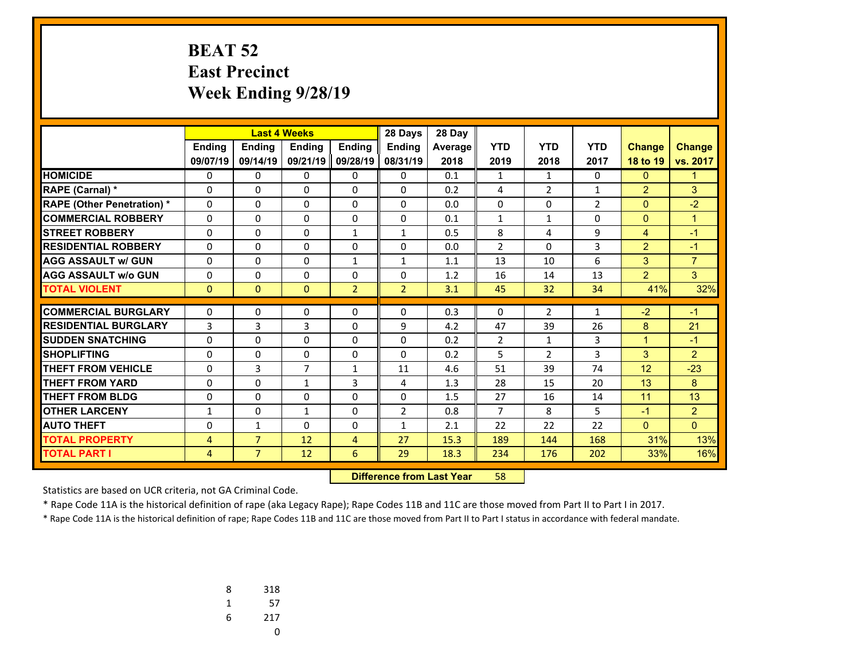## **BEAT 52 East Precinct Week Ending 9/28/19**

|                                   |              |                | <b>Last 4 Weeks</b> |                | 28 Days        | 28 Day  |                |                |                |                |                |
|-----------------------------------|--------------|----------------|---------------------|----------------|----------------|---------|----------------|----------------|----------------|----------------|----------------|
|                                   | Ending       | <b>Ending</b>  | <b>Endina</b>       | <b>Endina</b>  | <b>Endina</b>  | Average | <b>YTD</b>     | <b>YTD</b>     | <b>YTD</b>     | <b>Change</b>  | <b>Change</b>  |
|                                   | 09/07/19     | 09/14/19       | 09/21/19            | 09/28/19       | 08/31/19       | 2018    | 2019           | 2018           | 2017           | 18 to 19       | vs. 2017       |
| <b>HOMICIDE</b>                   | 0            | 0              | 0                   | 0              | 0              | 0.1     | $\mathbf{1}$   | $\mathbf{1}$   | 0              | $\mathbf{0}$   | $\mathbf{1}$   |
| RAPE (Carnal) *                   | 0            | $\Omega$       | $\Omega$            | 0              | $\Omega$       | 0.2     | 4              | $\overline{2}$ | 1              | $\overline{2}$ | 3              |
| <b>RAPE (Other Penetration) *</b> | 0            | 0              | $\Omega$            | $\Omega$       | $\Omega$       | 0.0     | 0              | $\Omega$       | $\overline{2}$ | $\overline{0}$ | $-2$           |
| <b>COMMERCIAL ROBBERY</b>         | $\Omega$     | 0              | $\Omega$            | $\Omega$       | $\Omega$       | 0.1     | $\mathbf{1}$   | $\mathbf{1}$   | $\Omega$       | $\mathbf{0}$   | $\mathbf{1}$   |
| <b>STREET ROBBERY</b>             | $\Omega$     | 0              | $\Omega$            | $\mathbf{1}$   | $\mathbf{1}$   | 0.5     | 8              | 4              | 9              | $\overline{4}$ | $-1$           |
| <b>RESIDENTIAL ROBBERY</b>        | 0            | 0              | $\Omega$            | $\Omega$       | $\Omega$       | 0.0     | $\overline{2}$ | $\Omega$       | 3              | $\overline{2}$ | $-1$           |
| <b>AGG ASSAULT w/ GUN</b>         | 0            | $\Omega$       | $\Omega$            | $\mathbf{1}$   | $\mathbf{1}$   | 1.1     | 13             | 10             | 6              | 3              | $\overline{7}$ |
| <b>AGG ASSAULT w/o GUN</b>        | 0            | 0              | $\Omega$            | $\Omega$       | 0              | 1.2     | 16             | 14             | 13             | $\overline{2}$ | 3              |
| <b>TOTAL VIOLENT</b>              | $\mathbf{0}$ | $\Omega$       | $\Omega$            | $\overline{2}$ | $\overline{2}$ | 3.1     | 45             | 32             | 34             | 41%            | 32%            |
| <b>COMMERCIAL BURGLARY</b>        | 0            | 0              |                     |                | 0              | 0.3     | 0              | $\overline{2}$ |                | $-2$           | $-1$           |
| <b>RESIDENTIAL BURGLARY</b>       |              |                | 0                   | 0              |                |         |                |                | $\mathbf{1}$   |                |                |
|                                   | 3            | 3              | 3                   | $\Omega$       | 9              | 4.2     | 47             | 39             | 26             | 8              | 21             |
| <b>SUDDEN SNATCHING</b>           | $\Omega$     | $\Omega$       | $\Omega$            | $\Omega$       | $\Omega$       | 0.2     | $\overline{2}$ | 1              | 3              | $\mathbf{1}$   | $-1$           |
| <b>SHOPLIFTING</b>                | $\Omega$     | 0              | $\Omega$            | $\Omega$       | $\Omega$       | 0.2     | 5              | $\overline{2}$ | 3              | 3              | $\overline{2}$ |
| <b>THEFT FROM VEHICLE</b>         | 0            | 3              | $\overline{7}$      | $\mathbf{1}$   | 11             | 4.6     | 51             | 39             | 74             | 12             | $-23$          |
| <b>THEFT FROM YARD</b>            | $\Omega$     | 0              | $\mathbf{1}$        | 3              | 4              | 1.3     | 28             | 15             | 20             | 13             | 8              |
| <b>THEFT FROM BLDG</b>            | 0            | $\Omega$       | $\Omega$            | $\Omega$       | $\Omega$       | 1.5     | 27             | 16             | 14             | 11             | 13             |
| <b>OTHER LARCENY</b>              | $\mathbf{1}$ | 0              | $\mathbf{1}$        | $\Omega$       | $\overline{2}$ | 0.8     | $\overline{7}$ | 8              | 5              | $-1$           | 2              |
| <b>AUTO THEFT</b>                 | 0            | $\mathbf{1}$   | 0                   | 0              | $\mathbf{1}$   | 2.1     | 22             | 22             | 22             | $\mathbf{0}$   | $\Omega$       |
| <b>TOTAL PROPERTY</b>             | 4            | $\overline{7}$ | 12                  | 4              | 27             | 15.3    | 189            | 144            | 168            | 31%            | 13%            |
| <b>TOTAL PART I</b>               | 4            | $\overline{7}$ | 12                  | 6              | 29             | 18.3    | 234            | 176            | 202            | 33%            | 16%            |

 **Difference from Last Year**r 58

Statistics are based on UCR criteria, not GA Criminal Code.

\* Rape Code 11A is the historical definition of rape (aka Legacy Rape); Rape Codes 11B and 11C are those moved from Part II to Part I in 2017.

| 8 | 318 |
|---|-----|
| 1 | 57  |
| 6 | 217 |
|   | U   |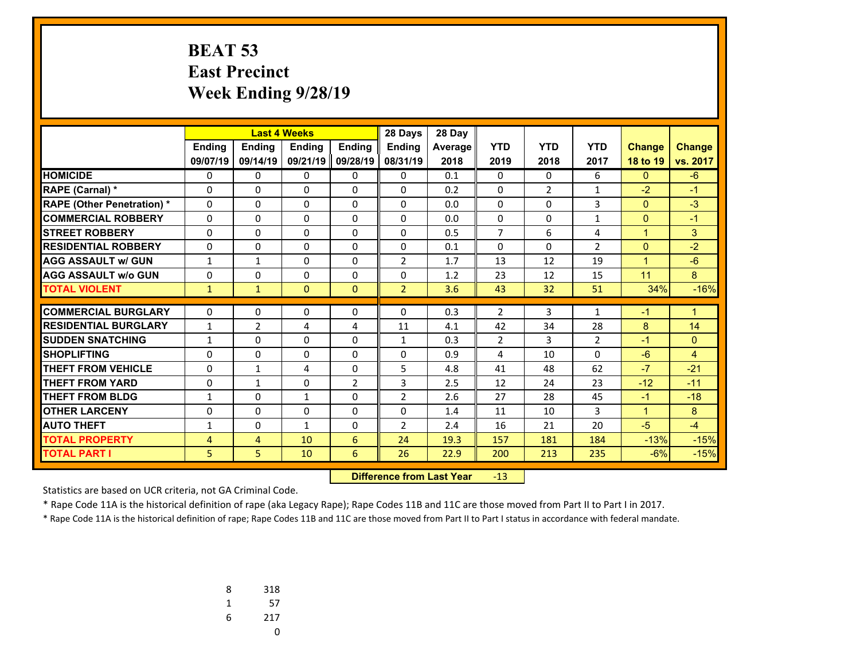## **BEAT 53 East Precinct Week Ending 9/28/19**

|                                   |               |                | <b>Last 4 Weeks</b> |               | 28 Days        | 28 Day  |                |                |                |                |               |
|-----------------------------------|---------------|----------------|---------------------|---------------|----------------|---------|----------------|----------------|----------------|----------------|---------------|
|                                   | <b>Endina</b> | <b>Endina</b>  | <b>Endina</b>       | <b>Endina</b> | <b>Endina</b>  | Average | <b>YTD</b>     | <b>YTD</b>     | <b>YTD</b>     | <b>Change</b>  | <b>Change</b> |
|                                   | 09/07/19      | 09/14/19       | 09/21/19            | 09/28/19      | 08/31/19       | 2018    | 2019           | 2018           | 2017           | 18 to 19       | vs. 2017      |
| <b>HOMICIDE</b>                   | 0             | 0              | 0                   | 0             | $\Omega$       | 0.1     | 0              | $\Omega$       | 6              | $\mathbf{0}$   | $-6$          |
| <b>RAPE (Carnal) *</b>            | 0             | 0              | $\Omega$            | 0             | $\Omega$       | 0.2     | $\Omega$       | $\overline{2}$ | $\mathbf{1}$   | $-2$           | $-1$          |
| <b>RAPE (Other Penetration) *</b> | $\Omega$      | 0              | $\Omega$            | $\Omega$      | $\Omega$       | 0.0     | $\Omega$       | $\Omega$       | 3              | $\overline{0}$ | $-3$          |
| <b>COMMERCIAL ROBBERY</b>         | 0             | 0              | 0                   | 0             | $\Omega$       | 0.0     | 0              | 0              | 1              | $\mathbf{0}$   | $-1$          |
| <b>STREET ROBBERY</b>             | 0             | $\Omega$       | $\Omega$            | 0             | $\Omega$       | 0.5     | $\overline{7}$ | 6              | 4              | $\mathbf{1}$   | 3             |
| <b>RESIDENTIAL ROBBERY</b>        | 0             | 0              | $\Omega$            | 0             | 0              | 0.1     | 0              | $\Omega$       | $\overline{2}$ | $\mathbf{0}$   | $-2$          |
| <b>AGG ASSAULT w/ GUN</b>         | 1             | $\mathbf{1}$   | 0                   | 0             | $\overline{2}$ | 1.7     | 13             | 12             | 19             | $\mathbf{1}$   | $-6$          |
| <b>AGG ASSAULT w/o GUN</b>        | 0             | 0              | 0                   | 0             | $\Omega$       | 1.2     | 23             | 12             | 15             | 11             | 8             |
| <b>TOTAL VIOLENT</b>              | $\mathbf{1}$  | $\mathbf{1}$   | $\mathbf{0}$        | $\mathbf{0}$  | $\overline{2}$ | 3.6     | 43             | 32             | 51             | 34%            | $-16%$        |
| <b>COMMERCIAL BURGLARY</b>        |               |                |                     |               |                |         |                |                |                |                |               |
|                                   | $\Omega$      | 0              | 0                   | 0             | $\Omega$       | 0.3     | $\overline{2}$ | 3              | $\mathbf{1}$   | -1             | $\mathbf{1}$  |
| <b>RESIDENTIAL BURGLARY</b>       | $\mathbf{1}$  | $\overline{2}$ | 4                   | 4             | 11             | 4.1     | 42             | 34             | 28             | 8              | 14            |
| <b>SUDDEN SNATCHING</b>           | $\mathbf{1}$  | 0              | $\Omega$            | $\Omega$      | $\mathbf{1}$   | 0.3     | $\overline{2}$ | $\overline{3}$ | $\overline{2}$ | $-1$           | $\Omega$      |
| <b>SHOPLIFTING</b>                | 0             | 0              | 0                   | 0             | $\Omega$       | 0.9     | 4              | 10             | $\Omega$       | $-6$           | 4             |
| <b>THEFT FROM VEHICLE</b>         | 0             | $\mathbf{1}$   | 4                   | 0             | 5              | 4.8     | 41             | 48             | 62             | $-7$           | $-21$         |
| <b>THEFT FROM YARD</b>            | 0             | $\mathbf{1}$   | $\Omega$            | 2             | 3              | 2.5     | 12             | 24             | 23             | $-12$          | $-11$         |
| THEFT FROM BLDG                   | 1             | 0              | $\mathbf{1}$        | 0             | $\overline{2}$ | 2.6     | 27             | 28             | 45             | $-1$           | $-18$         |
| <b>OTHER LARCENY</b>              | 0             | 0              | 0                   | 0             | 0              | 1.4     | 11             | 10             | 3              | $\mathbf{1}$   | 8             |
| <b>AUTO THEFT</b>                 | 1             | 0              | $\mathbf{1}$        | 0             | $\overline{2}$ | 2.4     | 16             | 21             | 20             | $-5$           | $-4$          |
| <b>TOTAL PROPERTY</b>             | 4             | 4              | 10                  | 6             | 24             | 19.3    | 157            | 181            | 184            | $-13%$         | $-15%$        |
| <b>TOTAL PART I</b>               | 5             | 5.             | 10                  | 6             | 26             | 22.9    | 200            | 213            | 235            | $-6%$          | $-15%$        |

 **Difference from Last Year**r -13

Statistics are based on UCR criteria, not GA Criminal Code.

\* Rape Code 11A is the historical definition of rape (aka Legacy Rape); Rape Codes 11B and 11C are those moved from Part II to Part I in 2017.

| 8 | 318 |
|---|-----|
| 1 | 57  |
| 6 | 217 |
|   | U   |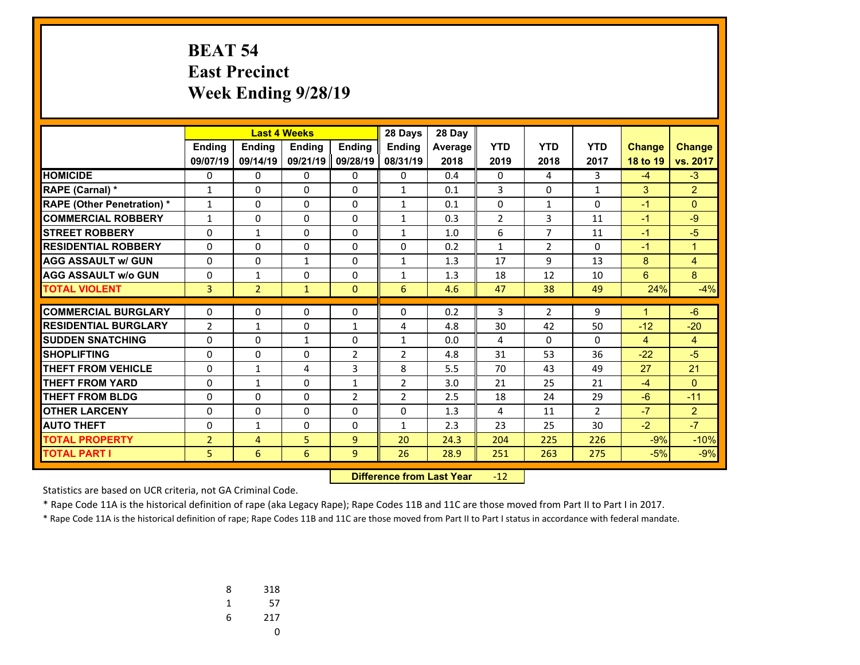## **BEAT 54 East Precinct Week Ending 9/28/19**

|                                   |                |                | <b>Last 4 Weeks</b> |                | 28 Days        | 28 Day  |                |                |                |               |                |
|-----------------------------------|----------------|----------------|---------------------|----------------|----------------|---------|----------------|----------------|----------------|---------------|----------------|
|                                   | <b>Endina</b>  | <b>Ending</b>  | <b>Endina</b>       | <b>Endina</b>  | <b>Endina</b>  | Average | <b>YTD</b>     | <b>YTD</b>     | <b>YTD</b>     | <b>Change</b> | <b>Change</b>  |
|                                   | 09/07/19       | 09/14/19       | 09/21/19            | 09/28/19       | 08/31/19       | 2018    | 2019           | 2018           | 2017           | 18 to 19      | vs. 2017       |
| <b>HOMICIDE</b>                   | 0              | 0              | 0                   | 0              | 0              | 0.4     | 0              | 4              | 3              | $-4$          | $-3$           |
| <b>RAPE (Carnal) *</b>            | $\mathbf{1}$   | 0              | 0                   | $\Omega$       | 1              | 0.1     | 3              | $\Omega$       | $\mathbf{1}$   | 3             | $\overline{2}$ |
| <b>RAPE (Other Penetration) *</b> | 1              | $\Omega$       | $\Omega$            | 0              | $\mathbf{1}$   | 0.1     | 0              | $\mathbf{1}$   | $\Omega$       | $-1$          | $\Omega$       |
| <b>COMMERCIAL ROBBERY</b>         | $\mathbf{1}$   | 0              | $\Omega$            | $\Omega$       | $\mathbf{1}$   | 0.3     | $\overline{2}$ | 3              | 11             | $-1$          | $-9$           |
| <b>STREET ROBBERY</b>             | 0              | $\mathbf{1}$   | 0                   | 0              | $\mathbf{1}$   | 1.0     | 6              | $\overline{7}$ | 11             | $-1$          | $-5$           |
| <b>RESIDENTIAL ROBBERY</b>        | 0              | 0              | $\Omega$            | $\Omega$       | $\Omega$       | 0.2     | $\mathbf{1}$   | $\overline{2}$ | $\Omega$       | $-1$          | $\mathbf{1}$   |
| <b>AGG ASSAULT w/ GUN</b>         | 0              | 0              | 1                   | 0              | 1              | 1.3     | 17             | 9              | 13             | 8             | 4              |
| <b>AGG ASSAULT w/o GUN</b>        | 0              | $\mathbf{1}$   | 0                   | $\Omega$       | $\mathbf{1}$   | 1.3     | 18             | 12             | 10             | 6             | 8              |
| <b>TOTAL VIOLENT</b>              | 3              | $\overline{2}$ | $\mathbf{1}$        | $\Omega$       | 6              | 4.6     | 47             | 38             | 49             | 24%           | $-4%$          |
|                                   |                |                |                     |                |                |         |                |                |                |               |                |
| <b>COMMERCIAL BURGLARY</b>        | 0              | 0              | 0                   | 0              | 0              | 0.2     | 3              | $\overline{2}$ | 9              | $\mathbf 1$   | $-6$           |
| <b>RESIDENTIAL BURGLARY</b>       | $\overline{2}$ | $\mathbf{1}$   | 0                   | $\mathbf{1}$   | 4              | 4.8     | 30             | 42             | 50             | $-12$         | $-20$          |
| <b>SUDDEN SNATCHING</b>           | $\Omega$       | 0              | $\mathbf{1}$        | $\Omega$       | $\mathbf{1}$   | 0.0     | 4              | $\Omega$       | $\Omega$       | 4             | $\overline{4}$ |
| <b>SHOPLIFTING</b>                | $\Omega$       | 0              | 0                   | $\overline{2}$ | $\overline{2}$ | 4.8     | 31             | 53             | 36             | $-22$         | $-5$           |
| <b>THEFT FROM VEHICLE</b>         | 0              | $\mathbf{1}$   | 4                   | 3              | 8              | 5.5     | 70             | 43             | 49             | 27            | 21             |
| <b>THEFT FROM YARD</b>            | $\Omega$       | $\mathbf{1}$   | $\Omega$            | $\mathbf{1}$   | $\overline{2}$ | 3.0     | 21             | 25             | 21             | $-4$          | $\Omega$       |
| <b>THEFT FROM BLDG</b>            | 0              | 0              | $\Omega$            | $\overline{2}$ | 2              | 2.5     | 18             | 24             | 29             | $-6$          | $-11$          |
| <b>OTHER LARCENY</b>              | $\Omega$       | 0              | $\Omega$            | $\Omega$       | $\Omega$       | 1.3     | 4              | 11             | $\overline{2}$ | $-7$          | 2              |
| <b>AUTO THEFT</b>                 | 0              | $\mathbf{1}$   | 0                   | 0              | $\mathbf{1}$   | 2.3     | 23             | 25             | 30             | $-2$          | $-7$           |
| <b>TOTAL PROPERTY</b>             | $\overline{2}$ | 4              | 5                   | 9              | 20             | 24.3    | 204            | 225            | 226            | $-9%$         | $-10%$         |
| <b>TOTAL PART I</b>               | 5              | 6              | 6                   | 9              | 26             | 28.9    | 251            | 263            | 275            | $-5%$         | $-9%$          |

 **Difference from Last Year**r -12

Statistics are based on UCR criteria, not GA Criminal Code.

\* Rape Code 11A is the historical definition of rape (aka Legacy Rape); Rape Codes 11B and 11C are those moved from Part II to Part I in 2017.

| 8 | 318 |
|---|-----|
| 1 | 57  |
| 6 | 217 |
|   | U   |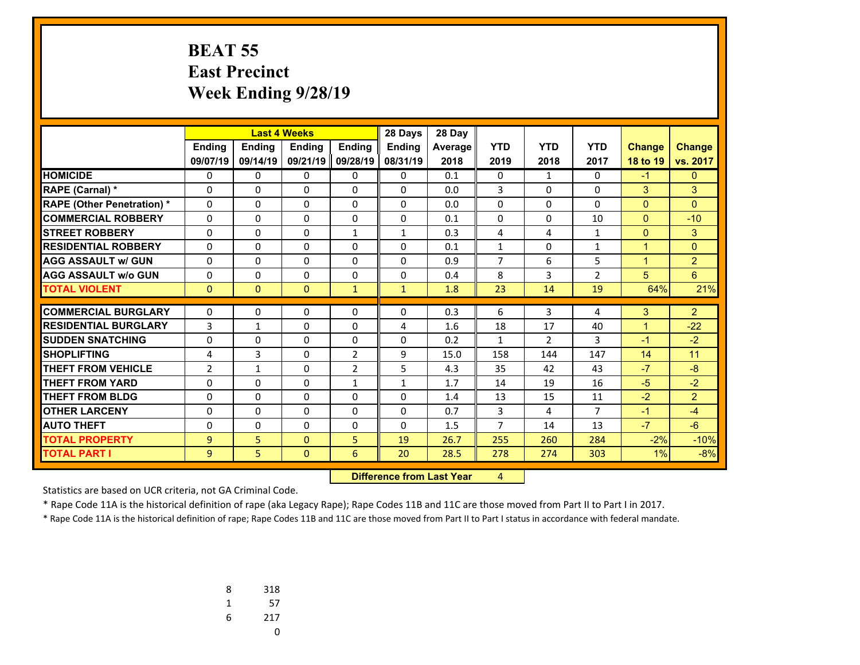# **BEAT 55 East Precinct Week Ending 9/28/19**

|                                   | <b>Last 4 Weeks</b> |               |              | 28 Days        | 28 Day                           |         |                |                |                |                |                |
|-----------------------------------|---------------------|---------------|--------------|----------------|----------------------------------|---------|----------------|----------------|----------------|----------------|----------------|
|                                   | Ending              | <b>Ending</b> | Ending       | Ending         | <b>Ending</b>                    | Average | <b>YTD</b>     | <b>YTD</b>     | <b>YTD</b>     | <b>Change</b>  | <b>Change</b>  |
|                                   | 09/07/19            | 09/14/19      | 09/21/19     | 09/28/19       | 08/31/19                         | 2018    | 2019           | 2018           | 2017           | 18 to 19       | vs. 2017       |
| <b>HOMICIDE</b>                   | 0                   | $\Omega$      | 0            | 0              | $\Omega$                         | 0.1     | 0              | $\mathbf{1}$   | $\Omega$       | $-1$           | $\mathbf{0}$   |
| RAPE (Carnal) *                   | 0                   | $\Omega$      | $\Omega$     | $\Omega$       | $\Omega$                         | 0.0     | 3              | $\Omega$       | $\Omega$       | 3              | 3              |
| <b>RAPE (Other Penetration) *</b> | $\Omega$            | 0             | $\Omega$     | $\Omega$       | $\Omega$                         | 0.0     | $\Omega$       | $\Omega$       | $\Omega$       | $\mathbf{0}$   | $\Omega$       |
| <b>COMMERCIAL ROBBERY</b>         | 0                   | 0             | 0            | 0              | 0                                | 0.1     | 0              | 0              | 10             | $\overline{0}$ | $-10$          |
| <b>STREET ROBBERY</b>             | 0                   | 0             | $\Omega$     | $\mathbf{1}$   | $\mathbf{1}$                     | 0.3     | 4              | 4              | $\mathbf{1}$   | $\overline{0}$ | 3              |
| <b>RESIDENTIAL ROBBERY</b>        | $\Omega$            | 0             | 0            | $\Omega$       | $\Omega$                         | 0.1     | $\mathbf{1}$   | $\Omega$       | $\mathbf{1}$   | $\mathbf{1}$   | $\mathbf{0}$   |
| <b>AGG ASSAULT w/ GUN</b>         | 0                   | 0             | 0            | $\Omega$       | $\Omega$                         | 0.9     | 7              | 6              | 5              | $\mathbf{1}$   | $\overline{2}$ |
| <b>AGG ASSAULT w/o GUN</b>        | 0                   | 0             | 0            | $\Omega$       | $\Omega$                         | 0.4     | 8              | 3              | $\overline{2}$ | 5              | 6 <sup>1</sup> |
| <b>TOTAL VIOLENT</b>              | $\mathbf{0}$        | $\mathbf{0}$  | $\mathbf{0}$ | $\mathbf{1}$   | $\mathbf{1}$                     | 1.8     | 23             | 14             | 19             | 64%            | 21%            |
| <b>COMMERCIAL BURGLARY</b>        | 0                   | 0             | 0            | 0              | 0                                | 0.3     | 6              | 3              | 4              | 3              | $\overline{2}$ |
| <b>RESIDENTIAL BURGLARY</b>       | 3                   | $\mathbf{1}$  | 0            | $\Omega$       | 4                                | 1.6     | 18             | 17             | 40             | $\mathbf{1}$   | $-22$          |
| <b>SUDDEN SNATCHING</b>           | 0                   | $\Omega$      | $\Omega$     | $\Omega$       | $\Omega$                         | 0.2     | $\mathbf{1}$   | $\overline{2}$ | $\overline{3}$ | $-1$           | $-2$           |
| <b>SHOPLIFTING</b>                | 4                   | 3             | 0            | $\overline{2}$ | 9                                | 15.0    | 158            | 144            | 147            | 14             | 11             |
| <b>THEFT FROM VEHICLE</b>         | $\overline{2}$      | $\mathbf{1}$  | 0            | $\overline{2}$ | 5                                | 4.3     | 35             | 42             | 43             | $-7$           | $-8$           |
| <b>THEFT FROM YARD</b>            | 0                   | $\Omega$      | 0            | $\mathbf{1}$   | $\mathbf{1}$                     | 1.7     | 14             | 19             | 16             | $-5$           | $-2$           |
| <b>THEFT FROM BLDG</b>            | 0                   | 0             | 0            | 0              | 0                                | 1.4     | 13             | 15             | 11             | $-2$           | $\overline{2}$ |
| <b>OTHER LARCENY</b>              | 0                   | 0             | 0            | $\Omega$       | $\Omega$                         | 0.7     | 3              | 4              | $\overline{7}$ | $-1$           | $-4$           |
| <b>AUTO THEFT</b>                 | 0                   | 0             | $\Omega$     | 0              | $\Omega$                         | 1.5     | $\overline{7}$ | 14             | 13             | $-7$           | $-6$           |
| <b>TOTAL PROPERTY</b>             | 9                   | 5             | $\Omega$     | 5              | 19                               | 26.7    | 255            | 260            | 284            | $-2%$          | $-10%$         |
| <b>TOTAL PART I</b>               | 9                   | 5             | $\mathbf{0}$ | 6              | 20                               | 28.5    | 278            | 274            | 303            | 1%             | $-8%$          |
|                                   |                     |               |              |                | <b>Difference from Last Year</b> |         | $\overline{4}$ |                |                |                |                |

 **Difference from Last Year**

Statistics are based on UCR criteria, not GA Criminal Code.

\* Rape Code 11A is the historical definition of rape (aka Legacy Rape); Rape Codes 11B and 11C are those moved from Part II to Part I in 2017.

| 8 | 318 |
|---|-----|
| 1 | 57  |
| 6 | 217 |
|   | U   |